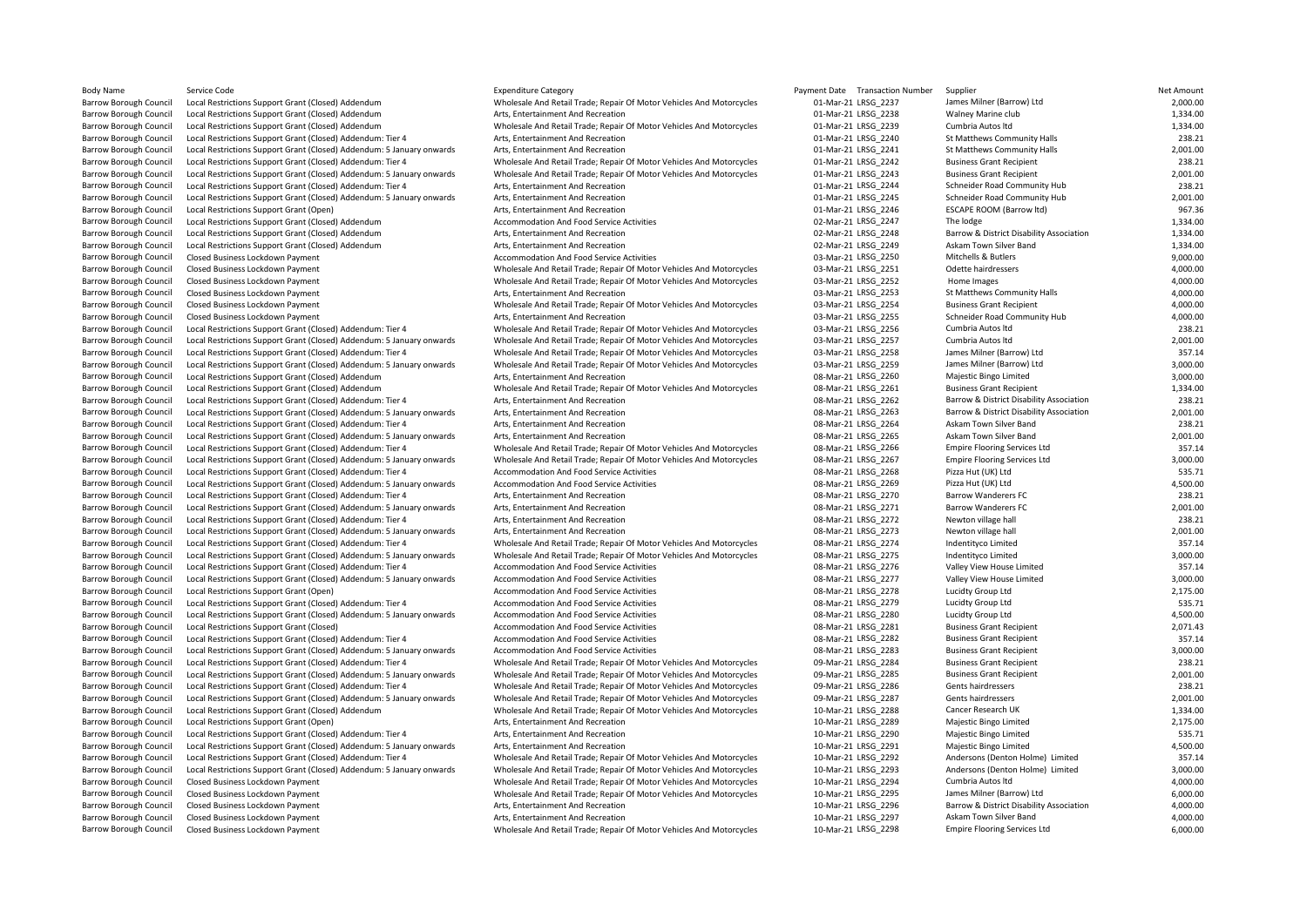| Body Name                     | Service Code                                                          | <b>Expenditure Category</b>                                          | Payment Date Transaction Number | Supplier                                 | Net Amount |
|-------------------------------|-----------------------------------------------------------------------|----------------------------------------------------------------------|---------------------------------|------------------------------------------|------------|
| <b>Barrow Borough Council</b> | Local Restrictions Support Grant (Closed) Addendum                    | Wholesale And Retail Trade; Repair Of Motor Vehicles And Motorcycles | 01-Mar-21 LRSG 2237             | James Milner (Barrow) Ltd                | 2,000.00   |
| <b>Barrow Borough Council</b> | Local Restrictions Support Grant (Closed) Addendum                    | Arts, Entertainment And Recreation                                   | 01-Mar-21 LRSG 2238             | Walney Marine club                       | 1,334.00   |
| <b>Barrow Borough Council</b> | Local Restrictions Support Grant (Closed) Addendum                    | Wholesale And Retail Trade; Repair Of Motor Vehicles And Motorcycles | 01-Mar-21 LRSG 2239             | Cumbria Autos Itd                        | 1,334.00   |
| <b>Barrow Borough Council</b> | Local Restrictions Support Grant (Closed) Addendum: Tier 4            | Arts, Entertainment And Recreation                                   | 01-Mar-21 LRSG 2240             | St Matthews Community Halls              | 238.21     |
| <b>Barrow Borough Council</b> | Local Restrictions Support Grant (Closed) Addendum: 5 January onwards | Arts, Entertainment And Recreation                                   | 01-Mar-21 LRSG 2241             | St Matthews Community Halls              | 2,001.00   |
| <b>Barrow Borough Council</b> | Local Restrictions Support Grant (Closed) Addendum: Tier 4            | Wholesale And Retail Trade; Repair Of Motor Vehicles And Motorcycles | 01-Mar-21 LRSG 2242             | <b>Business Grant Recipient</b>          | 238.21     |
| <b>Barrow Borough Council</b> | Local Restrictions Support Grant (Closed) Addendum: 5 January onwards | Wholesale And Retail Trade; Repair Of Motor Vehicles And Motorcycles | 01-Mar-21 LRSG 2243             | <b>Business Grant Recipient</b>          | 2,001.00   |
| <b>Barrow Borough Council</b> | Local Restrictions Support Grant (Closed) Addendum: Tier 4            | Arts, Entertainment And Recreation                                   | 01-Mar-21 LRSG 2244             | Schneider Road Community Hub             | 238.21     |
| <b>Barrow Borough Council</b> | Local Restrictions Support Grant (Closed) Addendum: 5 January onwards | Arts, Entertainment And Recreation                                   | 01-Mar-21 LRSG 2245             | Schneider Road Community Hub             | 2,001.00   |
| <b>Barrow Borough Council</b> | Local Restrictions Support Grant (Open)                               | Arts, Entertainment And Recreation                                   | 01-Mar-21 LRSG 2246             | <b>ESCAPE ROOM (Barrow Itd)</b>          | 967.36     |
| <b>Barrow Borough Council</b> | Local Restrictions Support Grant (Closed) Addendum                    | Accommodation And Food Service Activities                            | 02-Mar-21 LRSG 2247             | The lodge                                | 1,334.00   |
| <b>Barrow Borough Council</b> | Local Restrictions Support Grant (Closed) Addendum                    | Arts. Entertainment And Recreation                                   | 02-Mar-21 LRSG 2248             | Barrow & District Disability Association | 1,334.00   |
| <b>Barrow Borough Council</b> | Local Restrictions Support Grant (Closed) Addendum                    | Arts, Entertainment And Recreation                                   | 02-Mar-21 LRSG 2249             | Askam Town Silver Band                   | 1,334.00   |
| <b>Barrow Borough Council</b> | Closed Business Lockdown Payment                                      | Accommodation And Food Service Activities                            | 03-Mar-21 LRSG 2250             | Mitchells & Butlers                      | 9,000.00   |
| <b>Barrow Borough Council</b> | Closed Business Lockdown Payment                                      | Wholesale And Retail Trade; Repair Of Motor Vehicles And Motorcycles | 03-Mar-21 LRSG 2251             | Odette hairdressers                      | 4,000.00   |
| <b>Barrow Borough Council</b> | Closed Business Lockdown Payment                                      | Wholesale And Retail Trade; Repair Of Motor Vehicles And Motorcycles | 03-Mar-21 LRSG 2252             | Home Images                              | 4,000.00   |
| <b>Barrow Borough Council</b> | Closed Business Lockdown Payment                                      | Arts, Entertainment And Recreation                                   | 03-Mar-21 LRSG 2253             | St Matthews Community Halls              | 4,000.00   |
| <b>Barrow Borough Council</b> | Closed Business Lockdown Payment                                      | Wholesale And Retail Trade; Repair Of Motor Vehicles And Motorcycles | 03-Mar-21 LRSG 2254             | <b>Business Grant Recipient</b>          | 4,000.00   |
| <b>Barrow Borough Council</b> | Closed Business Lockdown Payment                                      | Arts, Entertainment And Recreation                                   | 03-Mar-21 LRSG 2255             | Schneider Road Community Hub             | 4,000.00   |
| <b>Barrow Borough Council</b> | Local Restrictions Support Grant (Closed) Addendum: Tier 4            | Wholesale And Retail Trade; Repair Of Motor Vehicles And Motorcycles | 03-Mar-21 LRSG 2256             | Cumbria Autos Itd                        | 238.21     |
| <b>Barrow Borough Council</b> | Local Restrictions Support Grant (Closed) Addendum: 5 January onwards | Wholesale And Retail Trade; Repair Of Motor Vehicles And Motorcycles | 03-Mar-21 LRSG 2257             | Cumbria Autos Itd                        | 2,001.00   |
| <b>Barrow Borough Council</b> | Local Restrictions Support Grant (Closed) Addendum: Tier 4            | Wholesale And Retail Trade; Repair Of Motor Vehicles And Motorcycles | 03-Mar-21 LRSG 2258             | James Milner (Barrow) Ltd                | 357.14     |
| <b>Barrow Borough Council</b> | Local Restrictions Support Grant (Closed) Addendum: 5 January onwards | Wholesale And Retail Trade; Repair Of Motor Vehicles And Motorcycles | 03-Mar-21 LRSG 2259             | James Milner (Barrow) Ltd                | 3,000.00   |
| <b>Barrow Borough Council</b> | Local Restrictions Support Grant (Closed) Addendum                    | Arts, Entertainment And Recreation                                   | 08-Mar-21 LRSG 2260             | Majestic Bingo Limited                   | 3,000.00   |
| <b>Barrow Borough Council</b> | Local Restrictions Support Grant (Closed) Addendum                    | Wholesale And Retail Trade; Repair Of Motor Vehicles And Motorcycles | 08-Mar-21 LRSG 2261             | <b>Business Grant Recipient</b>          | 1,334.00   |
| <b>Barrow Borough Council</b> | Local Restrictions Support Grant (Closed) Addendum: Tier 4            | Arts, Entertainment And Recreation                                   | 08-Mar-21 LRSG 2262             | Barrow & District Disability Association | 238.21     |
| <b>Barrow Borough Council</b> | Local Restrictions Support Grant (Closed) Addendum: 5 January onwards | Arts, Entertainment And Recreation                                   | 08-Mar-21 LRSG 2263             | Barrow & District Disability Association | 2,001.00   |
| <b>Barrow Borough Council</b> | Local Restrictions Support Grant (Closed) Addendum: Tier 4            | Arts, Entertainment And Recreation                                   | 08-Mar-21 LRSG 2264             | Askam Town Silver Band                   | 238.21     |
| <b>Barrow Borough Council</b> | Local Restrictions Support Grant (Closed) Addendum: 5 January onwards | Arts, Entertainment And Recreation                                   | 08-Mar-21 LRSG 2265             | Askam Town Silver Band                   | 2,001.00   |
| <b>Barrow Borough Council</b> | Local Restrictions Support Grant (Closed) Addendum: Tier 4            | Wholesale And Retail Trade; Repair Of Motor Vehicles And Motorcycles | 08-Mar-21 LRSG 2266             | <b>Empire Flooring Services Ltd</b>      | 357.14     |
| <b>Barrow Borough Council</b> | Local Restrictions Support Grant (Closed) Addendum: 5 January onwards | Wholesale And Retail Trade; Repair Of Motor Vehicles And Motorcycles | 08-Mar-21 LRSG 2267             | <b>Empire Flooring Services Ltd</b>      | 3,000.00   |
| <b>Barrow Borough Council</b> | Local Restrictions Support Grant (Closed) Addendum: Tier 4            | Accommodation And Food Service Activities                            | 08-Mar-21 LRSG 2268             | Pizza Hut (UK) Ltd                       | 535.71     |
| <b>Barrow Borough Council</b> | Local Restrictions Support Grant (Closed) Addendum: 5 January onwards | Accommodation And Food Service Activities                            | 08-Mar-21 LRSG 2269             | Pizza Hut (UK) Ltd                       | 4,500.00   |
| <b>Barrow Borough Council</b> | Local Restrictions Support Grant (Closed) Addendum: Tier 4            | Arts, Entertainment And Recreation                                   | 08-Mar-21 LRSG 2270             | <b>Barrow Wanderers FC</b>               | 238.21     |
| <b>Barrow Borough Council</b> | Local Restrictions Support Grant (Closed) Addendum: 5 January onwards | Arts, Entertainment And Recreation                                   | 08-Mar-21 LRSG 2271             | <b>Barrow Wanderers FC</b>               | 2,001.00   |
| <b>Barrow Borough Council</b> | Local Restrictions Support Grant (Closed) Addendum: Tier 4            | Arts, Entertainment And Recreation                                   | 08-Mar-21 LRSG 2272             | Newton village hall                      | 238.21     |
| <b>Barrow Borough Council</b> | Local Restrictions Support Grant (Closed) Addendum: 5 January onwards | Arts, Entertainment And Recreation                                   | 08-Mar-21 LRSG 2273             | Newton village hall                      | 2,001.00   |
| <b>Barrow Borough Council</b> | Local Restrictions Support Grant (Closed) Addendum: Tier 4            | Wholesale And Retail Trade; Repair Of Motor Vehicles And Motorcycles | 08-Mar-21 LRSG_2274             | Indentityco Limited                      | 357.14     |
| <b>Barrow Borough Council</b> | Local Restrictions Support Grant (Closed) Addendum: 5 January onwards | Wholesale And Retail Trade; Repair Of Motor Vehicles And Motorcycles | 08-Mar-21 LRSG 2275             | Indentityco Limited                      | 3,000.00   |
| <b>Barrow Borough Council</b> | Local Restrictions Support Grant (Closed) Addendum: Tier 4            | Accommodation And Food Service Activities                            | 08-Mar-21 LRSG 2276             | Valley View House Limited                | 357.14     |
| <b>Barrow Borough Council</b> | Local Restrictions Support Grant (Closed) Addendum: 5 January onwards | Accommodation And Food Service Activities                            | 08-Mar-21 LRSG 2277             | Valley View House Limited                | 3,000.00   |
| <b>Barrow Borough Council</b> | Local Restrictions Support Grant (Open)                               | Accommodation And Food Service Activities                            | 08-Mar-21 LRSG 2278             | Lucidty Group Ltd                        | 2,175.00   |
| <b>Barrow Borough Council</b> | Local Restrictions Support Grant (Closed) Addendum: Tier 4            | Accommodation And Food Service Activities                            | 08-Mar-21 LRSG 2279             | Lucidty Group Ltd                        | 535.71     |
| <b>Barrow Borough Council</b> | Local Restrictions Support Grant (Closed) Addendum: 5 January onwards | Accommodation And Food Service Activities                            | 08-Mar-21 LRSG 2280             | Lucidty Group Ltd                        | 4,500.00   |
| <b>Barrow Borough Council</b> | Local Restrictions Support Grant (Closed)                             | Accommodation And Food Service Activities                            | 08-Mar-21 LRSG 2281             | <b>Business Grant Recipient</b>          | 2,071.43   |
| <b>Barrow Borough Council</b> | Local Restrictions Support Grant (Closed) Addendum: Tier 4            | Accommodation And Food Service Activities                            | 08-Mar-21 LRSG 2282             | <b>Business Grant Recipient</b>          | 357.14     |
| <b>Barrow Borough Council</b> | Local Restrictions Support Grant (Closed) Addendum: 5 January onwards | Accommodation And Food Service Activities                            | 08-Mar-21 LRSG 2283             | <b>Business Grant Recipient</b>          | 3,000.00   |
| <b>Barrow Borough Council</b> | Local Restrictions Support Grant (Closed) Addendum: Tier 4            | Wholesale And Retail Trade; Repair Of Motor Vehicles And Motorcycles | 09-Mar-21 LRSG 2284             | <b>Business Grant Recipient</b>          | 238.21     |
| <b>Barrow Borough Council</b> | Local Restrictions Support Grant (Closed) Addendum: 5 January onwards | Wholesale And Retail Trade; Repair Of Motor Vehicles And Motorcycles | 09-Mar-21 LRSG 2285             | <b>Business Grant Recipient</b>          | 2,001.00   |
| <b>Barrow Borough Council</b> | Local Restrictions Support Grant (Closed) Addendum: Tier 4            | Wholesale And Retail Trade; Repair Of Motor Vehicles And Motorcycles | 09-Mar-21 LRSG 2286             | Gents hairdressers                       | 238.21     |
| <b>Barrow Borough Council</b> | Local Restrictions Support Grant (Closed) Addendum: 5 January onwards | Wholesale And Retail Trade; Repair Of Motor Vehicles And Motorcycles | 09-Mar-21 LRSG 2287             | Gents hairdressers                       | 2,001.00   |
| <b>Barrow Borough Council</b> | Local Restrictions Support Grant (Closed) Addendum                    | Wholesale And Retail Trade; Repair Of Motor Vehicles And Motorcycles | 10-Mar-21 LRSG 2288             | Cancer Research UK                       | 1,334.00   |
| <b>Barrow Borough Council</b> | Local Restrictions Support Grant (Open)                               | Arts, Entertainment And Recreation                                   | 10-Mar-21 LRSG 2289             | Majestic Bingo Limited                   | 2,175.00   |
| <b>Barrow Borough Council</b> | Local Restrictions Support Grant (Closed) Addendum: Tier 4            | Arts, Entertainment And Recreation                                   | 10-Mar-21 LRSG 2290             | Majestic Bingo Limited                   | 535.71     |
| <b>Barrow Borough Council</b> | Local Restrictions Support Grant (Closed) Addendum: 5 January onwards | Arts, Entertainment And Recreation                                   | 10-Mar-21 LRSG 2291             | Majestic Bingo Limited                   | 4,500.00   |
| <b>Barrow Borough Council</b> | Local Restrictions Support Grant (Closed) Addendum: Tier 4            | Wholesale And Retail Trade; Repair Of Motor Vehicles And Motorcycles | 10-Mar-21 LRSG 2292             | Andersons (Denton Holme) Limited         | 357.14     |
| <b>Barrow Borough Council</b> | Local Restrictions Support Grant (Closed) Addendum: 5 January onwards | Wholesale And Retail Trade; Repair Of Motor Vehicles And Motorcycles | 10-Mar-21 LRSG 2293             | Andersons (Denton Holme) Limited         | 3,000.00   |
| <b>Barrow Borough Council</b> | Closed Business Lockdown Payment                                      | Wholesale And Retail Trade; Repair Of Motor Vehicles And Motorcycles | 10-Mar-21 LRSG 2294             | Cumbria Autos Itd                        | 4,000.00   |
| <b>Barrow Borough Council</b> | Closed Business Lockdown Payment                                      | Wholesale And Retail Trade; Repair Of Motor Vehicles And Motorcycles | 10-Mar-21 LRSG 2295             | James Milner (Barrow) Ltd                | 6,000.00   |
| <b>Barrow Borough Council</b> | Closed Business Lockdown Payment                                      | Arts, Entertainment And Recreation                                   | 10-Mar-21 LRSG_2296             | Barrow & District Disability Association | 4,000.00   |
| <b>Barrow Borough Council</b> | Closed Business Lockdown Payment                                      | Arts, Entertainment And Recreation                                   | 10-Mar-21 LRSG 2297             | Askam Town Silver Band                   | 4,000.00   |
| <b>Barrow Borough Council</b> | Closed Business Lockdown Payment                                      | Wholesale And Retail Trade; Repair Of Motor Vehicles And Motorcycles | 10-Mar-21 LRSG 2298             | <b>Empire Flooring Services Ltd</b>      | 6,000.00   |
|                               |                                                                       |                                                                      |                                 |                                          |            |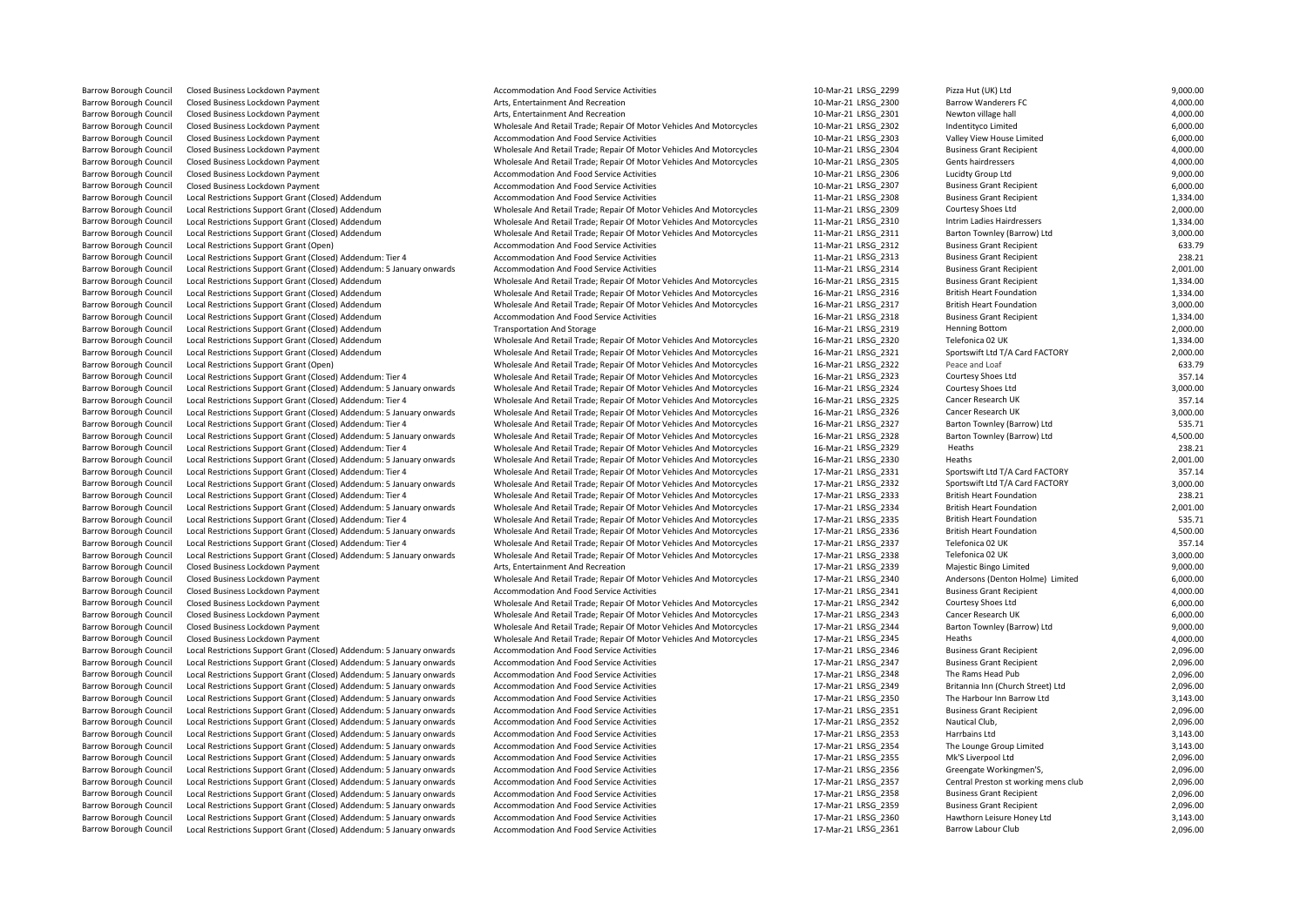Local Restrictions Support Grant (Closed) Addendum Barrow Borough Council Local Restrictions Support Grant (Closed) Addendum: Tier 4 Wholesale And Retail Trade; Repair Of Motor Vehicles And Motorcycles 16-Mar-21 LRSG\_2323 Courtesy Shoes Ltd 357.1457 Courtesy Shoes Ltd 357. Barrow Borough Council Local Restrictions Support Grant (Closed) Addendum: Tier 4 Wholesale And Retail Trade; Repair Of Motor Vehicles And Motorcycles 17-Mar-21 LRSG\_2331 Sportswift Ltd T/A Card FACTORY 367.14 Sportswift L Exal Restrictions Support Grant (Closed) Addendum: 5 January onwards Wholesale And Retail Trade; Repair Of Motor Vehicles And Motorcycles 17-Mar-21 LRSG\_2334 British Heart Foundation 2,0001.<br>1991 - 17-Mar-21 LRSG 2335 Brit Barrow Borough Council Local Restrictions Support Grant (Closed) Addendum: 5 January onwards Accommodation And Food Service Activities 17-Mar-21 LRSG\_2347 Business Grant Recipient Recipient Recipient Accommodation And Food Barrow Borough Council Local Restrictions Support Grant (Closed) Addendum: 5 January onwards Accommodation And Food Service Activities 17-Mar-21 LRSG\_2351 Business Grant Business Grant Recipient Accommodation And Food Serv Barrow Borough Council Local Restrictions Support Grant (Closed) Addendum: 5 January onwards Accommodation And Food Service Activities 17-Mar-21 LRSG\_2356 Greengate Workingmen'S, 2,096.00 Example Council Council Council Addendum: 5 January onwards Accommodation And Food Service Activities 17-Mar-21 LRSG\_2360 Hawthorn Leisure Honey Accommodation And Food Service Activities 17-Mar-21 LRSG\_2360 Hawthorn Leisur

Barrow Borough Council Trade; Repair Of Motor Vehicles And Motorcycles 11-Mar-21 LRSG\_2310 Internal Retail Trade; Repair Of Motor Vehicles And Motorcycles Barrow Borough Council Local Restrictions Support Grant (Closed) Addendum: 5 January onwards Wholesale And Retail Trade; Repair Of Motor Vehicles And Motorcycles 16-Mar-21 LRSG\_2326 Cancer Research UK 3,000.00

Barrow Borough Council Closed Business Lockdown Payment Accommodation And Food Service Activities Accommodation And Food Service Activities 10-Mar-21 LRSG\_2299 Pizza Hut (UK) Ltd 9,000.00 Barrow Borough Council Closed Business Lockdown Payment Arts, Entertainment And Recreation Arts, Entertainment And Recreation 10-Mar-21 LRSG\_2300 Barrow Wanderers FC 4,000.00 Barrow Borough Council Closed Business Lockdown Payment Arts Arts, Entertainment And Recreation Arts, Entertainment And Recreation 10-Mar-21 LRSG\_2301 Newton village hall 4,000.00 4,000.00 Barrow Borough Council Closed Business Lockdown Payment Council Council Council Council Council Council Council Council Council Council Council Council Council Council Council Council Council Council Council Council Counci Barrow Borough Council Closed Business Lockdown Payment 10-Marrow Accommodation And Food Service Activities 10-Mar-21 LRSG\_2303 Valley View House Limited 6,000.00 Barrow Borough Council Closed Business Lockdown Payment 1,000.00<br>Barrow Borough Council Closed Business Lockdown Payment 1,000.00<br>Barrow Borough Council Closed Business Lockdown Payment 4,000.00 Barrow Borough Council Closed Business Lockdown Payment 1,000.00<br>Barrow Borough Council Closed Business Lockdown Payment 19,000.00<br>Barrow Borough Council Closed Business Lockdown Payment 9,000.00 Barrow Borough Council Closed Business Lockdown Payment 10-Marrow Accommodation And Food Service Activities 10-Mar-21 LRSG\_2306 Lucidty Group Ltd 10-Mar-21 LRSG\_2306 Lucidty Group Ltd 9,000.00 Barrow Borough Council Closed Business Lockdown Payment 10-Marrow Accommodation And Food Service Activities 10-Mar-21 LRSG\_2307 Business Grant Recipient 6,000.00 Barrow Borough Council Local Restrictions Support Grant (Closed) Addendum Accommodation And Food Service Activities and Motorcycles and Motorcycles and Anar-21 LRSG\_2308 Business Grant Recipient 1,334.00<br>Barrow Borough Cou Barrow Borough Council Local Restrictions Support Grant (Closed) Addendum Wholesale And Retail Trade; Repair Of Motor Vehicles And Motorcycles 11-Mar-21 LRSG\_2309 Courtesy Shoes Ltd 2,000.00<br>Barrow Borough Council Local Re Barrow Borough Council Local Restrictions Support Grant (Closed) Addendum Marrow Wholesale And Retail Trade; Repair Of Motor Vehicles And Motorcycles and 11-Mar-21 LRSG\_2311 Barton Townley (Barrow) Ltd 3,000.00<br>Barrow Boro Barrow Borough Council Local Restrictions Council Council Council Council Council Council Activities Activities 1937<br>Accommodation And Food Service Activities 1987 Barrow Borough Council Local Restrictions Support Grant (Closed) Addendum: Tier 4 Accommodation And Food Service Activities 11-Mar-21 LRSG\_2313 Business Grant Recipient 238.21 2001.00<br>11-Mar-21 LRSG 2314 Business Grant Rec Barrow Borough Council Local Restrictions Support Grant (Closed) Addendum: 5 January onwards Accommodation And Food Service Activities and Motorcycles 11-Mar-21 LRSG\_2314 Business Grant Recipient 2,001.00<br>Rarrow Borough Co Barrow Borough Council Local Restrictions Support Grant (Closed) Addendum Wholesale And Retail Trade; Repair Of Motor Vehicles And Motorcycles 16-Mar-21 LRSG\_2315 Business Grant Recipient 1,334.00<br>Barrow Borough Council Lo Barrow Borough Council Local Restrictions Support Grant (Closed) Addendum Wholesale And Retail Trade; Repair Of Motor Vehicles And Motorcycles 16-Mar-21 LRSG\_2316 British Heart Foundation 1,334.00<br>Barrow Borough Council Lo Barrow Borough Council Local Restrictions Support Grant (Closed) Addendum Wholesale And Retail Trade; Repair Of Motor Vehicles And Motorcycles 16-Mar-21 LRSG\_2317 British Heart Foundation and Restrictions 3,000.00<br>Barrow B Barrow Borough Council Local Restrictions Support Grant (Closed) Addendum Transportation And Storage 16-Mar-21 LRSG\_2319 Henning Bottom 2,000.00<br>Barrow Borough Council Local Restrictions Support Grant (Closed) Addendum Who Barrow Borough Council Local Restrictions Support Grant (Closed) Addendum Wholesale And Retail Trade; Repair Of Motor Vehicles And Motorcycles 16-Mar-21 LRSG\_2320 Telefonica 02 UK 1,334.00<br>Barrow Borough Council Local Rest Barrow Borough Council Local Restrictions Support Grant (Closed) Addendum Wholesale And Retail Trade; Repair Of Motor Vehicles And Motorcycles 16-Mar-21 LRSG\_2321 Sportswift Ltd T/A Card FACTORY 2,000.00<br>Barrow Borough Cou Barrow Borough Council Local Restrictions Support Grant (Open) Wholesale And Retail Trade; Repair Of Motor Vehicles And Motorcycles 16-Mar-21 LRSG\_2322 Peace and Loaf 633.79<br>Barrow Borough Council Local Restrictions Suppor Barrow Borough Council Local Restrictions Support Grant (Closed) Addendum: 5 January onwards Wholesale And Retail Trade; Repair Of Motor Vehicles And Motorcycles 16-Mar-21 LRSG\_2324 Courtesy Shoes Ltd 3,000.00<br>Barrow Borou Barrow Borough Council Local Restrictions Support Grant (Closed) Addendum: Tier 4 Wholesale And Retail Trade; Repair Of Motor Vehicles And Motorcycles 16-Mar-21 LRSG\_2325 Cancer Research UK 357.14<br>Barrow Borough Council Lo Barrow Borough Council Local Restrictions Support Grant (Closed) Addendum: Tier 4 Wholesale And Retail Trade; Repair Of Motor Vehicles And Motorcycles 16-Mar-21 LRSG\_2327 Barton Townley (Barrow) Ltd 535.71<br>Barrow Borough C Barrow Borough Council Local Restrictions Support Grant (Closed) Addendum: 5 January onwards Wholesale And Retail Trade; Repair Of Motor Vehicles And Motorcycles 16-Mar-21 LRSG\_2328 Barton Townley (Barrow) Ltd 4,500.00<br>Bar Barrow Borough Council Local Restrictions Support Grant (Closed) Addendum: Tier 4 Wholesale And Retail Trade; Repair Of Motor Vehicles And Motorcycles 16-Mar-21 LRSG\_2329 Heaths 16-Mar-21 LRSG\_2329 Heaths 238.21 2001.00 Barrow Borough Council Local Restrictions Support Grant (Closed) Addendum: 5 January onwards Wholesale And Retail Trade; Repair Of Motor Vehicles And Motorcycles 16-Mar-21 LRSG\_2330 Heaths 2,001.00<br>Barrow Borough Council L Barrow Borough Council Local Restrictions Support Grant (Closed) Addendum: 5 January onwards Wholesale And Retail Trade; Repair Of Motor Vehicles And Motorcycles 17-Mar-21 LRSG\_2332 Sportswift Ltd T/A Card FACTORY 3,000.00 Barrow Borough Council Local Restrictions Support Grant (Closed) Addendum: Tier 4 Wholesale And Retail Trade; Repair Of Motor Vehicles And Motorcycles 17-Mar-21 LRSG\_2333 British Heart Foundation 238.21 23.21 British Heart Barrow Borough Council Local Restrictions Support Grant (Closed) Addendum: Tier 4 Wholesale And Retail Trade; Repair Of Motor Vehicles And Motorcycles 17-Mar-21 LRSG\_2335 British Heart Foundation 535.71 British Heart Found Barrow Borough Council Local Restrictions Support Grant (Closed) Addendum: 5 January onwards Wholesale And Retail Trade; Repair Of Motor Vehicles And Motorcycles 17-Mar-21 LRSG\_2336 British Heart Foundation 4,500.00 Barrow Borough Council Local Restrictions Support Grant (Closed) Addendum: Tier 4 Wholesale And Retail Trade; Repair Of Motor Vehicles And Motorcycles 17-Mar-21 LRSG\_2337 Telefonica 02 UK 357.14<br>Barrow Borough Council Loca Barrow Borough Council Local Restrictions Support Grant (Closed) Addendum: 5 January onwards Wholesale And Retail Trade; Repair Of Motor Vehicles And Motorcycles 17-Mar-21 LRSG\_2338 Telefonica 02 UK 3,000.00<br>Barrow Borough Barrow Borough Council Closed Business Lockdown Payment Arts Arts, Entertainment And Recreation Arts, Entertainment And Recreation 17-Mar-21 LRSG\_2339 Majestic Bingo Limited 9,000.00 Barrow Borough Council Closed Business Lockdown Payment Wholesale And Retail Trade: Repair Of Motor Vehicles And Motorcycles 17-Mar-21 LRSG\_2340 Andersons (Denton Holme) Limited 6,000.00 Barrow Borough Council Closed Business Lockdown Payment 1990.00 and 1990.00 Accommodation And Food Service Activities 17-Mar-21 LRSG\_2341 Business Grant Recipient 4,000.00 Barrow Borough Council Closed Business Lockdown Payment **Wholesale And Retail Trade; Repair Of Motor Vehicles And Motorcycles** 17-Mar-21 LRSG\_2342 Courtesy Shoes Ltd 6,000.00<br>Barrow Borough Closed Business Lockdown Payment Barrow Borough Council Closed Business Lockdown Payment examples and the Motor Mother Motor Vehicles And Motorcycles and Motorcycles and Motorcycles and Motor Vehicles And Retail Trade; Repair Of Motor Vehicles And Motorcy Barrow Borough Council Closed Business Lockdown Payment 19,000.00 Barrow Borough Council Closed Business Lockdown Payment and Oddendum: 5 January onwards Wholesale And Retail Trade; Repair Of Motor Vehicles And Motorcycles 17-Mar-21 LRSG\_2345 Heaths 1996.00 and Record Capital Trade; Repa Barrow Borough Council Local Restrictions Support Grant (Closed) Addendum: 5 January onwards Accommodation And Food Service Activities 17-Mar-21 LRSG\_2346 Business Grant Recipient Business Grant Recipient 2,096.00<br>17-Mar-2 Eocal Restrictions Support Grant (Closed) Addendum: 5 January onwards Accommodation And Food Service Activities and the Support 17-Mar-21 LRSG\_2348 The Rams Head Pub 2,096.00<br>17-Mar-21 LRSG\_2349 Britannia Inn (Church Stree Barrow Borough Council Local Restrictions Support Grant (Closed) Addendum: 5 January onwards Accommodation And Food Service Activities 17-Mar-21 LRSG\_2349 Britannia Inn (Church Street) Ltd 2,096.00 Barrow Borough Council Local Restrictions Support Grant (Closed) Addendum: 5 January onwards Accommodation And Food Service Activities 17 Mar-21 LRSG\_2350 The Harbour Inn Barrow Ltd 3,143.00<br>17-Mar-21 LRSG\_2351 Business Gr Local Restrictions Support Grant (Closed) Addendum: 5 January onwards Accommodation And Food Service Activities 17-Mar-21 LRSG\_2352 Nautical Club, 2,096.00 Barrow Borough Council Local Restrictions Support Grant (Closed) Addendum: 5 January onwards Accommodation And Food Service Activities 17-Mar-21 LRSG 2353 Harrbains Ltd Harrbains Ltd 3,143.00 Barrow Borough Council Local Restrictions Support Grant (Closed) Addendum: 5 January onwards Accommodation And Food Service Activities 17 Mar-21 LRSG\_2354 The Lounge Group Limited 3,143.00<br>17-Mar-21 LRSG\_2355 Mk'S Liverpoo Barrow Borough Council Local Restrictions Support Grant (Closed) Addendum: 5 January onwards Accommodation And Food Service Activities 17-Mar-21 LRSG\_2355 Mk'S Liverpool Ltd 2,096.00<br>Barrow Borough Council Local Restrictio Barrow Borough Council Local Restrictions Support Grant (Closed) Addendum: 5 January onwards Accommodation And Food Service Activities 17-Mar-21 LRSG\_2357 Central Preston st working mens club 2,096.00 Barrow Borough Council Local Restrictions Support Grant (Closed) Addendum: 5 January onwards Accommodation And Food Service Activities 17-Mar-21 LRSG\_2358 Business Grant Recipient 2,096.00<br>17-Mar-21 LRSG\_2359 Business Gran Barrow Borough Council Local Restrictions Support Grant (Closed) Addendum: 5 January onwards Accommodation And Food Service Activities 17-Mar-21 LRSG\_2359 Business Grant Recipient 17-Mar-21 LRSG\_2359 Business Grant Recipie Barrow Borough Council Local Restrictions Support Grant (Closed) Addendum: 5 January onwards Accommodation And Food Service Activities 17-Mar-21 LRSG 2361 Barrow Labour Club 2,096.00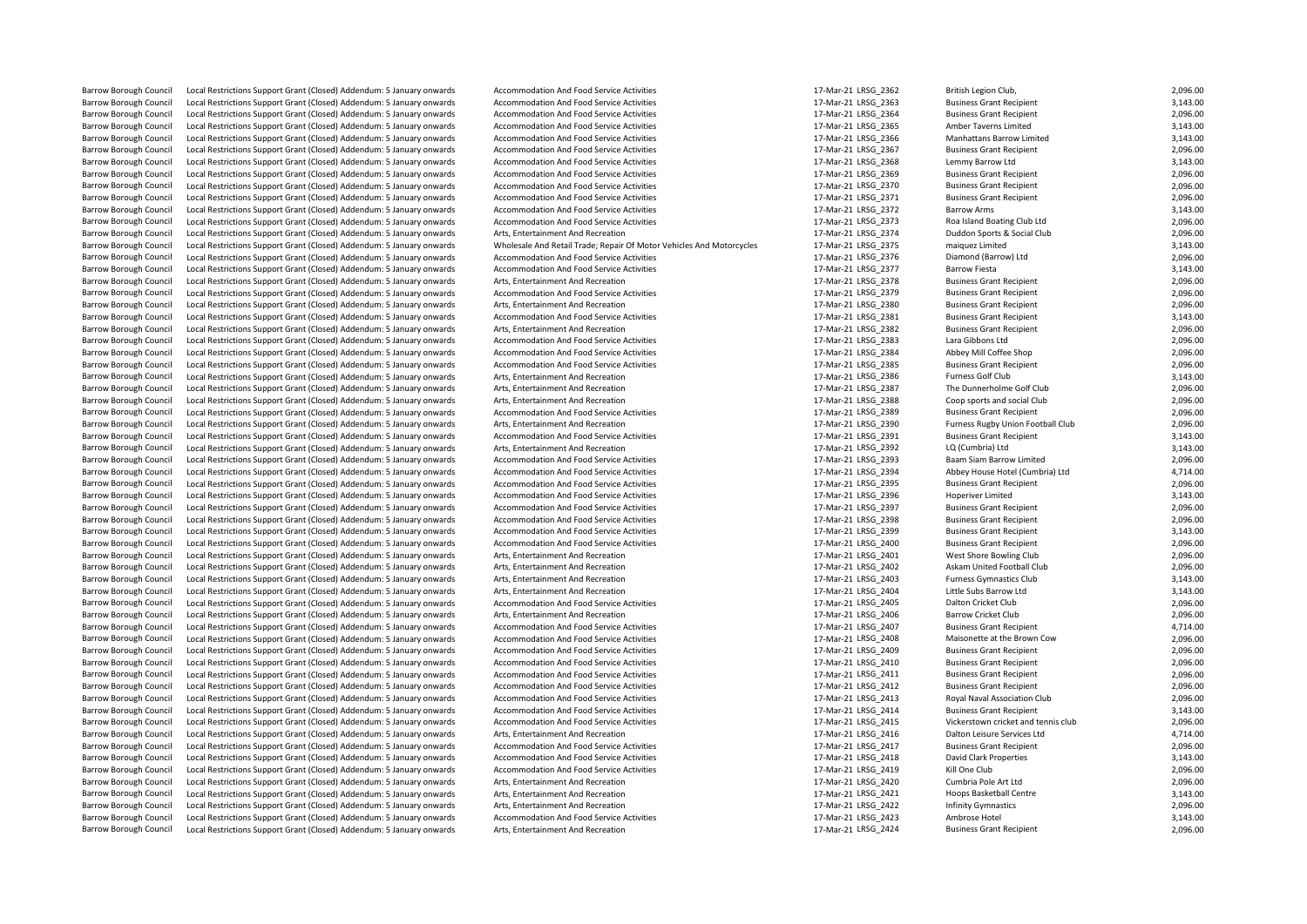Barrow Borough Council Local Restrictions Support Grant (Closed) Addendum: 5 January onwards Accommodation And Food Service Activities 17-Mar-21 LRSG\_2362 British Legion Club, 2,096.00<br>17-Mar-21 LRSG 2363 Business Grant Re Barrow Borough Council Local Restrictions Support Grant (Closed) Addendum: 5 January onwards Accommodation And Food Service Activities 17-Mar-21 LRSG\_2363 Business Grant Recipient 3,143.00<br>17-Mar-21 LRSG\_2364 Business Gran Barrow Borough Council Local Restrictions Support Grant (Closed) Addendum: 5 January onwards Accommodation And Food Service Activities 17-Mar-21 LRSG\_2364 Business Grant Recipient 2,096.00<br>17-Mar-21 LRSG\_2365 Amber Taverns Barrow Borough Council Local Restrictions Support Grant (Closed) Addendum: 5 January onwards Accommodation And Food Service Activities 17-Mar-21 LRSG\_2365 Amber Taverns Limited 3,143.00 Barrow Borough Council Local Restrictions Support Grant (Closed) Addendum: 5 January onwards Accommodation And Food Service Activities 17 Mare 21 LRSG\_2366 Manhattans Barrow Limited 3,143.00<br>17-Mar-21 LRSG\_2367 Business Gr Local Restrictions Support Grant (Closed) Addendum: 5 January onwards Accommodation And Food Service Activities 17-Mar-21 LRSG\_2367 Business Grant Recipient 2,096.00<br>1991 17-Mar-21 LRSG\_2368 Lemmy Barrow Ltd 17-Mar-21 LRSG Barrow Borough Council Local Restrictions Support Grant (Closed) Addendum: 5 January onwards Accommodation And Food Service Activities 17-Mar-21 LRSG\_2368 Lemmy Barrow Ltd 17-Mar-21 LRSG\_2368 Lemmy Barrow Ltd 3,143.00<br>Barr Barrow Borough Council Local Restrictions Support Grant (Closed) Addendum: 5 January onwards Accommodation And Food Service Activities 17-Mar-21 LRSG\_2369 Business Grant Recipient 2,096.00<br>Barrow Borough Council Local Rest Barrow Borough Council Local Restrictions Support Grant (Closed) Addendum: 5 January onwards Accommodation And Food Service Activities 17-Mar-21 LRSG\_2370 Business Grant Recipient 2,096.00<br>17-Mar-21 LRSG 2371 Business Gran Barrow Borough Council Local Restrictions Support Grant (Closed) Addendum: 5 January onwards Accommodation And Food Service Activities 17-Mar-21 LRSG\_2371 Business Grant Recipient 2,096.00<br>17-Mar-21 LRSG\_2372 Barrow Arms L Barrow Borough Council Local Restrictions Support Grant (Closed) Addendum: 5 January onwards Accommodation And Food Service Activities 17-Mar-21 LRSG\_2372 Barrow Arms Barrow Arms 3,143.00<br>17-Mar-21 LRSG 2373 Roa Island Boa Local Restrictions Support Grant (Closed) Addendum: 5 January onwards Barrow Borough Council Local Restrictions Support Grant (Closed) Addendum: 5 January onwards Arts, Entertainment And Recreation extension and Arts and Motorcycles 17-Mar-21 LRSG\_2374 Duddon Sports & Social Club 2,096.00<br>Ba Local Restrictions Support Grant (Closed) Addendum: 5 January onwards Wholesale And Retail Trade; Repair Of Motor Vehicles And Motorcycles 17-Mar-21 LRSG\_2375 maiquez Limited 3,143.00<br>Local Restrictions Support Grant (Clos Barrow Borough Council Local Restrictions Support Grant (Closed) Addendum: 5 January onwards Accommodation And Food Service Activities 17-Mar-21 LRSG\_2376 Diamond (Barrow) Ltd 2,096.00<br>17-Mar-21 LRSG\_2377 Barrow Fiesta Loc Barrow Borough Council Local Restrictions Support Grant (Closed) Addendum: 5 January onwards Accommodation And Food Service Activities 17-Mar-21 LRSG\_2377 Barrow Fiesta 3,143.00<br>Barrow Borough Council Local Restrictions Su Barrow Borough Council Local Restrictions Support Grant (Closed) Addendum: 5 January onwards Arts, Entertainment And Recreation and Energy and the Same 17-Mar-21 LRSG\_2378 Business Grant Recipient 2,096.00<br>17-Mar-21 LRSG 2 Barrow Borough Council Local Restrictions Support Grant (Closed) Addendum: 5 January onwards Accommodation And Food Service Activities 17-Mar-21 LRSG\_2379 Business Grant Recipient 17-Mar-21 LRSG\_2379 Business Grant Recipie Barrow Borough Council Local Restrictions Support Grant (Closed) Addendum: 5 January onwards Arts, Entertainment And Recreation and Energy and Martial Lacal 2006.00 and Energy and The Support Grant Recipient 2,096.00<br>Barro Local Restrictions Support Grant (Closed) Addendum: 5 January onwards Barrow Borough Council Local Restrictions Support Grant (Closed) Addendum: 5 January onwards Arts, Entertainment And Recreation 17-Mar-21 LRSG 2382 Business Grant Recipient 2,096.00 Barrow Borough Council Local Restrictions Support Grant (Closed) Addendum: 5 January onwards Accommodation And Food Service Activities 17-Mar-21 LRSG\_2383 Lara Gibbons Ltd Lara Gibbons Ltd 2,096.00<br>17-Mar-21 LRSG 2384 Abbe Barrow Borough Council Local Restrictions Support Grant (Closed) Addendum: 5 January onwards Accommodation And Food Service Activities 17-Mar-21 LRSG\_2384 Abbey Mill Coffee Shop 2,096.00<br>Barrow Borough Council Local Restri Barrow Borough Council Local Restrictions Support Grant (Closed) Addendum: 5 January onwards Accommodation And Food Service Activities 17-Mar-21 LRSG\_2385 Business Grant Recipient 2,096.00<br>Barrow Borough Council Local Rest errow Borough Council Local Restrictions Support Grant (Closed) Addendum: 5 January onwards Arts, Entertainment And Recreation and Martical Council Lacal Arts, Arts, Entertainment And Recreation 17-Mar-21 LRSG\_2387 The Dun Barrow Borough Council Local Restrictions Support Grant (Closed) Addendum: 5 January onwards Arts, Entertainment And Recreation and the manum and the mar-21 LRSG\_2387 The Dunnerholme Golf Club 2,096.00<br>17-Mar-21 LRSG\_2388 Barrow Borough Council Local Restrictions Support Grant (Closed) Addendum: 5 January onwards Arts, Entertainment And Recreation and Entertainment And Recreation 17-Mar-21 LRSG\_2388 Coop sports and social Club 2,096.00<br>17-M Exal Restrictions Support Grant (Closed) Addendum: 5 January onwards Accommodation And Food Service Activities exactor and the state activities and accommodation And Food Service Activities 17-Mar-21 LRSG\_2389 Business Gra Barrow Borough Council Local Restrictions Support Grant (Closed) Addendum: 5 January onwards Arts, Entertainment And Recreation 17-11 17-11 17-11-11-11-11-12-21 1856 1890 Furness Rugby Union For Club 2, 2006. 2007 17-Mar-2 Barrow Borough Council Local Restrictions Support Grant (Closed) Addendum: 5 January onwards Accommodation And Food Service Activities 17-Mar-21 LRSG\_2391 Business Grant Recipient 17-Mar-21 LRSG\_2392 LQ (Cumbria) Ltd Cumbr Barrow Borough Council Local Restrictions Support Grant (Closed) Addendum: 5 January onwards Arts, Entertainment And Recreation and Experiment And Recreation 17-Mar-21 LRSG\_2392 LQ (Cumbria) Ltd 3,143.00<br>17-Mar-21 LRSG\_239 Barrow Borough Council Local Restrictions Support Grant (Closed) Addendum: 5 January onwards Accommodation And Food Service Activities 17-Mar-21 LRSG\_2393 Baam Siam Barrow Limited Local Restrictions Support Grant (Closed) Barrow Borough Council Local Restrictions Support Grant (Closed) Addendum: 5 January onwards Accommodation And Food Service Activities 17-Mar-21 LRSG\_2394 Abbey House Hotel (Cum<br>Barrow Borough Council Local Restrictions Su Barrow Borough Council Local Restrictions Support Grant (Closed) Addendum: 5 January onwards Accommodation And Food Service Activities 17-Mar-21 LRSG\_2395 Business Grant Recipient 17-Mar-21 LRSG\_2395 Business Grant Recipie Barrow Borough Council Local Restrictions Support Grant (Closed) Addendum: 5 January onwards Accommodation And Food Service Activities 17 Mar-21 LRSG\_2396 Hoperiver Limited Hoperiver Limited 3,143.00<br>17-Mar-21 LRSG 2397 Bu Exal Restrictions Support Grant (Closed) Addendum: 5 January onwards Accommodation And Food Service Activities 1980 1999 17-Mar-21 LRSG\_2397 Business Grant Recipient 2, 1996. Incal Recipient 2, 1996. Incal Recipient 2, 199 Barrow Borough Council Local Restrictions Support Grant (Closed) Addendum: 5 January onwards Accommodation And Food Service Activities 17-Mar-21 LRSG\_2398 Business Grant Recipient 2,096.00<br>Barrow Borough Council Local Rest Barrow Borough Council Local Restrictions Support Grant (Closed) Addendum: 5 January onwards Accommodation And Food Service Activities 17-Mar-21 LRSG 2399 Business Grant Recipient 3,143.00 Barrow Borough Council Local Restrictions Support Grant (Closed) Addendum: 5 January onwards Accommodation And Food Service Activities 17-Mar-21 LRSG\_2400 Business Grant Recipient 2,096.00<br>17-Mar-21 LRSG\_2401 Mest Support Barrow Borough Council Local Restrictions Support Grant (Closed) Addendum: 5 January onwards Arts, Entertainment And Recreation and and the state and the state of the state of the state of the state of the state of the sta Barrow Borough Council Local Restrictions Support Grant (Closed) Addendum: 5 January onwards Arts, Entertainment And Recreation and any serve and the state and the state of the state of the state of the state of the state Local Restrictions Support Grant (Closed) Addendum: 5 January onwards Arts, Entertainment And Recreation 17-Mar-21 LRSG\_2403 Furness Gymnastics Club 3,143.00 Barrow Borough Council Local Restrictions Support Grant (Closed) Addendum: 5 January onwards Arts, Entertainment And Recreation and Forontics and Marticles Arts, Entertainment And Recreation 17-Mar-21 LRSG\_2404 Little Subs Local Restrictions Support Grant (Closed) Addendum: 5 January onwards Accommodation And Food Service Activities 17-Mar-21 LRSG\_2405 Dalton Cricket Club 2,096.00<br>Local Restrictions Support Grant (Closed) Addendum: 5 January Barrow Borough Council Local Restrictions Support Grant (Closed) Addendum: 5 January onwards Arts, Entertainment And Recreation 17-100 12 17-Mar-21 LRSG\_2406 Barrow Cricket Club 2,000 Barrow Cricket Club 2,000 and Entertai Barrow Borough Council Local Restrictions Support Grant (Closed) Addendum: 5 January onwards Accommodation And Food Service Activities 17-Mar-21 LRSG 2407 Business Grant Recipient 4,714.00 Barrow Borough Council Local Restrictions Support Grant (Closed) Addendum: 5 January onwards Accommodation And Food Service Activities 17-Mar-21 LRSG\_2408 Maisonette at the Brown Cow 2,096.00<br>Barrow Borough Council Local R Barrow Borough Council Local Restrictions Support Grant (Closed) Addendum: 5 January onwards Accommodation And Food Service Activities 17-Mar-21 LRSG\_2409 Business Grant Recipient 17-Mar-21 LRSG\_240 Business Grant Recipien Barrow Borough Council Local Restrictions Support Grant (Closed) Addendum: 5 January onwards Accommodation And Food Service Activities 17-Mar-21 LRSG\_2410 Business Grant Recipient Present Recipient Accommodation And Food S Barrow Borough Council Local Restrictions Support Grant (Closed) Addendum: 5 January onwards Accommodation And Food Service Activities 17-Mar-21 LRSG\_2411 Business Grant Recipient 2,096.00<br>17-Mar-21 LRSG\_2412 Business Gran Local Restrictions Support Grant (Closed) Addendum: 5 January onwards Accommodation And Food Service Activities 17-Mar-21 LRSG\_2412 Business Grant Recipient 2,096.00 Barrow Borough Council Local Restrictions Support Grant (Closed) Addendum: 5 January onwards Accommodation And Food Service Activities 17-Mar-21 LRSG\_2413 Royal Naval Association Club 2,096.00<br>17-Mar-21 LRSG\_2414 Business Barrow Borough Council Local Restrictions Support Grant (Closed) Addendum: 5 January onwards Accommodation And Food Service Activities and the martical LRSG\_2414 Business Grant Recipient Business Grant Recipient 3,143.00<br>1 Local Restrictions Support Grant (Closed) Addendum: 5 January onwards Accommodation And Food Service Activities 17-Mar-21 LRSG\_2415 Vickerstown cricket and tennis carrier and the Council 2,096.000 and the Council 2,096.000 Barrow Borough Council Local Restrictions Support Grant (Closed) Addendum: 5 January onwards Arts. Entertainment And Recreation 17-Mar-21 LRSG 2416 Dalton Leisure Services Ltd 4,714.00 Barrow Borough Council Local Restrictions Support Grant (Closed) Addendum: 5 January onwards Accommodation And Food Service Activities 17-Mar-21 LRSG\_2417 Business Grant Recipient 2,096.00<br>17-Mar-21 LRSG\_2418 David Clark P Barrow Borough Council Local Restrictions Support Grant (Closed) Addendum: 5 January onwards Accommodation And Food Service Activities 17-Mar-21 LRSG\_2418 David Clark Properties 3,143.00<br>Barrow Borough Council Local Restri Barrow Borough Council Local Restrictions Support Grant (Closed) Addendum: 5 January onwards Accommodation And Food Service Activities 17-Mar-21 LRSG\_2419 Kill One Club 2,096.00 Barrow Borough Council Local Restrictions Support Grant (Closed) Addendum: 5 January onwards Arts, Entertainment And Recreation 17-Mar-21 LRSG 2420 Cumbria Pole Art Ltd 2,096.00 Barrow Borough Council Local Restrictions Support Grant (Closed) Addendum: 5 January onwards Arts, Entertainment And Recreation and and the state areas are a state of the state of the state of the state of the state of the Barrow Borough Council Local Restrictions Support Grant (Closed) Addendum: 5 January onwards Arts, Entertainment And Recreation and Economication and Economic Local Care and Service Articles 17-Mar-21 LRSG\_2422 Infinity Gy Barrow Borough Council Local Restrictions Support Grant (Closed) Addendum: 5 January onwards Accommodation And Food Service Activities 17-Mar-21 LRSG\_2423 Ambrose Hotel 3,143.00 Barrow Borough Council Local Restrictions Support Grant (Closed) Addendum: 5 January onwards Arts, Entertainment And Recreation 17-Mar-21 LRSG 2424 Business Grant Recipient 2,096.00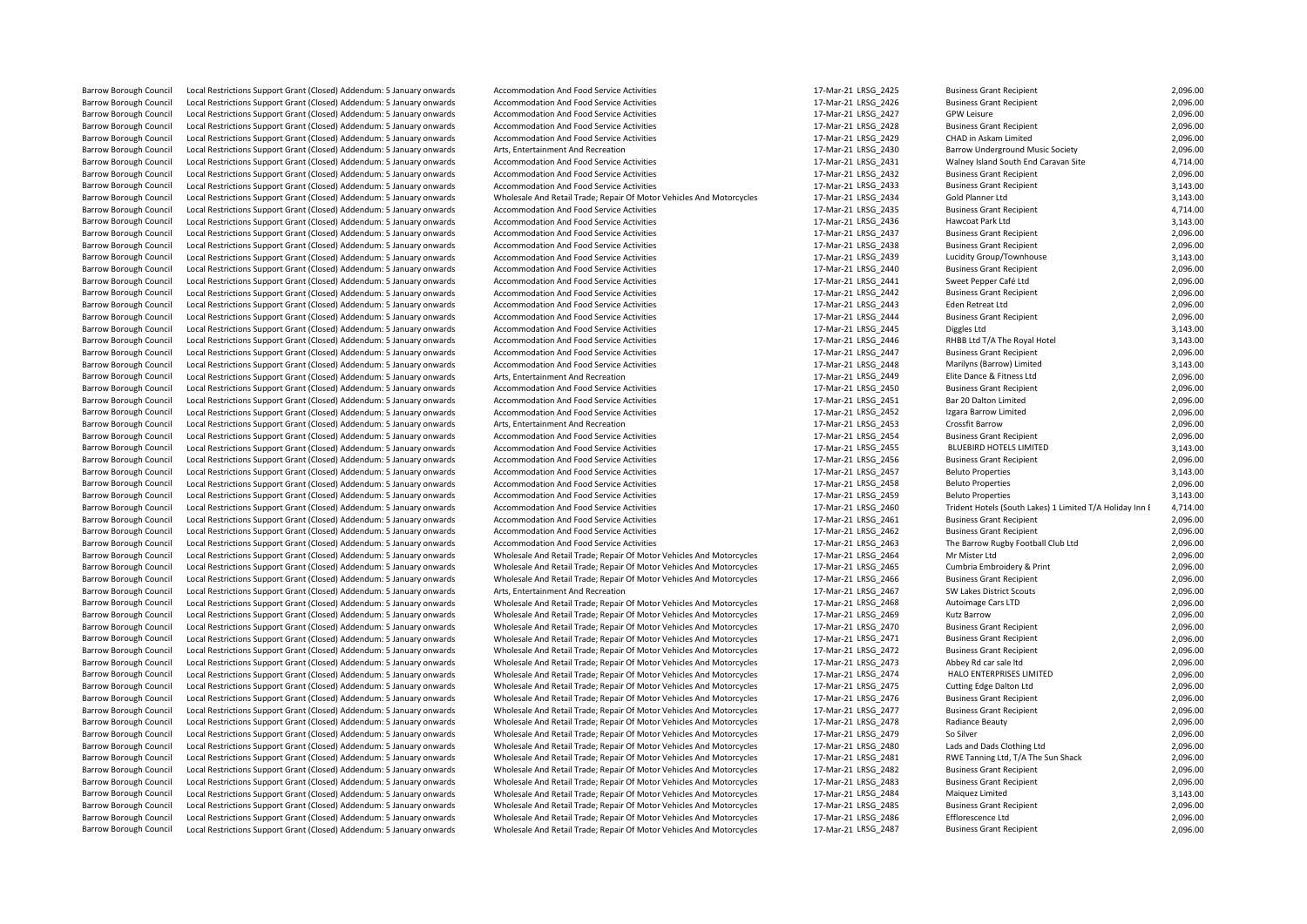Barrow Borough Council Local Restrictions Support Grant (Closed) Addendum: 5 January onwards Accommodation And Food Service Activities 17-Mar-21 LRSG\_2428 Business Grant Recipient 2,096.00 Local Restrictions Support Grant (Closed) Addendum: 5 January onwards Local Restrictions Support Grant (Closed) Addendum: 5 January onwards Barrow Borough Council Local Restrictions Support Grant (Closed) Addendum: 5 January onwards Wholesale And Retail Trade; Repair Of Motor Vehicles And Motorcycles 17-Mar-21 LRSG\_2482 Business Grant Recipient 2,096.00 Barrow Borough Council Local Restrictions Support Grant (Closed) Addendum: 5 January onwards Wholesale And Retail Trade; Repair Of Motor Vehicles And Motorcycles 17-Mar-21 LRSG\_2486 Efflorescence Ltd 2,096.00

Local Restrictions Support Grant (Closed) Addendum: 5 January onwards Arts, Entertainment And Recreation and Recreation 17-Mar-21 LRSG\_2449 Elite Dance & Fitness Ltd 2, 2006. [1] Arts, Entertainment And Arts, Entertainment Example Council Council Council Council Addendum: 5 January onwards Accommodation And Food Service Activities 17-Mar-21 LRSG\_2452 Izgara Barrow Izgara Barrow Inc. 2,096.2000 17-Mar-21 LRSG\_2452 Izgara Barrow Limited 2,000 Barrow Borough Council Local Restrictions Support Grant (Closed) Addendum: 5 January onwards Accommodation And Food Service Activities 17-Mar-21 LRSG\_2457 Beluto Properties 17-Mar-21 LRSG\_2457 Beluto Properties 3,143.000 B Local Restrictions Support Grant (Closed) Addendum: 5 January onwards accommodation And Food Service Activities and the state of the state of the 17-Mar-21 LRSG\_2460 Trident Hotels (South Lal<br>1 Acal Restrictions Support Gr Barrow Borough Council Local Restrictions Support Grant (Closed) Addendum: 5 January onwards Wholesale And Retail Trade; Repair Of Motor Vehicles And Motorcycles 17-Mar-21 LRSG\_2465 Cumbria Embroidery & Print 2,096.000.<br>Ba Barrow Borough Council Local Restrictions Support Grant (Closed) Addendum: 5 January onwards Wholesale And Retail Trade; Repair Of Motor Vehicles And Motorcycles 17-Mar-21 LRSG\_2469 Kutz Barrow 2,096.000 Kutz Barrow 2,000 Barrow Borough Council Local Restrictions Support Grant (Closed) Addendum: 5 January onwards Wholesale And Retail Trade; Repair Of Motor Vehicles And Motorcycles 17-Mar-21 LRSG\_2473 Abbey Rd car sale Itd 2,096.000 ENTERPRI Barrow Borough Council Local Restrictions Support Grant (Closed) Addendum: 5 January onwards Wholesale And Retail Trade; Repair Of Motor Vehicles And Motorcycles 17-Mar-21 LRSG\_2477 Business Grant Recipient Closed) Addendu

Barrow Borough Council Local Restrictions Support Grant (Closed) Addendum: 5 January onwards Accommodation And Food Service Activities 17-Mar-21 LRSG\_2425 Business Grant Recipient 2,096.00<br>17-Mar-21 LRSG 2426 Business Gran Barrow Borough Council Local Restrictions Support Grant (Closed) Addendum: 5 January onwards Accommodation And Food Service Activities 17-Mar-21 LRSG\_2426 Business Grant Recipient 2,096.00<br>17-Mar-21 LRSG\_2426 Business Gran Barrow Borough Council Local Restrictions Support Grant (Closed) Addendum: 5 January onwards Accommodation And Food Service Activities 17-Mar-21 LRSG\_2427 GPW Leisure Grant Recipient 2,096.00<br>17-Mar-21 LRSG\_2428 Business G Barrow Borough Council Local Restrictions Support Grant (Closed) Addendum: 5 January onwards Accommodation And Reord Service Activities and and The Sample of the Service Activities 17-Mar-21 LRSG\_2429 CHAD in Askam Limited Barrow Borough Council Local Restrictions Support Grant (Closed) Addendum: 5 January onwards Arts, Entertainment And Recreation 17-Mar-21 LRSG\_2430 Barrow Underground Music Society 2,096.00 Barrow Borough Council Local Restrictions Support Grant (Closed) Addendum: 5 January onwards Accommodation And Food Service Activities 17-Mar-21 LRSG\_2431 Walney Island South End Caravan Site 4,714.00<br>17-Mar-21 LRSG\_2432 B Barrow Borough Council Local Restrictions Support Grant (Closed) Addendum: 5 January onwards Accommodation And Food Service Activities 17-Mar-21 LRSG\_2432 Business Grant Recipient 2,096.00<br>17-Mar-21 LRSG\_2433 Rusiness Gran Barrow Borough Council Local Restrictions Support Grant (Closed) Addendum: 5 January onwards Accommodation And Food Service Activities and Motorcycles 17-Mar-21 LRSG\_2433 Business Grant Recipient 3,143.00<br>Barrow Borough Co Barrow Borough Council Local Restrictions Support Grant (Closed) Addendum: 5 January onwards Wholesale And Retail Trade; Repair Of Motor Vehicles And Motorcycles 17-Mar-21 LRSG\_2434 Gold Planner Ltd 3,143.00<br>Barrow Borough Barrow Borough Council Local Restrictions Support Grant (Closed) Addendum: 5 January onwards Accommodation And Food Service Activities 17 Mar-21 LRSG\_2435 Business Grant Recipient 4,714.00<br>17-Mar-21 LRSG\_2436 Hawcoat Park Barrow Borough Council Local Restrictions Support Grant (Closed) Addendum: 5 January onwards Accommodation And Food Service Activities 17-Mar-21 LRSG\_2437 Business Grant Recipient 2,096.00<br>17-Mar-21 LRSG\_2438 Business Gran Local Restrictions Support Grant (Closed) Addendum: 5 January onwards Accommodation And Food Service Activities 1990 1990 17-Mar-21 LRSG\_2438 Business Grant Recipient 2,096.00<br>Local Restrictions Support Grant (Closed) Adde Barrow Borough Council Local Restrictions Support Grant (Closed) Addendum: 5 January onwards Accommodation And Food Service Activities 17-Mar-21 LRSG\_2439 Lucidity Group/Townhouse 17-Mar-21 LRSG\_2439 Lucidity Group/Townhou Barrow Borough Council Local Restrictions Support Grant (Closed) Addendum: 5 January onwards Accommodation And Food Service Activities 17-Mar-21 LRSG\_2440 Business Grant Recipient 2,096.00<br>17-Mar-21 LRSG\_2441 Sweet Penner Barrow Borough Council Local Restrictions Support Grant (Closed) Addendum: 5 January onwards Accommodation And Food Service Activities 17-Mar-21 LRSG\_2441 Sweet Pepper Café Ltd Support Grant Restrictions Support Grant (Clo Barrow Borough Council Local Restrictions Support Grant (Closed) Addendum: 5 January onwards Accommodation And Food Service Activities 17-Mar-21 LRSG\_2442 Business Grant Recipient 2,096.00<br>17-Mar-21 LRSG 2443 Eden Retreat Barrow Borough Council Local Restrictions Support Grant (Closed) Addendum: 5 January onwards Accommodation And Food Service Activities 17-Mar-21 LRSG\_2443 Eden Retreat Ltd Eden Retreat Ltd 2,096.00<br>Barrow Borough Council L Barrow Borough Council Local Restrictions Support Grant (Closed) Addendum: 5 January onwards Accommodation And Food Service Activities 17-Mar-21 LRSG 2445 Diggles Ltd Diggles Ltd 3,143.00 Barrow Borough Council Local Restrictions Support Grant (Closed) Addendum: 5 January onwards Accommodation And Food Service Activities 17 Mar-21 LRSG\_2446 RHBB Ltd T/A The Royal Hotel 3,143.00<br>17-Mar-21 LRSG 2447 Business Barrow Borough Council Local Restrictions Support Grant (Closed) Addendum: 5 January onwards Accommodation And Food Service Activities 17-Mar-21 LRSG\_2447 Business Grant Recipient 2,096.00<br>Barrow Borough Council Local Rest Barrow Borough Council Local Restrictions Support Grant (Closed) Addendum: 5 January onwards Accommodation And Food Service Activities 17-Mar-21 LRSG\_2448 Marilyns (Barrow) Limited 3,143.00<br>Barrow Borough Council Local Res Barrow Borough Council Local Restrictions Support Grant (Closed) Addendum: 5 January onwards Accommodation And Food Service Activities 17-Mar-21 LRSG\_2450 Business Grant Recipient 17-Mar-21 LRSG\_2450 Business Grant Recipie Barrow Borough Council Local Restrictions Support Grant (Closed) Addendum: 5 January onwards Accommodation And Food Service Activities 17-Mar-21 LRSG\_2451 Bar 20 Dalton Limited 2,096.00<br>17-Mar-21 LRSG 2452 Izgara Barrow Li Barrow Borough Council Local Restrictions Support Grant (Closed) Addendum: 5 January onwards Arts, Entertainment And Recreation and Recreation 17-Mar-21 LRSG\_2453 Crossfit Barrow 2,096.00<br>Barrow Borough Council Local Restr Barrow Borough Council Local Restrictions Support Grant (Closed) Addendum: 5 January onwards Accommodation And Food Service Activities and the state of the state and and Food Service Activities 17-Mar-21 LRSG\_2455 BLUEBIRD Barrow Borough Council Local Restrictions Support Grant (Closed) Addendum: 5 January onwards Accommodation And Food Service Activities 17-Mar-21 LRSG\_2455 BLUEBIRD HOTELS LIMITED 3,143.00<br>17-Mar-21 LRSG\_2455 Business Grant Barrow Borough Council Local Restrictions Support Grant (Closed) Addendum: 5 January onwards Accommodation And Food Service Activities 17-Mar-21 LRSG\_2456 Business Grant Recipient 2,096.00<br>Barrow Borough Council Local Rest Barrow Borough Council Local Restrictions Support Grant (Closed) Addendum: 5 January onwards Accommodation And Food Service Activities 17-Mar-21 LRSG\_2458 Beluto Properties 17-Mar-21 LRSG\_2458 Beluto Properties 2,096.00<br>17 Barrow Borough Council Local Restrictions Support Grant (Closed) Addendum: 5 January onwards Accommodation And Food Service Activities and accommodation And Food Service Activities 17-Mar-21 LRSG\_2459 Beluto Properties 3,1 Barrow Borough Council Local Restrictions Support Grant (Closed) Addendum: 5 January onwards Accommodation And Food Service Activities 17-Mar-21 LRSG\_2461 Business Grant Recipient 2,096.00<br>Barrow Borough Council Local Rest Barrow Borough Council Local Restrictions Support Grant (Closed) Addendum: 5 January onwards Accommodation And Food Service Activities 17-Mar-21 LRSG 2462 Business Grant Recipient 2,096.00 Barrow Borough Council Local Restrictions Support Grant (Closed) Addendum: 5 January onwards Accommodation And Food Service Activities and Motorcycles 17-Mar-21 LRSG\_2463 The Barrow Rugby Football Club Ltd 2,096.00<br>Barrow Barrow Borough Council Local Restrictions Support Grant (Closed) Addendum: 5 January onwards Wholesale And Retail Trade; Repair Of Motor Vehicles And Motorcycles 17-Mar-21 LRSG\_2464 Mr Mister Ltd Motor Vehicles And Retail Local Restrictions Support Grant (Closed) Addendum: 5 January onwards Wholesale And Retail Trade; Repair Of Motor Vehicles And Motorcycles 17-Mar-21 LRSG\_2466 Business Grant Recipient 2,096.00 Barrow Borough Council Local Restrictions Support Grant (Closed) Addendum: 5 January onwards Arts, Entertainment And Recreation extension and Recreation 17-Mar-21 LRSG\_2467 SW Lakes District Scouts 2,096.00<br>Barrow Borough Local Restrictions Support Grant (Closed) Addendum: 5 January onwards Wholesale And Retail Trade; Repair Of Motor Vehicles And Motorcycles 17-Mar-21 LRSG\_2468 Autoimage Cars LTD 2,096.00<br>Local Restrictions Support Grant (C Barrow Borough Council Local Restrictions Support Grant (Closed) Addendum: 5 January onwards Wholesale And Retail Trade; Repair Of Motor Vehicles And Motorcycles 17-Mar-21 LRSG\_2470 Business Grant Recipient 2,096.00 Barrow Borough Council Local Restrictions Support Grant (Closed) Addendum: 5 January onwards Wholesale And Retail Trade; Repair Of Motor Vehicles And Motorcycles 17-Mar-21 LRSG\_2471 Business Grant Recipient 2,096.00<br>Barrow Barrow Borough Council Local Restrictions Support Grant (Closed) Addendum: 5 January onwards Wholesale And Retail Trade; Repair Of Motor Vehicles And Motorcycles 17-Mar-21 LRSG\_2472 Business Grant Recipient 2,096.00<br>Barrow Barrow Borough Council Local Restrictions Support Grant (Closed) Addendum: 5 January onwards Wholesale And Retail Trade; Repair Of Motor Vehicles And Motorcycles 17-Mar-21 LRSG\_2474 HALO ENTERPRISES LIMITED 2,096.00<br>Barrow Local Restrictions Support Grant (Closed) Addendum: 5 January onwards Wholesale And Retail Trade; Repair Of Motor Vehicles And Motorcycles 17-Mar-21 LRSG\_2475 Cutting Edge Dalton Ltd 2,096.00 Barrow Borough Council Local Restrictions Support Grant (Closed) Addendum: 5 January onwards Wholesale And Retail Trade; Repair Of Motor Vehicles And Motorcycles 17-Mar-21 LRSG\_2476 Business Grant Recipient 2,096.00<br>Barrow Local Restrictions Support Grant (Closed) Addendum: 5 January onwards Wholesale And Retail Trade; Repair Of Motor Vehicles And Motorcycles 17-Mar-21 LRSG\_2478 Radiance Beauty 2,096.00 Barrow Borough Council Local Restrictions Support Grant (Closed) Addendum: 5 January onwards Wholesale And Retail Trade; Repair Of Motor Vehicles And Motorcycles 17-Mar-21 LRSG\_2479 So Silver 2006.00 Barrow Borough Council Local Restrictions Support Grant (Closed) Addendum: 5 January onwards Wholesale And Retail Trade; Repair Of Motor Vehicles And Motorcycles 17-Mar-21 LRSG\_2480 Lads and Dads Clothing Ltd 2,096.00<br>Barr Barrow Borough Council Local Restrictions Support Grant (Closed) Addendum: 5 January onwards Wholesale And Retail Trade; Repair Of Motor Vehicles And Motorcycles 17-Mar-21 LRSG\_2481 RWE Tanning Ltd, T/A The Sun Shack 2,096 Barrow Borough Council Local Restrictions Support Grant (Closed) Addendum: 5 January onwards Wholesale And Retail Trade; Repair Of Motor Vehicles And Motorcycles 17-Mar-21 LRSG\_2483 Business Grant Recipient 2,096.00 Barrow Borough Council Local Restrictions Support Grant (Closed) Addendum: 5 January onwards Wholesale And Retail Trade; Repair Of Motor Vehicles And Motorcycles 17-Mar-21 LRSG\_2484 Maiquez Limited 3,143.00<br>Barrow Borough Barrow Borough Council Local Restrictions Support Grant (Closed) Addendum: 5 January onwards Wholesale And Retail Trade; Repair Of Motor Vehicles And Motorcycles 17-Mar-21 LRSG\_2485 Business Grant Recipient 2,096.00<br>Rarrow Barrow Borough Council Local Restrictions Support Grant (Closed) Addendum: 5 January onwards Wholesale And Retail Trade; Repair Of Motor Vehicles And Motorcycles 17-Mar-21 LRSG\_2487 Business Grant Recipient 2,096.00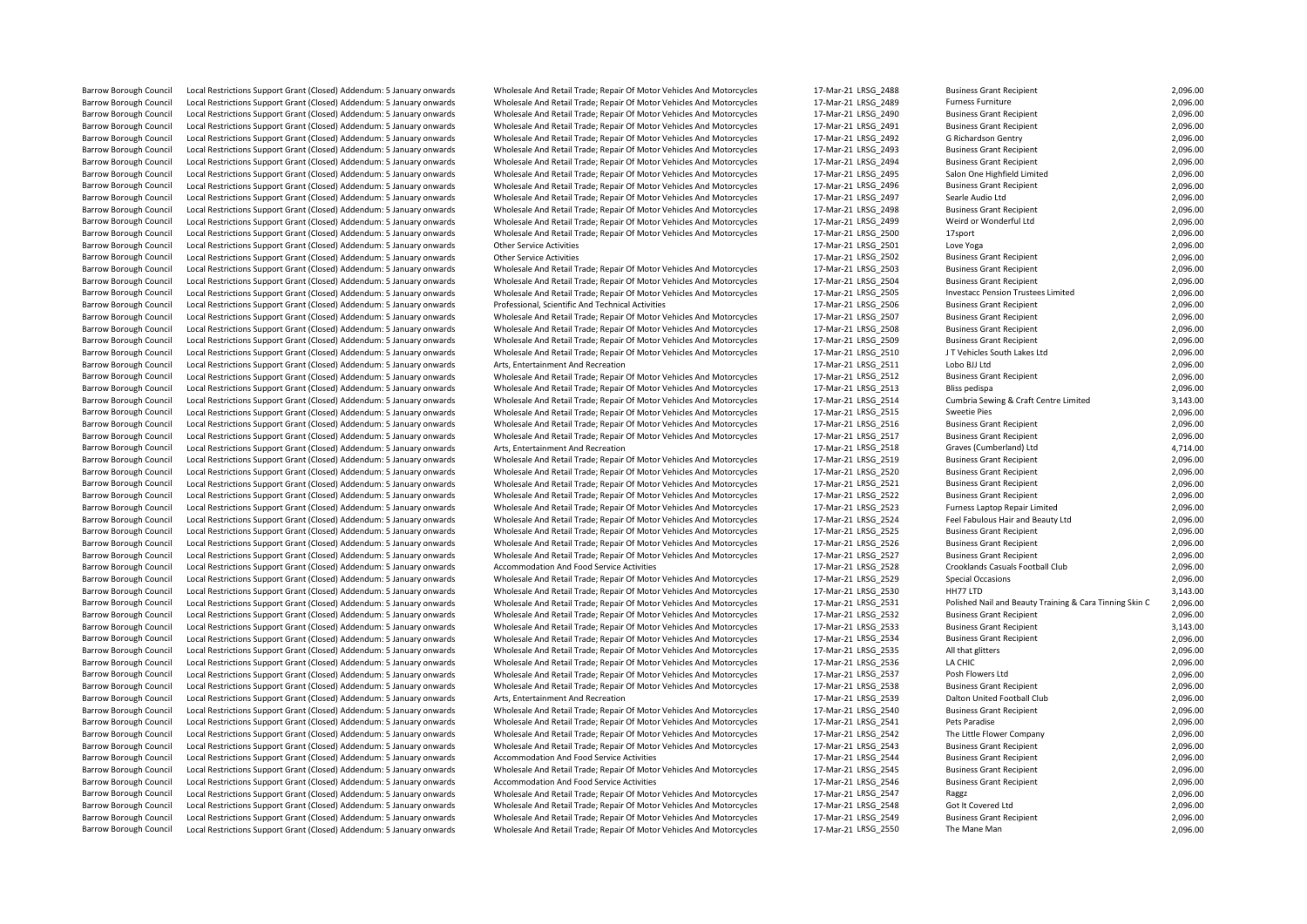Barrow Borough Council Local Restrictions Support Grant (Closed) Addendum: 5 January onwards Wholesale And Retail Trade; Repair Of Motor Vehicles And Motorcycles 17-Mar-21 LRSG 2550

| Barrow Borough Council                                         | Local Restrictions Support Grant (Closed) Addendum: 5 January onwards                                                                          | Wholesale And Retail Trade; Repair Of Motor Vehicles And Motorcycles                                                                         | 17-Mar-21 LRSG 2488                        | <b>Business Grant Recipient</b>                         | 2,096.0             |
|----------------------------------------------------------------|------------------------------------------------------------------------------------------------------------------------------------------------|----------------------------------------------------------------------------------------------------------------------------------------------|--------------------------------------------|---------------------------------------------------------|---------------------|
| <b>Barrow Borough Council</b>                                  | Local Restrictions Support Grant (Closed) Addendum: 5 January onwards                                                                          | Wholesale And Retail Trade; Repair Of Motor Vehicles And Motorcycles                                                                         | 17-Mar-21 LRSG 2489                        | <b>Furness Furniture</b>                                | 2,096.0             |
| <b>Barrow Borough Council</b>                                  | Local Restrictions Support Grant (Closed) Addendum: 5 January onwards                                                                          | Wholesale And Retail Trade; Repair Of Motor Vehicles And Motorcycles                                                                         | 17-Mar-21 LRSG 2490                        | <b>Business Grant Recipient</b>                         | 2,096.0             |
| Barrow Borough Council                                         | Local Restrictions Support Grant (Closed) Addendum: 5 January onwards                                                                          | Wholesale And Retail Trade; Repair Of Motor Vehicles And Motorcycles                                                                         | 17-Mar-21 LRSG 2491                        | <b>Business Grant Recipient</b>                         | 2,096.0             |
| Barrow Borough Council                                         | Local Restrictions Support Grant (Closed) Addendum: 5 January onwards                                                                          | Wholesale And Retail Trade; Repair Of Motor Vehicles And Motorcycles                                                                         | 17-Mar-21 LRSG_2492                        | G Richardson Gentry                                     | 2,096.0             |
| Barrow Borough Council                                         | Local Restrictions Support Grant (Closed) Addendum: 5 January onwards                                                                          | Wholesale And Retail Trade; Repair Of Motor Vehicles And Motorcycles                                                                         | 17-Mar-21 LRSG 2493                        | <b>Business Grant Recipient</b>                         | 2,096.0             |
| <b>Barrow Borough Council</b>                                  | Local Restrictions Support Grant (Closed) Addendum: 5 January onwards                                                                          | Wholesale And Retail Trade; Repair Of Motor Vehicles And Motorcycles                                                                         | 17-Mar-21 LRSG 2494                        | <b>Business Grant Recipient</b>                         | 2,096.0             |
| <b>Barrow Borough Council</b>                                  | Local Restrictions Support Grant (Closed) Addendum: 5 January onwards                                                                          | Wholesale And Retail Trade; Repair Of Motor Vehicles And Motorcycles                                                                         | 17-Mar-21 LRSG 2495                        | Salon One Highfield Limited                             | 2,096.0             |
| <b>Barrow Borough Council</b>                                  | Local Restrictions Support Grant (Closed) Addendum: 5 January onwards                                                                          | Wholesale And Retail Trade; Repair Of Motor Vehicles And Motorcycles                                                                         | 17-Mar-21 LRSG 2496                        | <b>Business Grant Recipient</b>                         | 2,096.0             |
| <b>Barrow Borough Council</b>                                  | Local Restrictions Support Grant (Closed) Addendum: 5 January onwards                                                                          | Wholesale And Retail Trade; Repair Of Motor Vehicles And Motorcycles                                                                         | 17-Mar-21 LRSG 2497                        | Searle Audio Ltd                                        | 2,096.0             |
| <b>Barrow Borough Council</b>                                  | Local Restrictions Support Grant (Closed) Addendum: 5 January onwards                                                                          | Wholesale And Retail Trade; Repair Of Motor Vehicles And Motorcycles                                                                         | 17-Mar-21 LRSG 2498                        | <b>Business Grant Recipient</b>                         | 2,096.0             |
| <b>Barrow Borough Council</b>                                  | Local Restrictions Support Grant (Closed) Addendum: 5 January onwards                                                                          | Wholesale And Retail Trade; Repair Of Motor Vehicles And Motorcycles                                                                         | 17-Mar-21 LRSG 2499                        | Weird or Wonderful Ltd                                  | 2,096.0             |
| <b>Barrow Borough Council</b>                                  | Local Restrictions Support Grant (Closed) Addendum: 5 January onwards                                                                          | Wholesale And Retail Trade; Repair Of Motor Vehicles And Motorcycles                                                                         | 17-Mar-21 LRSG 2500                        | 17sport                                                 | 2,096.0             |
| Barrow Borough Council                                         | Local Restrictions Support Grant (Closed) Addendum: 5 January onwards                                                                          | <b>Other Service Activities</b>                                                                                                              | 17-Mar-21 LRSG 2501                        | Love Yoga                                               | 2,096.0             |
| <b>Barrow Borough Council</b>                                  | Local Restrictions Support Grant (Closed) Addendum: 5 January onwards                                                                          | <b>Other Service Activities</b>                                                                                                              | 17-Mar-21 LRSG 2502                        | <b>Business Grant Recipient</b>                         | 2,096.0             |
| <b>Barrow Borough Council</b>                                  | Local Restrictions Support Grant (Closed) Addendum: 5 January onwards                                                                          | Wholesale And Retail Trade; Repair Of Motor Vehicles And Motorcycles                                                                         | 17-Mar-21 LRSG 2503                        | <b>Business Grant Recipient</b>                         | 2,096.0             |
| <b>Barrow Borough Council</b>                                  | Local Restrictions Support Grant (Closed) Addendum: 5 January onwards                                                                          | Wholesale And Retail Trade; Repair Of Motor Vehicles And Motorcycles                                                                         | 17-Mar-21 LRSG 2504                        | <b>Business Grant Recipient</b>                         | 2,096.0             |
| <b>Barrow Borough Council</b>                                  | Local Restrictions Support Grant (Closed) Addendum: 5 January onwards                                                                          | Wholesale And Retail Trade; Repair Of Motor Vehicles And Motorcycles                                                                         | 17-Mar-21 LRSG_2505                        | Investacc Pension Trustees Limited                      | 2,096.0             |
| Barrow Borough Council                                         | Local Restrictions Support Grant (Closed) Addendum: 5 January onwards                                                                          | Professional, Scientific And Technical Activities                                                                                            | 17-Mar-21 LRSG 2506                        | <b>Business Grant Recipient</b>                         | 2,096.0             |
| Barrow Borough Council                                         | Local Restrictions Support Grant (Closed) Addendum: 5 January onwards                                                                          | Wholesale And Retail Trade; Repair Of Motor Vehicles And Motorcycles                                                                         | 17-Mar-21 LRSG 2507                        | <b>Business Grant Recipient</b>                         | 2,096.0             |
| <b>Barrow Borough Council</b>                                  | Local Restrictions Support Grant (Closed) Addendum: 5 January onwards                                                                          | Wholesale And Retail Trade; Repair Of Motor Vehicles And Motorcycles                                                                         | 17-Mar-21 LRSG 2508                        | <b>Business Grant Recipient</b>                         | 2,096.0             |
| <b>Barrow Borough Council</b>                                  | Local Restrictions Support Grant (Closed) Addendum: 5 January onwards                                                                          | Wholesale And Retail Trade; Repair Of Motor Vehicles And Motorcycles                                                                         | 17-Mar-21 LRSG 2509                        | <b>Business Grant Recipient</b>                         | 2,096.0             |
| <b>Barrow Borough Council</b>                                  | Local Restrictions Support Grant (Closed) Addendum: 5 January onwards                                                                          | Wholesale And Retail Trade; Repair Of Motor Vehicles And Motorcycles                                                                         | 17-Mar-21 LRSG 2510                        | J T Vehicles South Lakes Ltd                            | 2,096.0             |
| <b>Barrow Borough Council</b>                                  | Local Restrictions Support Grant (Closed) Addendum: 5 January onwards                                                                          | Arts, Entertainment And Recreation                                                                                                           | 17-Mar-21 LRSG 2511                        | Lobo BJJ Ltd                                            | 2,096.0             |
| Barrow Borough Council                                         | Local Restrictions Support Grant (Closed) Addendum: 5 January onwards                                                                          | Wholesale And Retail Trade; Repair Of Motor Vehicles And Motorcycles                                                                         | 17-Mar-21 LRSG_2512                        | <b>Business Grant Recipient</b>                         | 2,096.0             |
| <b>Barrow Borough Council</b>                                  | Local Restrictions Support Grant (Closed) Addendum: 5 January onwards                                                                          | Wholesale And Retail Trade; Repair Of Motor Vehicles And Motorcycles                                                                         | 17-Mar-21 LRSG_2513                        | Bliss pedispa                                           | 2,096.0             |
| Barrow Borough Council                                         | Local Restrictions Support Grant (Closed) Addendum: 5 January onwards                                                                          | Wholesale And Retail Trade; Repair Of Motor Vehicles And Motorcycles                                                                         | 17-Mar-21 LRSG_2514                        | Cumbria Sewing & Craft Centre Limited                   | 3,143.0             |
| <b>Barrow Borough Council</b>                                  | Local Restrictions Support Grant (Closed) Addendum: 5 January onwards                                                                          | Wholesale And Retail Trade; Repair Of Motor Vehicles And Motorcycles                                                                         | 17-Mar-21 LRSG 2515                        | <b>Sweetie Pies</b>                                     | 2,096.0             |
| <b>Barrow Borough Council</b>                                  | Local Restrictions Support Grant (Closed) Addendum: 5 January onwards                                                                          | Wholesale And Retail Trade; Repair Of Motor Vehicles And Motorcycles                                                                         | 17-Mar-21 LRSG_2516                        | <b>Business Grant Recipient</b>                         | 2,096.0             |
| <b>Barrow Borough Council</b>                                  | Local Restrictions Support Grant (Closed) Addendum: 5 January onwards                                                                          | Wholesale And Retail Trade; Repair Of Motor Vehicles And Motorcycles                                                                         | 17-Mar-21 LRSG 2517                        | <b>Business Grant Recipient</b>                         | 2,096.0             |
| <b>Barrow Borough Council</b>                                  | Local Restrictions Support Grant (Closed) Addendum: 5 January onwards                                                                          | Arts, Entertainment And Recreation                                                                                                           | 17-Mar-21 LRSG 2518                        | Graves (Cumberland) Ltd                                 | 4,714.0             |
| <b>Barrow Borough Council</b>                                  | Local Restrictions Support Grant (Closed) Addendum: 5 January onwards                                                                          | Wholesale And Retail Trade; Repair Of Motor Vehicles And Motorcycles                                                                         | 17-Mar-21 LRSG 2519                        | <b>Business Grant Recipient</b>                         | 2,096.0             |
| Barrow Borough Council                                         | Local Restrictions Support Grant (Closed) Addendum: 5 January onwards                                                                          | Wholesale And Retail Trade; Repair Of Motor Vehicles And Motorcycles                                                                         | 17-Mar-21 LRSG 2520                        | <b>Business Grant Recipient</b>                         | 2,096.0             |
| <b>Barrow Borough Council</b>                                  | Local Restrictions Support Grant (Closed) Addendum: 5 January onwards                                                                          | Wholesale And Retail Trade; Repair Of Motor Vehicles And Motorcycles                                                                         | 17-Mar-21 LRSG 2521                        | <b>Business Grant Recipient</b>                         | 2,096.0             |
| Barrow Borough Council                                         | Local Restrictions Support Grant (Closed) Addendum: 5 January onwards                                                                          | Wholesale And Retail Trade; Repair Of Motor Vehicles And Motorcycles                                                                         | 17-Mar-21 LRSG_2522                        | <b>Business Grant Recipient</b>                         | 2,096.0             |
| Barrow Borough Council                                         | Local Restrictions Support Grant (Closed) Addendum: 5 January onwards                                                                          | Wholesale And Retail Trade; Repair Of Motor Vehicles And Motorcycles                                                                         | 17-Mar-21 LRSG 2523                        | Furness Laptop Repair Limited                           | 2,096.0             |
| Barrow Borough Council                                         | Local Restrictions Support Grant (Closed) Addendum: 5 January onwards                                                                          | Wholesale And Retail Trade; Repair Of Motor Vehicles And Motorcycles                                                                         | 17-Mar-21 LRSG_2524                        | Feel Fabulous Hair and Beauty Ltd                       | 2,096.0             |
| <b>Barrow Borough Council</b>                                  | Local Restrictions Support Grant (Closed) Addendum: 5 January onwards                                                                          | Wholesale And Retail Trade; Repair Of Motor Vehicles And Motorcycles                                                                         | 17-Mar-21 LRSG 2525                        | <b>Business Grant Recipient</b>                         | 2,096.0             |
| <b>Barrow Borough Council</b>                                  | Local Restrictions Support Grant (Closed) Addendum: 5 January onwards                                                                          | Wholesale And Retail Trade; Repair Of Motor Vehicles And Motorcycles                                                                         | 17-Mar-21 LRSG_2526                        | <b>Business Grant Recipient</b>                         | 2,096.0             |
| <b>Barrow Borough Council</b>                                  | Local Restrictions Support Grant (Closed) Addendum: 5 January onwards                                                                          | Wholesale And Retail Trade; Repair Of Motor Vehicles And Motorcycles                                                                         | 17-Mar-21 LRSG 2527                        | <b>Business Grant Recipient</b>                         | 2,096.0             |
| Barrow Borough Council                                         | Local Restrictions Support Grant (Closed) Addendum: 5 January onwards                                                                          | Accommodation And Food Service Activities                                                                                                    | 17-Mar-21 LRSG_2528                        | Crooklands Casuals Football Club                        | 2,096.0             |
| <b>Barrow Borough Council</b>                                  | Local Restrictions Support Grant (Closed) Addendum: 5 January onwards                                                                          | Wholesale And Retail Trade; Repair Of Motor Vehicles And Motorcycles                                                                         | 17-Mar-21 LRSG 2529                        | <b>Special Occasions</b>                                | 2,096.0             |
| <b>Barrow Borough Council</b>                                  | Local Restrictions Support Grant (Closed) Addendum: 5 January onwards                                                                          | Wholesale And Retail Trade; Repair Of Motor Vehicles And Motorcycles                                                                         | 17-Mar-21 LRSG 2530                        | HH77 LTD                                                | 3,143.0             |
| <b>Barrow Borough Council</b>                                  | Local Restrictions Support Grant (Closed) Addendum: 5 January onwards                                                                          | Wholesale And Retail Trade; Repair Of Motor Vehicles And Motorcycles                                                                         | 17-Mar-21 LRSG 2531                        | Polished Nail and Beauty Training & Cara Tinning Skin C | 2,096.0             |
| Barrow Borough Council                                         | Local Restrictions Support Grant (Closed) Addendum: 5 January onwards                                                                          | Wholesale And Retail Trade; Repair Of Motor Vehicles And Motorcycles                                                                         | 17-Mar-21 LRSG_2532                        | <b>Business Grant Recipient</b>                         | 2,096.0             |
| <b>Barrow Borough Council</b>                                  | Local Restrictions Support Grant (Closed) Addendum: 5 January onwards                                                                          | Wholesale And Retail Trade; Repair Of Motor Vehicles And Motorcycles                                                                         | 17-Mar-21 LRSG 2533                        | <b>Business Grant Recipient</b>                         | 3,143.0             |
| <b>Barrow Borough Council</b>                                  | Local Restrictions Support Grant (Closed) Addendum: 5 January onwards                                                                          | Wholesale And Retail Trade; Repair Of Motor Vehicles And Motorcycles                                                                         | 17-Mar-21 LRSG_2534                        | <b>Business Grant Recipient</b>                         | 2,096.0             |
| <b>Barrow Borough Council</b>                                  | Local Restrictions Support Grant (Closed) Addendum: 5 January onwards                                                                          | Wholesale And Retail Trade; Repair Of Motor Vehicles And Motorcycles                                                                         | 17-Mar-21 LRSG 2535                        | All that glitters                                       | 2,096.0             |
| <b>Barrow Borough Council</b>                                  | Local Restrictions Support Grant (Closed) Addendum: 5 January onwards                                                                          | Wholesale And Retail Trade; Repair Of Motor Vehicles And Motorcycles                                                                         | 17-Mar-21 LRSG 2536                        | LA CHIC                                                 | 2,096.0             |
| <b>Barrow Borough Council</b>                                  | Local Restrictions Support Grant (Closed) Addendum: 5 January onwards                                                                          | Wholesale And Retail Trade; Repair Of Motor Vehicles And Motorcycles                                                                         | 17-Mar-21 LRSG 2537                        | Posh Flowers Ltd                                        | 2,096.0             |
| Barrow Borough Council                                         | Local Restrictions Support Grant (Closed) Addendum: 5 January onwards                                                                          | Wholesale And Retail Trade; Repair Of Motor Vehicles And Motorcycles                                                                         | 17-Mar-21 LRSG_2538                        | <b>Business Grant Recipient</b>                         | 2,096.0             |
| <b>Barrow Borough Council</b>                                  | Local Restrictions Support Grant (Closed) Addendum: 5 January onwards                                                                          | Arts, Entertainment And Recreation                                                                                                           | 17-Mar-21 LRSG 2539                        | Dalton United Football Club                             | 2,096.0             |
| <b>Barrow Borough Council</b>                                  | Local Restrictions Support Grant (Closed) Addendum: 5 January onwards                                                                          | Wholesale And Retail Trade; Repair Of Motor Vehicles And Motorcycles                                                                         | 17-Mar-21 LRSG 2540                        | <b>Business Grant Recipient</b>                         | 2,096.0             |
| <b>Barrow Borough Council</b>                                  | Local Restrictions Support Grant (Closed) Addendum: 5 January onwards                                                                          | Wholesale And Retail Trade; Repair Of Motor Vehicles And Motorcycles                                                                         | 17-Mar-21 LRSG 2541                        | Pets Paradise                                           | 2,096.0             |
| Barrow Borough Council                                         | Local Restrictions Support Grant (Closed) Addendum: 5 January onwards                                                                          | Wholesale And Retail Trade; Repair Of Motor Vehicles And Motorcycles                                                                         | 17-Mar-21 LRSG_2542                        | The Little Flower Company                               | 2,096.0             |
| <b>Barrow Borough Council</b>                                  | Local Restrictions Support Grant (Closed) Addendum: 5 January onwards                                                                          | Wholesale And Retail Trade; Repair Of Motor Vehicles And Motorcycles                                                                         | 17-Mar-21 LRSG 2543                        | <b>Business Grant Recipient</b>                         | 2,096.0             |
| <b>Barrow Borough Council</b>                                  | Local Restrictions Support Grant (Closed) Addendum: 5 January onwards                                                                          | Accommodation And Food Service Activities                                                                                                    | 17-Mar-21 LRSG_2544                        | <b>Business Grant Recipient</b>                         | 2,096.0             |
| Barrow Borough Council                                         | Local Restrictions Support Grant (Closed) Addendum: 5 January onwards                                                                          | Wholesale And Retail Trade; Repair Of Motor Vehicles And Motorcycles                                                                         | 17-Mar-21 LRSG 2545                        | <b>Business Grant Recipient</b>                         | 2,096.0             |
| Barrow Borough Council                                         | Local Restrictions Support Grant (Closed) Addendum: 5 January onwards                                                                          | Accommodation And Food Service Activities                                                                                                    | 17-Mar-21 LRSG 2546                        | <b>Business Grant Recipient</b>                         | 2,096.0             |
| Barrow Borough Council                                         | Local Restrictions Support Grant (Closed) Addendum: 5 January onwards                                                                          | Wholesale And Retail Trade; Repair Of Motor Vehicles And Motorcycles                                                                         | 17-Mar-21 LRSG 2547                        | Raggz                                                   | 2,096.0             |
| Barrow Borough Council                                         | Local Restrictions Support Grant (Closed) Addendum: 5 January onwards                                                                          | Wholesale And Retail Trade; Repair Of Motor Vehicles And Motorcycles                                                                         | 17-Mar-21 LRSG 2548                        | Got It Covered Ltd                                      | 2,096.0             |
| <b>Barrow Borough Council</b><br><b>Barrow Borough Council</b> | Local Restrictions Support Grant (Closed) Addendum: 5 January onwards<br>Local Restrictions Support Graph (Closed) Addendum: 5 January onwards | Wholesale And Retail Trade; Repair Of Motor Vehicles And Motorcycles<br>Wholesale And Retail Trade: Renair Of Motor Vehicles And Motorcycles | 17-Mar-21 LRSG 2549<br>17-Mar-21 LRSG 2550 | <b>Business Grant Recipient</b><br>The Mane Man         | 2,096.0<br>2.096.00 |
|                                                                |                                                                                                                                                |                                                                                                                                              |                                            |                                                         |                     |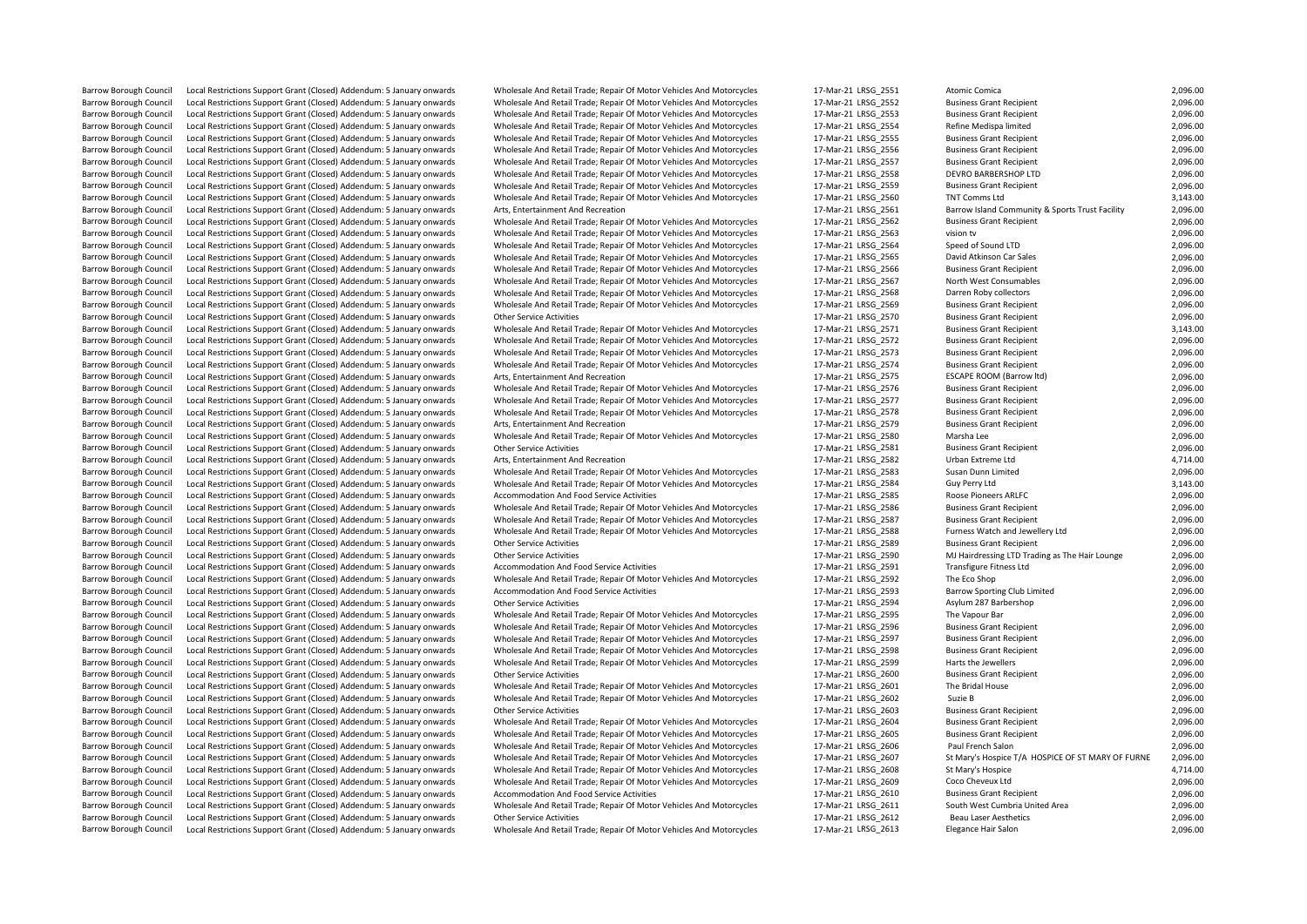| <b>Barrow Borough Council</b> | Local Restrictions Support Grant (Closed) Addendum: 5 January onwards | Wholesale And Retail Trade; Repair Of Motor Vehicles And Motorcycles | 17-Mar-21 LRSG_2551 | Atomic Comica                                     | 2,096.00 |
|-------------------------------|-----------------------------------------------------------------------|----------------------------------------------------------------------|---------------------|---------------------------------------------------|----------|
| <b>Barrow Borough Council</b> | Local Restrictions Support Grant (Closed) Addendum: 5 January onwards | Wholesale And Retail Trade; Repair Of Motor Vehicles And Motorcycles | 17-Mar-21 LRSG 2552 | <b>Business Grant Recipient</b>                   | 2,096.00 |
| <b>Barrow Borough Council</b> | Local Restrictions Support Grant (Closed) Addendum: 5 January onwards | Wholesale And Retail Trade; Repair Of Motor Vehicles And Motorcycles | 17-Mar-21 LRSG 2553 | <b>Business Grant Recipient</b>                   | 2,096.00 |
| <b>Barrow Borough Council</b> | Local Restrictions Support Grant (Closed) Addendum: 5 January onwards | Wholesale And Retail Trade; Repair Of Motor Vehicles And Motorcycles | 17-Mar-21 LRSG 2554 | Refine Medispa limited                            | 2,096.00 |
| <b>Barrow Borough Council</b> | Local Restrictions Support Grant (Closed) Addendum: 5 January onwards | Wholesale And Retail Trade; Repair Of Motor Vehicles And Motorcycles | 17-Mar-21 LRSG 2555 | <b>Business Grant Recipient</b>                   | 2,096.00 |
| <b>Barrow Borough Council</b> | Local Restrictions Support Grant (Closed) Addendum: 5 January onwards | Wholesale And Retail Trade; Repair Of Motor Vehicles And Motorcycles | 17-Mar-21 LRSG 2556 | <b>Business Grant Recipient</b>                   | 2,096.00 |
| <b>Barrow Borough Council</b> | Local Restrictions Support Grant (Closed) Addendum: 5 January onwards | Wholesale And Retail Trade; Repair Of Motor Vehicles And Motorcycles | 17-Mar-21 LRSG 2557 | <b>Business Grant Recipient</b>                   | 2,096.00 |
| <b>Barrow Borough Council</b> | Local Restrictions Support Grant (Closed) Addendum: 5 January onwards | Wholesale And Retail Trade; Repair Of Motor Vehicles And Motorcycles | 17-Mar-21 LRSG 2558 | DEVRO BARBERSHOP LTD                              | 2,096.00 |
| <b>Barrow Borough Council</b> | Local Restrictions Support Grant (Closed) Addendum: 5 January onwards | Wholesale And Retail Trade; Repair Of Motor Vehicles And Motorcycles | 17-Mar-21 LRSG 2559 | <b>Business Grant Recipient</b>                   | 2,096.00 |
| <b>Barrow Borough Council</b> | Local Restrictions Support Grant (Closed) Addendum: 5 January onwards | Wholesale And Retail Trade; Repair Of Motor Vehicles And Motorcycles | 17-Mar-21 LRSG 2560 | <b>TNT Comms Ltd</b>                              | 3,143.00 |
| <b>Barrow Borough Council</b> | Local Restrictions Support Grant (Closed) Addendum: 5 January onwards | Arts, Entertainment And Recreation                                   | 17-Mar-21 LRSG 2561 | Barrow Island Community & Sports Trust Facility   | 2,096.00 |
| <b>Barrow Borough Council</b> | Local Restrictions Support Grant (Closed) Addendum: 5 January onwards | Wholesale And Retail Trade; Repair Of Motor Vehicles And Motorcycles | 17-Mar-21 LRSG 2562 | <b>Business Grant Recipient</b>                   | 2,096.00 |
| <b>Barrow Borough Council</b> | Local Restrictions Support Grant (Closed) Addendum: 5 January onwards | Wholesale And Retail Trade; Repair Of Motor Vehicles And Motorcycles | 17-Mar-21 LRSG 2563 | vision tv                                         | 2,096.00 |
| <b>Barrow Borough Council</b> | Local Restrictions Support Grant (Closed) Addendum: 5 January onwards | Wholesale And Retail Trade; Repair Of Motor Vehicles And Motorcycles | 17-Mar-21 LRSG 2564 | Speed of Sound LTD                                | 2,096.00 |
| <b>Barrow Borough Council</b> | Local Restrictions Support Grant (Closed) Addendum: 5 January onwards | Wholesale And Retail Trade; Repair Of Motor Vehicles And Motorcycles | 17-Mar-21 LRSG 2565 | David Atkinson Car Sales                          | 2,096.00 |
| <b>Barrow Borough Council</b> | Local Restrictions Support Grant (Closed) Addendum: 5 January onwards | Wholesale And Retail Trade; Repair Of Motor Vehicles And Motorcycles | 17-Mar-21 LRSG 2566 | <b>Business Grant Recipient</b>                   | 2,096.00 |
| <b>Barrow Borough Council</b> | Local Restrictions Support Grant (Closed) Addendum: 5 January onwards | Wholesale And Retail Trade; Repair Of Motor Vehicles And Motorcycles | 17-Mar-21 LRSG 2567 | North West Consumables                            | 2,096.00 |
| <b>Barrow Borough Council</b> | Local Restrictions Support Grant (Closed) Addendum: 5 January onwards | Wholesale And Retail Trade; Repair Of Motor Vehicles And Motorcycles | 17-Mar-21 LRSG 2568 | Darren Roby collectors                            | 2,096.00 |
| <b>Barrow Borough Council</b> | Local Restrictions Support Grant (Closed) Addendum: 5 January onwards | Wholesale And Retail Trade; Repair Of Motor Vehicles And Motorcycles | 17-Mar-21 LRSG 2569 | <b>Business Grant Recipient</b>                   | 2.096.00 |
| <b>Barrow Borough Council</b> | Local Restrictions Support Grant (Closed) Addendum: 5 January onwards | <b>Other Service Activities</b>                                      | 17-Mar-21 LRSG 2570 | <b>Business Grant Recipient</b>                   | 2,096.00 |
| <b>Barrow Borough Council</b> | Local Restrictions Support Grant (Closed) Addendum: 5 January onwards | Wholesale And Retail Trade; Repair Of Motor Vehicles And Motorcycles | 17-Mar-21 LRSG 2571 | <b>Business Grant Recipient</b>                   | 3,143.00 |
| Barrow Borough Council        | Local Restrictions Support Grant (Closed) Addendum: 5 January onwards | Wholesale And Retail Trade; Repair Of Motor Vehicles And Motorcycles | 17-Mar-21 LRSG_2572 | <b>Business Grant Recipient</b>                   | 2,096.00 |
| <b>Barrow Borough Council</b> | Local Restrictions Support Grant (Closed) Addendum: 5 January onwards | Wholesale And Retail Trade; Repair Of Motor Vehicles And Motorcycles | 17-Mar-21 LRSG 2573 | <b>Business Grant Recipient</b>                   | 2,096.00 |
| <b>Barrow Borough Council</b> | Local Restrictions Support Grant (Closed) Addendum: 5 January onwards | Wholesale And Retail Trade; Repair Of Motor Vehicles And Motorcycles | 17-Mar-21 LRSG 2574 | <b>Business Grant Recipient</b>                   | 2,096.00 |
| <b>Barrow Borough Council</b> | Local Restrictions Support Grant (Closed) Addendum: 5 January onwards | Arts, Entertainment And Recreation                                   | 17-Mar-21 LRSG 2575 | ESCAPE ROOM (Barrow Itd)                          | 2,096.00 |
| <b>Barrow Borough Council</b> | Local Restrictions Support Grant (Closed) Addendum: 5 January onwards | Wholesale And Retail Trade; Repair Of Motor Vehicles And Motorcycles | 17-Mar-21 LRSG 2576 | <b>Business Grant Recipient</b>                   | 2,096.00 |
| <b>Barrow Borough Council</b> | Local Restrictions Support Grant (Closed) Addendum: 5 January onwards | Wholesale And Retail Trade; Repair Of Motor Vehicles And Motorcycles | 17-Mar-21 LRSG_2577 | <b>Business Grant Recipient</b>                   | 2,096.00 |
| <b>Barrow Borough Council</b> | Local Restrictions Support Grant (Closed) Addendum: 5 January onwards | Wholesale And Retail Trade; Repair Of Motor Vehicles And Motorcycles | 17-Mar-21 LRSG 2578 | <b>Business Grant Recipient</b>                   | 2,096.00 |
| <b>Barrow Borough Council</b> | Local Restrictions Support Grant (Closed) Addendum: 5 January onwards | Arts, Entertainment And Recreation                                   | 17-Mar-21 LRSG 2579 | <b>Business Grant Recipient</b>                   | 2,096.00 |
| <b>Barrow Borough Council</b> | Local Restrictions Support Grant (Closed) Addendum: 5 January onwards | Wholesale And Retail Trade; Repair Of Motor Vehicles And Motorcycles | 17-Mar-21 LRSG 2580 | Marsha Lee                                        | 2,096.00 |
| <b>Barrow Borough Council</b> | Local Restrictions Support Grant (Closed) Addendum: 5 January onwards | <b>Other Service Activities</b>                                      | 17-Mar-21 LRSG_2581 | <b>Business Grant Recipient</b>                   | 2,096.00 |
| <b>Barrow Borough Council</b> | Local Restrictions Support Grant (Closed) Addendum: 5 January onwards | Arts, Entertainment And Recreation                                   | 17-Mar-21 LRSG 2582 | Urban Extreme Ltd                                 | 4,714.00 |
| <b>Barrow Borough Council</b> | Local Restrictions Support Grant (Closed) Addendum: 5 January onwards | Wholesale And Retail Trade; Repair Of Motor Vehicles And Motorcycles | 17-Mar-21 LRSG 2583 | Susan Dunn Limited                                | 2,096.00 |
| <b>Barrow Borough Council</b> | Local Restrictions Support Grant (Closed) Addendum: 5 January onwards | Wholesale And Retail Trade; Repair Of Motor Vehicles And Motorcycles | 17-Mar-21 LRSG 2584 | Guy Perry Ltd                                     | 3,143.00 |
| <b>Barrow Borough Council</b> | Local Restrictions Support Grant (Closed) Addendum: 5 January onwards | Accommodation And Food Service Activities                            | 17-Mar-21 LRSG 2585 | Roose Pioneers ARLFC                              | 2,096.00 |
| <b>Barrow Borough Council</b> | Local Restrictions Support Grant (Closed) Addendum: 5 January onwards | Wholesale And Retail Trade; Repair Of Motor Vehicles And Motorcycles | 17-Mar-21 LRSG 2586 | <b>Business Grant Recipient</b>                   | 2,096.00 |
| <b>Barrow Borough Council</b> | Local Restrictions Support Grant (Closed) Addendum: 5 January onwards | Wholesale And Retail Trade; Repair Of Motor Vehicles And Motorcycles | 17-Mar-21 LRSG 2587 | <b>Business Grant Recipient</b>                   | 2,096.00 |
| <b>Barrow Borough Council</b> | Local Restrictions Support Grant (Closed) Addendum: 5 January onwards | Wholesale And Retail Trade; Repair Of Motor Vehicles And Motorcycles | 17-Mar-21 LRSG 2588 | Furness Watch and Jewellery Ltd                   | 2,096.00 |
| <b>Barrow Borough Council</b> | Local Restrictions Support Grant (Closed) Addendum: 5 January onwards | <b>Other Service Activities</b>                                      | 17-Mar-21 LRSG 2589 | <b>Business Grant Recipient</b>                   | 2,096.00 |
| <b>Barrow Borough Council</b> | Local Restrictions Support Grant (Closed) Addendum: 5 January onwards | <b>Other Service Activities</b>                                      | 17-Mar-21 LRSG 2590 | MJ Hairdressing LTD Trading as The Hair Lounge    | 2,096.00 |
| <b>Barrow Borough Council</b> | Local Restrictions Support Grant (Closed) Addendum: 5 January onwards | Accommodation And Food Service Activities                            | 17-Mar-21 LRSG 2591 | <b>Transfigure Fitness Ltd</b>                    | 2,096.00 |
| <b>Barrow Borough Council</b> | Local Restrictions Support Grant (Closed) Addendum: 5 January onwards | Wholesale And Retail Trade; Repair Of Motor Vehicles And Motorcycles | 17-Mar-21 LRSG 2592 | The Eco Shop                                      | 2,096.00 |
| Barrow Borough Council        | Local Restrictions Support Grant (Closed) Addendum: 5 January onwards | Accommodation And Food Service Activities                            | 17-Mar-21 LRSG_2593 | <b>Barrow Sporting Club Limited</b>               | 2,096.00 |
| <b>Barrow Borough Council</b> | Local Restrictions Support Grant (Closed) Addendum: 5 January onwards | <b>Other Service Activities</b>                                      | 17-Mar-21 LRSG 2594 | Asylum 287 Barbershop                             | 2,096.00 |
| <b>Barrow Borough Council</b> | Local Restrictions Support Grant (Closed) Addendum: 5 January onwards | Wholesale And Retail Trade; Repair Of Motor Vehicles And Motorcycles | 17-Mar-21 LRSG_2595 | The Vapour Bar                                    | 2,096.00 |
| <b>Barrow Borough Council</b> | Local Restrictions Support Grant (Closed) Addendum: 5 January onwards | Wholesale And Retail Trade; Repair Of Motor Vehicles And Motorcycles | 17-Mar-21 LRSG 2596 | <b>Business Grant Recipient</b>                   | 2,096.00 |
| <b>Barrow Borough Council</b> | Local Restrictions Support Grant (Closed) Addendum: 5 January onwards | Wholesale And Retail Trade; Repair Of Motor Vehicles And Motorcycles | 17-Mar-21 LRSG 2597 | <b>Business Grant Recipient</b>                   | 2,096.00 |
| <b>Barrow Borough Council</b> | Local Restrictions Support Grant (Closed) Addendum: 5 January onwards | Wholesale And Retail Trade; Repair Of Motor Vehicles And Motorcycles | 17-Mar-21 LRSG 2598 | <b>Business Grant Recipient</b>                   | 2,096.00 |
| <b>Barrow Borough Council</b> | Local Restrictions Support Grant (Closed) Addendum: 5 January onwards | Wholesale And Retail Trade; Repair Of Motor Vehicles And Motorcycles | 17-Mar-21 LRSG 2599 | Harts the Jewellers                               | 2,096.00 |
| <b>Barrow Borough Council</b> | Local Restrictions Support Grant (Closed) Addendum: 5 January onwards | <b>Other Service Activities</b>                                      | 17-Mar-21 LRSG 2600 | <b>Business Grant Recipient</b>                   | 2,096.00 |
| <b>Barrow Borough Council</b> | Local Restrictions Support Grant (Closed) Addendum: 5 January onwards | Wholesale And Retail Trade; Repair Of Motor Vehicles And Motorcycles | 17-Mar-21 LRSG 2601 | The Bridal House                                  | 2,096.00 |
| <b>Barrow Borough Council</b> | Local Restrictions Support Grant (Closed) Addendum: 5 January onwards | Wholesale And Retail Trade; Repair Of Motor Vehicles And Motorcycles | 17-Mar-21 LRSG 2602 | Suzie B                                           | 2,096.00 |
| <b>Barrow Borough Council</b> | Local Restrictions Support Grant (Closed) Addendum: 5 January onwards | <b>Other Service Activities</b>                                      | 17-Mar-21 LRSG 2603 | <b>Business Grant Recipient</b>                   | 2,096.00 |
| <b>Barrow Borough Council</b> | Local Restrictions Support Grant (Closed) Addendum: 5 January onwards | Wholesale And Retail Trade; Repair Of Motor Vehicles And Motorcycles | 17-Mar-21 LRSG 2604 | <b>Business Grant Recipient</b>                   | 2,096.00 |
| <b>Barrow Borough Council</b> | Local Restrictions Support Grant (Closed) Addendum: 5 January onwards | Wholesale And Retail Trade; Repair Of Motor Vehicles And Motorcycles | 17-Mar-21 LRSG 2605 | <b>Business Grant Recipient</b>                   | 2,096.00 |
| <b>Barrow Borough Council</b> | Local Restrictions Support Grant (Closed) Addendum: 5 January onwards | Wholesale And Retail Trade; Repair Of Motor Vehicles And Motorcycles | 17-Mar-21 LRSG 2606 | Paul French Salon                                 | 2,096.00 |
| <b>Barrow Borough Council</b> | Local Restrictions Support Grant (Closed) Addendum: 5 January onwards | Wholesale And Retail Trade; Repair Of Motor Vehicles And Motorcycles | 17-Mar-21 LRSG 2607 | St Mary's Hospice T/A HOSPICE OF ST MARY OF FURNE | 2,096.00 |
| <b>Barrow Borough Council</b> | Local Restrictions Support Grant (Closed) Addendum: 5 January onwards | Wholesale And Retail Trade; Repair Of Motor Vehicles And Motorcycles | 17-Mar-21 LRSG 2608 | St Mary's Hospice                                 | 4,714.00 |
| <b>Barrow Borough Council</b> | Local Restrictions Support Grant (Closed) Addendum: 5 January onwards | Wholesale And Retail Trade; Repair Of Motor Vehicles And Motorcycles | 17-Mar-21 LRSG_2609 | Coco Cheveux Ltd                                  | 2,096.00 |
| <b>Barrow Borough Council</b> | Local Restrictions Support Grant (Closed) Addendum: 5 January onwards | Accommodation And Food Service Activities                            | 17-Mar-21 LRSG 2610 | <b>Business Grant Recipient</b>                   | 2,096.00 |
| <b>Barrow Borough Council</b> | Local Restrictions Support Grant (Closed) Addendum: 5 January onwards | Wholesale And Retail Trade; Repair Of Motor Vehicles And Motorcycles | 17-Mar-21 LRSG 2611 | South West Cumbria United Area                    | 2,096.00 |
| <b>Barrow Borough Council</b> | Local Restrictions Support Grant (Closed) Addendum: 5 January onwards | <b>Other Service Activities</b>                                      | 17-Mar-21 LRSG 2612 | <b>Beau Laser Aesthetics</b>                      | 2,096.00 |
| <b>Barrow Borough Council</b> | Local Restrictions Support Grant (Closed) Addendum: 5 January onwards | Wholesale And Retail Trade; Repair Of Motor Vehicles And Motorcycles | 17-Mar-21 LRSG 2613 | Elegance Hair Salon                               | 2,096.00 |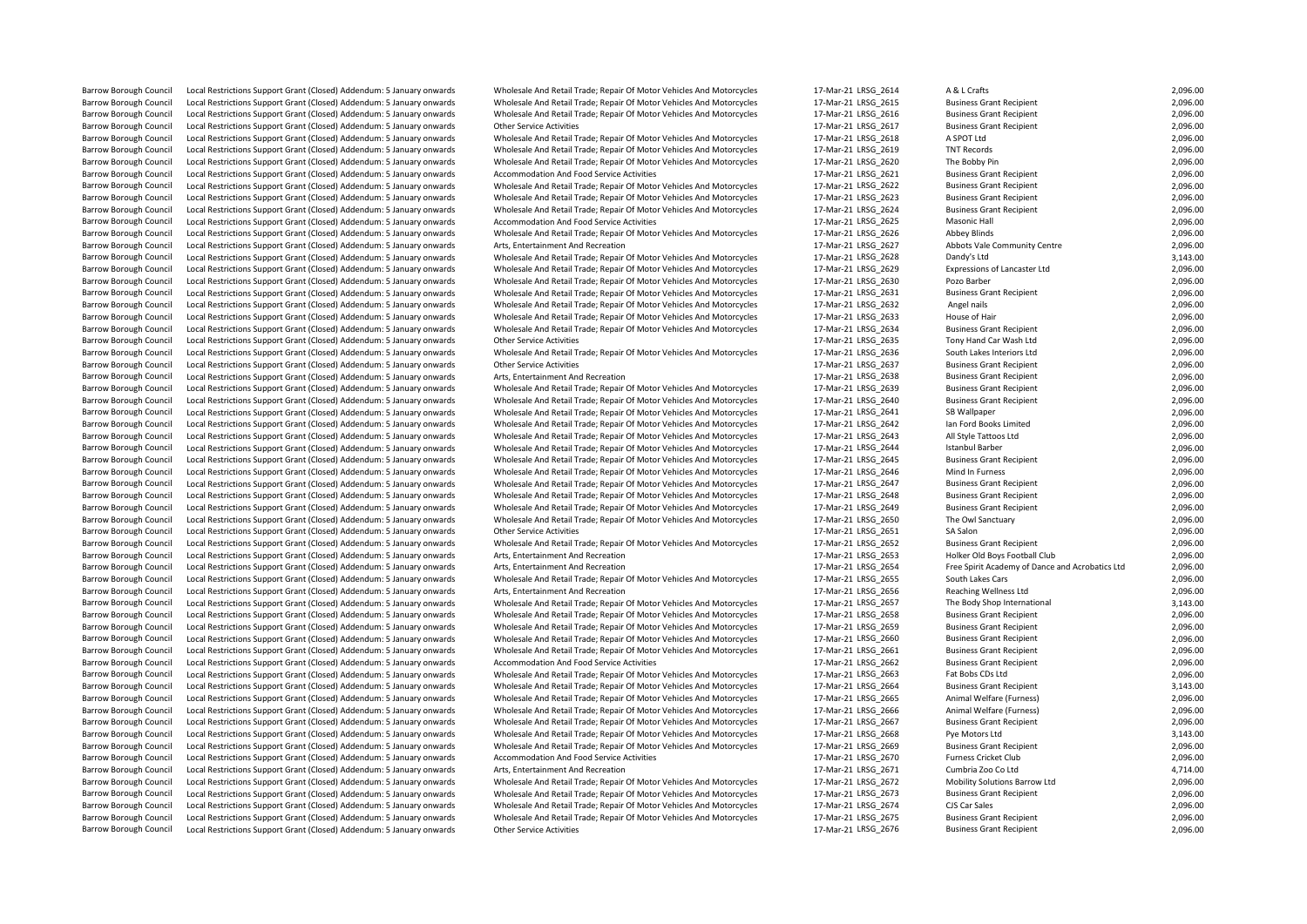| Barrow Borough Counci         | Local Restrictions Support Grant (Closed) Addendum: 5 January onwards                                                                          | <u>Wriglesale And Retail Trade; Repair Of Motor Venicles And MotorCycles</u>                                                                 | TN-M91-ST FR2A SDT4 | A & L Craits                                    | Z,UYO.UU             |
|-------------------------------|------------------------------------------------------------------------------------------------------------------------------------------------|----------------------------------------------------------------------------------------------------------------------------------------------|---------------------|-------------------------------------------------|----------------------|
| <b>Barrow Borough Council</b> | Local Restrictions Support Grant (Closed) Addendum: 5 January onwards                                                                          | Wholesale And Retail Trade; Repair Of Motor Vehicles And Motorcycles                                                                         | 17-Mar-21 LRSG 2615 | <b>Business Grant Recipient</b>                 | 2,096.00             |
| <b>Barrow Borough Council</b> | Local Restrictions Support Grant (Closed) Addendum: 5 January onwards                                                                          | Wholesale And Retail Trade; Repair Of Motor Vehicles And Motorcycles                                                                         | 17-Mar-21 LRSG 2616 | <b>Business Grant Recipient</b>                 | 2,096.00             |
| <b>Barrow Borough Council</b> | Local Restrictions Support Grant (Closed) Addendum: 5 January onwards                                                                          | <b>Other Service Activities</b>                                                                                                              | 17-Mar-21 LRSG_2617 | <b>Business Grant Recipient</b>                 | 2,096.00             |
| <b>Barrow Borough Council</b> | Local Restrictions Support Grant (Closed) Addendum: 5 January onwards                                                                          | Wholesale And Retail Trade; Repair Of Motor Vehicles And Motorcycles                                                                         | 17-Mar-21 LRSG 2618 | A SPOT Ltd                                      | 2,096.00             |
| <b>Barrow Borough Council</b> | Local Restrictions Support Grant (Closed) Addendum: 5 January onwards                                                                          | Wholesale And Retail Trade; Repair Of Motor Vehicles And Motorcycles                                                                         | 17-Mar-21 LRSG 2619 | <b>TNT Records</b>                              | 2,096.00             |
| <b>Barrow Borough Council</b> | Local Restrictions Support Grant (Closed) Addendum: 5 January onwards                                                                          | Wholesale And Retail Trade; Repair Of Motor Vehicles And Motorcycles                                                                         | 17-Mar-21 LRSG 2620 | The Bobby Pin                                   | 2,096.00             |
| <b>Barrow Borough Council</b> | Local Restrictions Support Grant (Closed) Addendum: 5 January onwards                                                                          | Accommodation And Food Service Activities                                                                                                    | 17-Mar-21 LRSG 2621 | <b>Business Grant Recipient</b>                 | 2,096.00             |
| <b>Barrow Borough Council</b> | Local Restrictions Support Grant (Closed) Addendum: 5 January onwards                                                                          | Wholesale And Retail Trade; Repair Of Motor Vehicles And Motorcycles                                                                         | 17-Mar-21 LRSG 2622 | <b>Business Grant Recipient</b>                 | 2,096.00             |
| <b>Barrow Borough Council</b> | Local Restrictions Support Grant (Closed) Addendum: 5 January onwards                                                                          | Wholesale And Retail Trade; Repair Of Motor Vehicles And Motorcycles                                                                         | 17-Mar-21 LRSG 2623 | <b>Business Grant Recipient</b>                 | 2,096.00             |
| <b>Barrow Borough Council</b> | Local Restrictions Support Grant (Closed) Addendum: 5 January onwards                                                                          | Wholesale And Retail Trade; Repair Of Motor Vehicles And Motorcycles                                                                         | 17-Mar-21 LRSG 2624 | <b>Business Grant Recipient</b>                 | 2,096.00             |
| <b>Barrow Borough Council</b> | Local Restrictions Support Grant (Closed) Addendum: 5 January onwards                                                                          | Accommodation And Food Service Activities                                                                                                    | 17-Mar-21 LRSG 2625 | Masonic Hall                                    | 2,096.00             |
| <b>Barrow Borough Council</b> | Local Restrictions Support Grant (Closed) Addendum: 5 January onwards                                                                          | Wholesale And Retail Trade; Repair Of Motor Vehicles And Motorcycles                                                                         | 17-Mar-21 LRSG 2626 | <b>Abbey Blinds</b>                             | 2,096.00             |
| <b>Barrow Borough Council</b> | Local Restrictions Support Grant (Closed) Addendum: 5 January onwards                                                                          | Arts, Entertainment And Recreation                                                                                                           | 17-Mar-21 LRSG 2627 | Abbots Vale Community Centre                    | 2,096.00             |
| <b>Barrow Borough Council</b> | Local Restrictions Support Grant (Closed) Addendum: 5 January onwards                                                                          | Wholesale And Retail Trade; Repair Of Motor Vehicles And Motorcycles                                                                         | 17-Mar-21 LRSG 2628 | Dandy's Ltd                                     | 3,143.00             |
| <b>Barrow Borough Council</b> | Local Restrictions Support Grant (Closed) Addendum: 5 January onwards                                                                          | Wholesale And Retail Trade; Repair Of Motor Vehicles And Motorcycles                                                                         | 17-Mar-21 LRSG 2629 | Expressions of Lancaster Ltd                    | 2,096.00             |
| <b>Barrow Borough Council</b> | Local Restrictions Support Grant (Closed) Addendum: 5 January onwards                                                                          | Wholesale And Retail Trade; Repair Of Motor Vehicles And Motorcycles                                                                         | 17-Mar-21 LRSG 2630 | Pozo Barber                                     | 2,096.00             |
| <b>Barrow Borough Council</b> | Local Restrictions Support Grant (Closed) Addendum: 5 January onwards                                                                          | Wholesale And Retail Trade; Repair Of Motor Vehicles And Motorcycles                                                                         | 17-Mar-21 LRSG_2631 | <b>Business Grant Recipient</b>                 | 2,096.00             |
| <b>Barrow Borough Council</b> | Local Restrictions Support Grant (Closed) Addendum: 5 January onwards                                                                          | Wholesale And Retail Trade; Repair Of Motor Vehicles And Motorcycles                                                                         | 17-Mar-21 LRSG 2632 | Angel nails                                     | 2,096.00             |
| <b>Barrow Borough Council</b> | Local Restrictions Support Grant (Closed) Addendum: 5 January onwards                                                                          | Wholesale And Retail Trade; Repair Of Motor Vehicles And Motorcycles                                                                         | 17-Mar-21 LRSG 2633 | House of Hair                                   | 2,096.00             |
| <b>Barrow Borough Council</b> | Local Restrictions Support Grant (Closed) Addendum: 5 January onwards                                                                          | Wholesale And Retail Trade; Repair Of Motor Vehicles And Motorcycles                                                                         | 17-Mar-21 LRSG 2634 | <b>Business Grant Recipient</b>                 | 2,096.00             |
| <b>Barrow Borough Council</b> | Local Restrictions Support Grant (Closed) Addendum: 5 January onwards                                                                          | <b>Other Service Activities</b>                                                                                                              | 17-Mar-21 LRSG 2635 | Tony Hand Car Wash Ltd                          | 2,096.00             |
| <b>Barrow Borough Council</b> | Local Restrictions Support Grant (Closed) Addendum: 5 January onwards                                                                          | Wholesale And Retail Trade; Repair Of Motor Vehicles And Motorcycles                                                                         | 17-Mar-21 LRSG 2636 | South Lakes Interiors Ltd                       | 2,096.00             |
| <b>Barrow Borough Council</b> | Local Restrictions Support Grant (Closed) Addendum: 5 January onwards                                                                          | <b>Other Service Activities</b>                                                                                                              | 17-Mar-21 LRSG 2637 | <b>Business Grant Recipient</b>                 | 2,096.00             |
| <b>Barrow Borough Council</b> | Local Restrictions Support Grant (Closed) Addendum: 5 January onwards                                                                          | Arts, Entertainment And Recreation                                                                                                           | 17-Mar-21 LRSG 2638 | <b>Business Grant Recipient</b>                 | 2,096.00             |
| <b>Barrow Borough Council</b> | Local Restrictions Support Grant (Closed) Addendum: 5 January onwards                                                                          | Wholesale And Retail Trade; Repair Of Motor Vehicles And Motorcycles                                                                         | 17-Mar-21 LRSG 2639 | <b>Business Grant Recipient</b>                 | 2,096.00             |
| <b>Barrow Borough Council</b> | Local Restrictions Support Grant (Closed) Addendum: 5 January onwards                                                                          | Wholesale And Retail Trade; Repair Of Motor Vehicles And Motorcycles                                                                         | 17-Mar-21 LRSG 2640 | <b>Business Grant Recipient</b>                 | 2,096.00             |
| <b>Barrow Borough Council</b> | Local Restrictions Support Grant (Closed) Addendum: 5 January onwards                                                                          | Wholesale And Retail Trade; Repair Of Motor Vehicles And Motorcycles                                                                         | 17-Mar-21 LRSG 2641 | SB Wallpaper                                    | 2,096.00             |
| <b>Barrow Borough Council</b> | Local Restrictions Support Grant (Closed) Addendum: 5 January onwards                                                                          | Wholesale And Retail Trade; Repair Of Motor Vehicles And Motorcycles                                                                         | 17-Mar-21 LRSG 2642 | Ian Ford Books Limited                          | 2,096.00             |
| <b>Barrow Borough Council</b> | Local Restrictions Support Grant (Closed) Addendum: 5 January onwards                                                                          | Wholesale And Retail Trade; Repair Of Motor Vehicles And Motorcycles                                                                         | 17-Mar-21 LRSG 2643 | All Style Tattoos Ltd                           | 2,096.00             |
| <b>Barrow Borough Council</b> |                                                                                                                                                |                                                                                                                                              | 17-Mar-21 LRSG_2644 | <b>Istanbul Barber</b>                          |                      |
| <b>Barrow Borough Council</b> | Local Restrictions Support Grant (Closed) Addendum: 5 January onwards<br>Local Restrictions Support Grant (Closed) Addendum: 5 January onwards | Wholesale And Retail Trade; Repair Of Motor Vehicles And Motorcycles<br>Wholesale And Retail Trade; Repair Of Motor Vehicles And Motorcycles | 17-Mar-21 LRSG 2645 | <b>Business Grant Recipient</b>                 | 2,096.00<br>2,096.00 |
| <b>Barrow Borough Council</b> |                                                                                                                                                |                                                                                                                                              |                     | Mind In Furness                                 |                      |
|                               | Local Restrictions Support Grant (Closed) Addendum: 5 January onwards                                                                          | Wholesale And Retail Trade; Repair Of Motor Vehicles And Motorcycles                                                                         | 17-Mar-21 LRSG_2646 |                                                 | 2,096.00             |
| <b>Barrow Borough Council</b> | Local Restrictions Support Grant (Closed) Addendum: 5 January onwards                                                                          | Wholesale And Retail Trade; Repair Of Motor Vehicles And Motorcycles                                                                         | 17-Mar-21 LRSG 2647 | <b>Business Grant Recipient</b>                 | 2,096.00             |
| <b>Barrow Borough Council</b> | Local Restrictions Support Grant (Closed) Addendum: 5 January onwards                                                                          | Wholesale And Retail Trade; Repair Of Motor Vehicles And Motorcycles                                                                         | 17-Mar-21 LRSG 2648 | <b>Business Grant Recipient</b>                 | 2,096.00             |
| <b>Barrow Borough Council</b> | Local Restrictions Support Grant (Closed) Addendum: 5 January onwards                                                                          | Wholesale And Retail Trade; Repair Of Motor Vehicles And Motorcycles                                                                         | 17-Mar-21 LRSG 2649 | <b>Business Grant Recipient</b>                 | 2,096.00             |
| <b>Barrow Borough Council</b> | Local Restrictions Support Grant (Closed) Addendum: 5 January onwards                                                                          | Wholesale And Retail Trade; Repair Of Motor Vehicles And Motorcycles                                                                         | 17-Mar-21 LRSG_2650 | The Owl Sanctuary                               | 2,096.00             |
| <b>Barrow Borough Council</b> | Local Restrictions Support Grant (Closed) Addendum: 5 January onwards                                                                          | <b>Other Service Activities</b>                                                                                                              | 17-Mar-21 LRSG_2651 | SA Salon                                        | 2,096.00             |
| <b>Barrow Borough Council</b> | Local Restrictions Support Grant (Closed) Addendum: 5 January onwards                                                                          | Wholesale And Retail Trade; Repair Of Motor Vehicles And Motorcycles                                                                         | 17-Mar-21 LRSG 2652 | <b>Business Grant Recipient</b>                 | 2,096.00             |
| <b>Barrow Borough Council</b> | Local Restrictions Support Grant (Closed) Addendum: 5 January onwards                                                                          | Arts, Entertainment And Recreation                                                                                                           | 17-Mar-21 LRSG 2653 | Holker Old Boys Football Club                   | 2,096.00             |
| <b>Barrow Borough Council</b> | Local Restrictions Support Grant (Closed) Addendum: 5 January onwards                                                                          | Arts, Entertainment And Recreation                                                                                                           | 17-Mar-21 LRSG_2654 | Free Spirit Academy of Dance and Acrobatics Ltd | 2,096.00             |
| <b>Barrow Borough Council</b> | Local Restrictions Support Grant (Closed) Addendum: 5 January onwards                                                                          | Wholesale And Retail Trade; Repair Of Motor Vehicles And Motorcycles                                                                         | 17-Mar-21 LRSG 2655 | South Lakes Cars                                | 2,096.00             |
| <b>Barrow Borough Council</b> | Local Restrictions Support Grant (Closed) Addendum: 5 January onwards                                                                          | Arts, Entertainment And Recreation                                                                                                           | 17-Mar-21 LRSG_2656 | <b>Reaching Wellness Ltd</b>                    | 2,096.00             |
| <b>Barrow Borough Council</b> | Local Restrictions Support Grant (Closed) Addendum: 5 January onwards                                                                          | Wholesale And Retail Trade; Repair Of Motor Vehicles And Motorcycles                                                                         | 17-Mar-21 LRSG 2657 | The Body Shop International                     | 3,143.00             |
| <b>Barrow Borough Council</b> | Local Restrictions Support Grant (Closed) Addendum: 5 January onwards                                                                          | Wholesale And Retail Trade; Repair Of Motor Vehicles And Motorcycles                                                                         | 17-Mar-21 LRSG_2658 | <b>Business Grant Recipient</b>                 | 2,096.00             |
| <b>Barrow Borough Council</b> | Local Restrictions Support Grant (Closed) Addendum: 5 January onwards                                                                          | Wholesale And Retail Trade; Repair Of Motor Vehicles And Motorcycles                                                                         | 17-Mar-21 LRSG 2659 | <b>Business Grant Recipient</b>                 | 2,096.00             |
| <b>Barrow Borough Council</b> | Local Restrictions Support Grant (Closed) Addendum: 5 January onwards                                                                          | Wholesale And Retail Trade; Repair Of Motor Vehicles And Motorcycles                                                                         | 17-Mar-21 LRSG 2660 | <b>Business Grant Recipient</b>                 | 2,096.00             |
| <b>Barrow Borough Council</b> | Local Restrictions Support Grant (Closed) Addendum: 5 January onwards                                                                          | Wholesale And Retail Trade; Repair Of Motor Vehicles And Motorcycles                                                                         | 17-Mar-21 LRSG_2661 | <b>Business Grant Recipient</b>                 | 2,096.00             |
| <b>Barrow Borough Council</b> | Local Restrictions Support Grant (Closed) Addendum: 5 January onwards                                                                          | Accommodation And Food Service Activities                                                                                                    | 17-Mar-21 LRSG_2662 | <b>Business Grant Recipient</b>                 | 2,096.00             |
| <b>Barrow Borough Council</b> | Local Restrictions Support Grant (Closed) Addendum: 5 January onwards                                                                          | Wholesale And Retail Trade; Repair Of Motor Vehicles And Motorcycles                                                                         | 17-Mar-21 LRSG 2663 | Fat Bobs CDs Ltd                                | 2,096.00             |
| <b>Barrow Borough Council</b> | Local Restrictions Support Grant (Closed) Addendum: 5 January onwards                                                                          | Wholesale And Retail Trade; Repair Of Motor Vehicles And Motorcycles                                                                         | 17-Mar-21 LRSG 2664 | <b>Business Grant Recipient</b>                 | 3,143.00             |
| <b>Barrow Borough Council</b> | Local Restrictions Support Grant (Closed) Addendum: 5 January onwards                                                                          | Wholesale And Retail Trade; Repair Of Motor Vehicles And Motorcycles                                                                         | 17-Mar-21 LRSG_2665 | Animal Welfare (Furness)                        | 2,096.00             |
| <b>Barrow Borough Council</b> | Local Restrictions Support Grant (Closed) Addendum: 5 January onwards                                                                          | Wholesale And Retail Trade; Repair Of Motor Vehicles And Motorcycles                                                                         | 17-Mar-21 LRSG_2666 | Animal Welfare (Furness)                        | 2,096.00             |
| <b>Barrow Borough Council</b> | Local Restrictions Support Grant (Closed) Addendum: 5 January onwards                                                                          | Wholesale And Retail Trade; Repair Of Motor Vehicles And Motorcycles                                                                         | 17-Mar-21 LRSG 2667 | <b>Business Grant Recipient</b>                 | 2,096.00             |
| <b>Barrow Borough Council</b> | Local Restrictions Support Grant (Closed) Addendum: 5 January onwards                                                                          | Wholesale And Retail Trade; Repair Of Motor Vehicles And Motorcycles                                                                         | 17-Mar-21 LRSG 2668 | Pye Motors Ltd                                  | 3,143.00             |
| <b>Barrow Borough Council</b> | Local Restrictions Support Grant (Closed) Addendum: 5 January onwards                                                                          | Wholesale And Retail Trade; Repair Of Motor Vehicles And Motorcycles                                                                         | 17-Mar-21 LRSG 2669 | <b>Business Grant Recipient</b>                 | 2,096.00             |
| Barrow Borough Council        | Local Restrictions Support Grant (Closed) Addendum: 5 January onwards                                                                          | Accommodation And Food Service Activities                                                                                                    | 17-Mar-21 LRSG_2670 | <b>Furness Cricket Club</b>                     | 2,096.00             |
| <b>Barrow Borough Council</b> | Local Restrictions Support Grant (Closed) Addendum: 5 January onwards                                                                          | Arts, Entertainment And Recreation                                                                                                           | 17-Mar-21 LRSG 2671 | Cumbria Zoo Co Ltd                              | 4,714.00             |
| <b>Barrow Borough Council</b> | Local Restrictions Support Grant (Closed) Addendum: 5 January onwards                                                                          | Wholesale And Retail Trade; Repair Of Motor Vehicles And Motorcycles                                                                         | 17-Mar-21 LRSG 2672 | Mobility Solutions Barrow Ltd                   | 2,096.00             |
| <b>Barrow Borough Council</b> | Local Restrictions Support Grant (Closed) Addendum: 5 January onwards                                                                          | Wholesale And Retail Trade; Repair Of Motor Vehicles And Motorcycles                                                                         | 17-Mar-21 LRSG 2673 | <b>Business Grant Recipient</b>                 | 2,096.00             |
| <b>Barrow Borough Council</b> | Local Restrictions Support Grant (Closed) Addendum: 5 January onwards                                                                          | Wholesale And Retail Trade; Repair Of Motor Vehicles And Motorcycles                                                                         | 17-Mar-21 LRSG 2674 | CJS Car Sales                                   | 2,096.00             |
| <b>Barrow Borough Council</b> | Local Restrictions Support Grant (Closed) Addendum: 5 January onwards                                                                          | Wholesale And Retail Trade; Repair Of Motor Vehicles And Motorcycles                                                                         | 17-Mar-21 LRSG 2675 | <b>Business Grant Recipient</b>                 | 2,096.00             |
| <b>Barrow Borough Council</b> | Local Restrictions Support Grant (Closed) Addendum: 5 January onwards                                                                          | <b>Other Service Activities</b>                                                                                                              | 17-Mar-21 LRSG 2676 | <b>Business Grant Recipient</b>                 | 2,096.00             |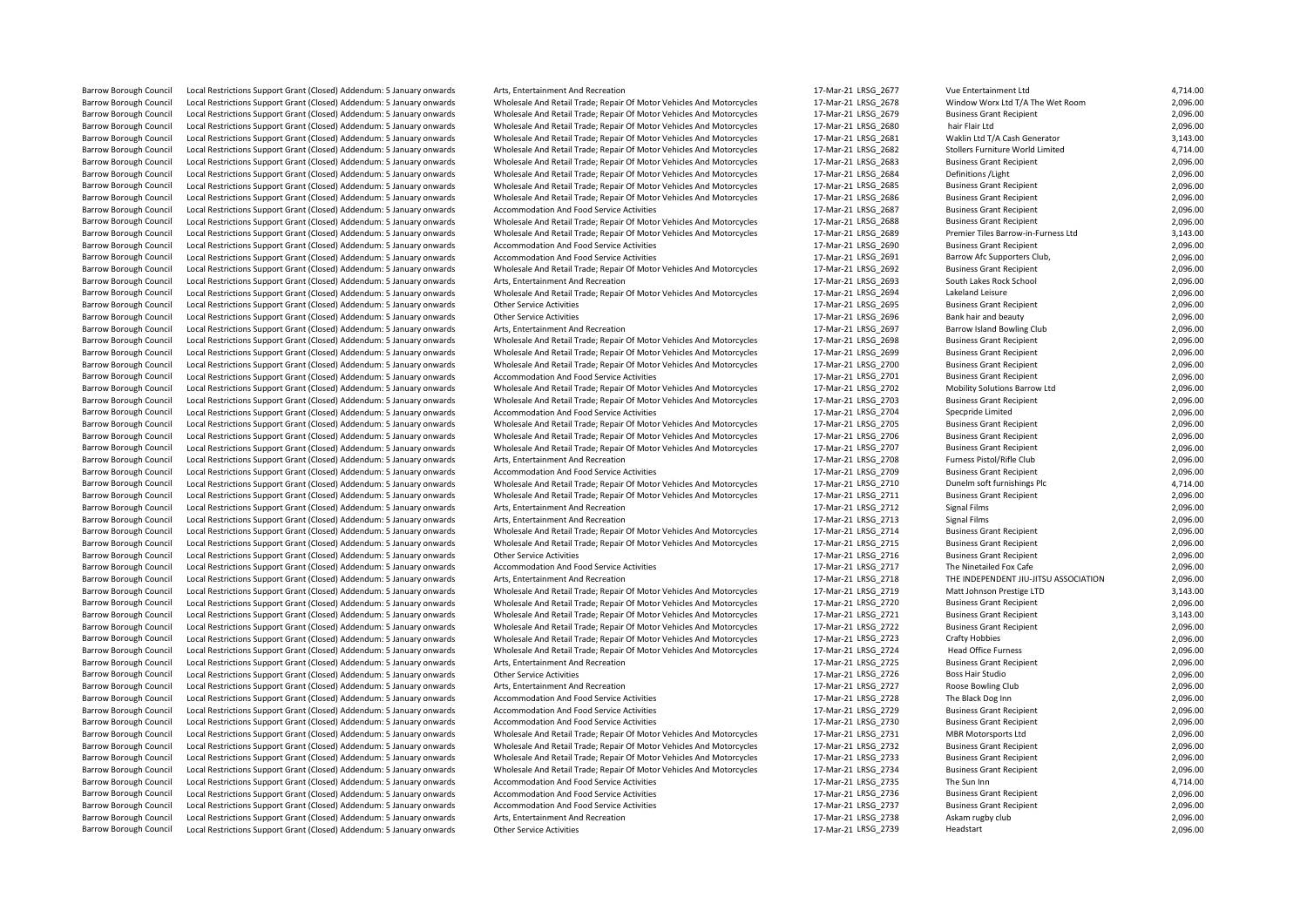Local Restrictions Support Grant (Closed) Addendum: 5 January onwards Barrow Borough Council Local Restrictions Support Grant (Closed) Addendum: 5 January onwards Wholesale And Retail Trade; Repair Of Motor Vehicles And Motorcycles 17-Mar-21 LRSG\_2734 Business Grant Recipient 2,096.00 Barrow Borough Council Local Restrictions Support Grant (Closed) Addendum: 5 January onwards Arts, Entertainment And Recreation 17-Mar-21 LRSG\_2738 Askam rugby club 2,096.00

Exal Restrictions Support Grant (Closed) Addendum: 5 January onwards Other Service Activities on the Service Activities 17-Mar-21 LRSG\_2696 Bank hair and beauty 17-Mar-21 LRSG\_2696 Bank hair and beauty 2,009.000 Bank hair Barrow Borough Council Local Restrictions Support Grant (Closed) Addendum: 5 January onwards Accommodation And Food Service Activities 17-Mar-21 LRSG\_2701 Business Grant Recipient 2,096.000 Business Grant Activities Accomm Local Restrictions Support Grant (Closed) Addendum: 5 January onwards Accommodation And Food Service Activities 1990 1990 12-Mar-21 LRSG\_2704 Specpride Limited Special Limited 2,009 17-Mar-21 LRSG\_2704 Special Prediction A Barrow Borough Council Local Restrictions Support Grant (Closed) Addendum: 5 January onwards Accommodation And Food Service Activities and Motorcycles 17-Mar-21 LRSG\_2709 Business Grant Recipient 2,096.000 Business Grant R Barrow Borough Council Local Restrictions Support Grant (Closed) Addendum: 5 January onwards Arts, Entertainment And Recreation<br>Barrow Borough Council Local Restrictions Support Grant (Closed) Addendum: 5 January onwards W Barrow Borough Council Local Restrictions Support Grant (Closed) Addendum: 5 January onwards Accommodation And Food Service Activities 17-Mar-21 LRSG\_2717 The Ninetailed Fox Cafe 2, 17-Mar-20 LRSG\_2717 The Ninetailed Fox C Barrow Borough Council Local Restrictions Support Grant (Closed) Addendum: 5 January onwards Wholesale And Retail Trade; Repair Of Motor Vehicles And Motorcycles 17-Mar-21 LRSG\_2721 Business Grant Recipient 3,143.000 Lacal Barrow Borough Council Local Restrictions Support Grant (Closed) Addendum: 5 January onwards Arts, Entertainment And Recreation and the service Artists and Recreation 17-Mar-21 LRSG\_2725 Business Grant Recipient 2,000 and Barrow Borough Council Local Restrictions Support Grant (Closed) Addendum: 5 January onwards Accommodation And Food Service Activities 17 18 17 Mar-21 LRSG\_2729 Business Grant Recipient Present Recipient 2,000 and Food Ser

Barrow Borough Council Local Restrictions Support Grant (Closed) Addendum: 5 January onwards Arts, Entertainment And Recreation and Recreation and Recreation 17-Mar-21 LRSG\_2677 Vue Entertainment Ltd 4,714.00<br>Barrow Boroug Barrow Borough Council Local Restrictions Support Grant (Closed) Addendum: 5 January onwards Wholesale And Retail Trade; Repair Of Motor Vehicles And Motorcycles 17-Mar-21 LRSG\_2678 Window Worx Ltd T/A The Wet Room 2,096.0 Barrow Borough Council Local Restrictions Support Grant (Closed) Addendum: 5 January onwards Wholesale And Retail Trade; Repair Of Motor Vehicles And Motorcycles 17-Mar-21 LRSG\_2679 Business Grant Recipient 2,096.00<br>Barrow Local Restrictions Support Grant (Closed) Addendum: 5 January onwards Wholesale And Retail Trade; Repair Of Motor Vehicles And Motorcycles 17-Mar-21 LRSG\_2680 hair Flair Ltd and Retain Ltd 2,096.00 2,096.00<br>Local Restricti Barrow Borough Council Local Restrictions Support Grant (Closed) Addendum: 5 January onwards Wholesale And Retail Trade; Repair Of Motor Vehicles And Motorcycles 17-Mar-21 LRSG\_2681 Waklin Ltd T/A Cash Generator 3,143.00<br>B Exal Restrictions Support Grant (Closed) Addendum: 5 January onwards Wholesale And Retail Trade; Repair Of Motor Vehicles And Motorcycles 17-Mar-21 LRSG\_2682 Stollers Furniture World Limited 4,714.00<br>1996.00 Local Restrict Barrow Borough Council Local Restrictions Support Grant (Closed) Addendum: 5 January onwards Wholesale And Retail Trade; Repair Of Motor Vehicles And Motorcycles 17-Mar-21 LRSG\_2683 Business Grant Recipient 2,096.00<br>Barrow Barrow Borough Council Local Restrictions Support Grant (Closed) Addendum: 5 January onwards Wholesale And Retail Trade; Repair Of Motor Vehicles And Motorcycles 17-Mar-21 LRSG\_2684 Definitions /Light 2,096.00<br>Barrow Borou Barrow Borough Council Local Restrictions Support Grant (Closed) Addendum: 5 January onwards Wholesale And Retail Trade; Repair Of Motor Vehicles And Motorcycles 17-Mar-21 LRSG\_2685 Business Grant Recipient 2,096.00<br>Barrow Barrow Borough Council Local Restrictions Support Grant (Closed) Addendum: 5 January onwards Wholesale And Retail Trade; Repair Of Motor Vehicles And Motorcycles 17-Mar-21 LRSG\_2686 Business Grant Recipient 2,096.00<br>Barrow Barrow Borough Council Local Restrictions Support Grant (Closed) Addendum: 5 January onwards Accommodation And Food Service Activities and Motorcycles 17-Mar-21 LRSG\_2687 Business Grant Recipient 2,096.00<br>Barrow Borough Co Barrow Borough Council Local Restrictions Support Grant (Closed) Addendum: 5 January onwards Wholesale And Retail Trade; Repair Of Motor Vehicles And Motorcycles 17-Mar-21 LRSG\_2689 Premier Tiles Barrow-in-Furness Ltd 3,14 Local Restrictions Support Grant (Closed) Addendum: 5 January onwards Accommodation And Food Service Activities 1990 a marting and accommodation And Food Service Activities 17-Mar-21 LRSG\_2690 Business Grant Recipient 2,09 Barrow Borough Council Local Restrictions Support Grant (Closed) Addendum: 5 January onwards Accommodation And Food Service Activities and Motorcycles 17-Mar-21 LRSG\_2691 Barrow Afc Supporters Club, 2,096.00<br>Barrow Borough Barrow Borough Council Local Restrictions Support Grant (Closed) Addendum: 5 January onwards Wholesale And Retail Trade; Repair Of Motor Vehicles And Motorcycles 17-Mar-21 LRSG\_2692 Business Grant Recipient 2,096.00<br>Rarrow Barrow Borough Council Local Restrictions Support Grant (Closed) Addendum: 5 January onwards Arts, Entertainment And Recreation exerceion 17-Mar-21 LRSG\_2693 South Lakes Rock School 2,096.00<br>Barrow Borough Council Local Re Barrow Borough Council Local Restrictions Support Grant (Closed) Addendum: 5 January onwards Wholesale And Retail Trade; Repair Of Motor Vehicles And Motorcycles 17-Mar-21 LRSG\_2694 Lakeland Leisure 2,096.00<br>Barrow Borough Barrow Borough Council Local Restrictions Support Grant (Closed) Addendum: 5 January onwards Other Service Activities exacts and the service Activities and the service Activities 17-Mar-21 LRSG\_2695 Business Grant Recipien Barrow Borough Council Local Restrictions Support Grant (Closed) Addendum: 5 January onwards Arts, Entertainment And Recreation 17-Mar-21 LRSG 2697 Barrow Island Bowling Club 2,096.00 Barrow Borough Council Local Restrictions Support Grant (Closed) Addendum: 5 January onwards Wholesale And Retail Trade; Repair Of Motor Vehicles And Motorcycles 17-Mar-21 LRSG\_2698 Business Grant Recipient 2,096.00<br>Barrow Barrow Borough Council Local Restrictions Support Grant (Closed) Addendum: 5 January onwards Wholesale And Retail Trade; Repair Of Motor Vehicles And Motorcycles 17-Mar-21 LRSG\_2699 Business Grant Recipient 2,096.00<br>Barrow Barrow Borough Council Local Restrictions Support Grant (Closed) Addendum: 5 January onwards Wholesale And Retail Trade; Repair Of Motor Vehicles And Motorcycles 17-Mar-21 LRSG\_2700 Business Grant Recipient 2,096.00<br>Barrow Barrow Borough Council Local Restrictions Support Grant (Closed) Addendum: 5 January onwards Wholesale And Retail Trade; Repair Of Motor Vehicles And Motorcycles 17-Mar-21 LRSG\_2702 Mobility Solutions Barrow Ltd 2,096.00<br>B Barrow Borough Council Local Restrictions Support Grant (Closed) Addendum: 5 January onwards Wholesale And Retail Trade; Repair Of Motor Vehicles And Motorcycles 17-Mar-21 LRSG\_2703 Business Grant Recipient 2,096.00<br>Barrow Barrow Borough Council Local Restrictions Support Grant (Closed) Addendum: 5 January onwards Wholesale And Retail Trade; Repair Of Motor Vehicles And Motorcycles 17-Mar-21 LRSG\_2705 Business Grant Recipient 2,096.00<br>Barrow Barrow Borough Council Local Restrictions Support Grant (Closed) Addendum: 5 January onwards Wholesale And Retail Trade; Repair Of Motor Vehicles And Motorcycles 17-Mar-21 LRSG\_2706 Business Grant Recipient 2,096.00<br>Barrow Barrow Borough Council Local Restrictions Support Grant (Closed) Addendum: 5 January onwards Wholesale And Retail Trade; Repair Of Motor Vehicles And Motorcycles 17-Mar-21 LRSG\_2707 Business Grant Recipient 2,096.00<br>Barrow Barrow Borough Council Local Restrictions Support Grant (Closed) Addendum: 5 January onwards Arts, Entertainment And Recreation 17-Marthum: 17-Mar-21 LRSG\_2708 Furness Pistol/Rifle Club 2,096.00<br>Barrow Borough Council Loca Barrow Borough Council Local Restrictions Support Grant (Closed) Addendum: 5 January onwards Wholesale And Retail Trade; Repair Of Motor Vehicles And Motorcycles 17-Mar-21 LRSG\_2710 Dunelm soft furnishings Plc 4,714.00<br>Bar Barrow Borough Council Local Restrictions Support Grant (Closed) Addendum: 5 January onwards Wholesale And Retail Trade; Repair Of Motor Vehicles And Motorcycles 17-Mar-21 LRSG\_2711 Business Grant Recipient 2,096.00<br>Barrow Barrow Borough Council Local Restrictions Support Grant (Closed) Addendum: 5 January onwards Arts, Entertainment And Recreation 17-Mar-21 LRSG\_2712 Signal Films 2,096.00 Local Restrictions Support Grant (Closed) Addendum: 5 January onwards Wholesale And Retail Trade; Repair Of Motor Vehicles And Motorcycles 17-Mar-21 LRSG\_2714 Business Grant Recipient 2,096.00 Barrow Borough Council Local Restrictions Support Grant (Closed) Addendum: 5 January onwards Wholesale And Retail Trade; Repair Of Motor Vehicles And Motorcycles 17-Mar-21 LRSG\_2715 Business Grant Recipient 2,096.00<br>Barrow Barrow Borough Council Local Restrictions Support Grant (Closed) Addendum: 5 January onwards Other Service Activities Other Service Activities and The Service Activities 17-Mar-21 LRSG\_2716 Business Grant Recipient 2,096.0 Local Restrictions Support Grant (Closed) Addendum: 5 January onwards Arts, Entertainment And Recreation 17-Mar-21 LRSG\_2718 THE INDEPENDENT JIU-JITSU ASSOCIATION 2,096.00 Barrow Borough Council Local Restrictions Support Grant (Closed) Addendum: 5 January onwards Wholesale And Retail Trade; Repair Of Motor Vehicles And Motorcycles 17-Mar-21 LRSG\_2719 Matt Johnson Prestige LTD 3,143.00<br>Barro Local Restrictions Support Grant (Closed) Addendum: 5 January onwards Wholesale And Retail Trade; Repair Of Motor Vehicles And Motorcycles 17-Mar-21 LRSG\_2720 Business Grant Recipient 2,096.00<br>Local Restrictions Support Gr Barrow Borough Council Local Restrictions Support Grant (Closed) Addendum: 5 January onwards Wholesale And Retail Trade; Repair Of Motor Vehicles And Motorcycles 17-Mar-21 LRSG\_2722 Business Grant Recipient 2,096.00<br>Barrow Barrow Borough Council Local Restrictions Support Grant (Closed) Addendum: 5 January onwards Wholesale And Retail Trade; Repair Of Motor Vehicles And Motorcycles 17-Mar-21 LRSG\_2723 Crafty Hobbies 2,096.00<br>Barrow Borough C Barrow Borough Council Local Restrictions Support Grant (Closed) Addendum: 5 January onwards Wholesale And Retail Trade; Repair Of Motor Vehicles And Motorcycles 17-Mar-21 LRSG\_2724 Head Office Furness 2006.00<br>Barrow Borou Local Restrictions Support Grant (Closed) Addendum: 5 January onwards Other Service Activities 2006.00 Council Council 2,096.00 17-Mar-21 LRSG\_2726 Boss Hair Studio 2,096.00 Barrow Borough Council Local Restrictions Support Grant (Closed) Addendum: 5 January onwards Arts, Entertainment And Recreation 17-Mar-21 LRSG\_2727 Roose Bowling Club 2,096.00 Barrow Borough Council Local Restrictions Support Grant (Closed) Addendum: 5 January onwards Accommodation And Food Service Activities 17-Mar-21 LRSG\_2728 The Black Dog Inn 2006.00<br>17-Mar-21 LRSG\_2729 Business Grant Recipi Local Restrictions Support Grant (Closed) Addendum: 5 January onwards Accommodation And Food Service Activities 17-Mar-20 LRSG\_2730 Business Grant Recipient 2,096.00<br>1996.00 Local Restrictions Support Grant (Closed) Addend Barrow Borough Council Local Restrictions Support Grant (Closed) Addendum: 5 January onwards Wholesale And Retail Trade; Repair Of Motor Vehicles And Motorcycles 17-Mar-21 LRSG\_2731 MBR Motorsports Ltd 2,096.00 Barrow Borough Council Local Restrictions Support Grant (Closed) Addendum: 5 January onwards Wholesale And Retail Trade; Repair Of Motor Vehicles And Motorcycles 17-Mar-21 LRSG\_2732 Business Grant Recipient 2,096.00<br>Barrow Barrow Borough Council Local Restrictions Support Grant (Closed) Addendum: 5 January onwards Wholesale And Retail Trade; Repair Of Motor Vehicles And Motorcycles 17-Mar-21 LRSG\_2733 Business Grant Recipient 2,096.00<br>Rarrow Barrow Borough Council Local Restrictions Support Grant (Closed) Addendum: 5 January onwards Accommodation And Food Service Activities 17-Mar-21 LRSG\_2735 The Sun Inn 17-Mar-21 LRSG\_2735 The Sun Inn 4,714.00 Barrow Borough Council Local Restrictions Support Grant (Closed) Addendum: 5 January onwards Accommodation And Food Service Activities 17-Mar-21 LRSG\_2736 Business Grant Recipient 2,096.00<br>Barrow Borough Council Local Rest Barrow Borough Council Local Restrictions Support Grant (Closed) Addendum: 5 January onwards Accommodation And Food Service Activities 17-Mar-21 LRSG\_2737 Business Grant Recipient 2,096.00<br>17-Mar-21 LRSG\_2738 Askam rupby c Barrow Borough Council Local Restrictions Support Grant (Closed) Addendum: 5 January onwards Other Service Activities Channel States 17-Mar-21 LRSG\_2739 Headstart Headstart 2,096.00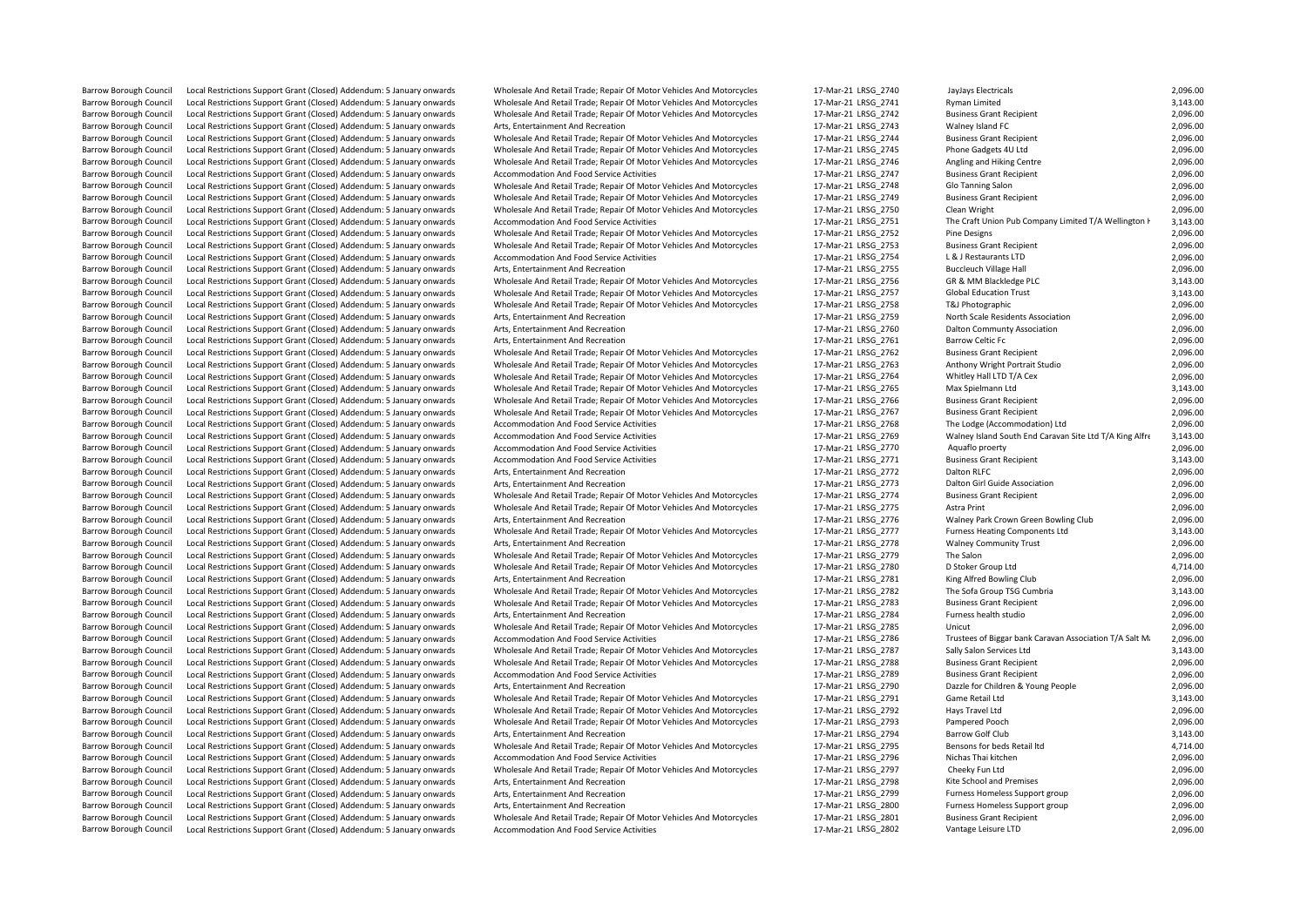Barrow Borough Council Local Restrictions Support Grant (Closed) Addendum: 5 January onwards Arts, Entertainment And Recreation 17-Mar-21 LRSG\_2743 Walney Island FC 2,096.00 Barrow Borough Council Local Restrictions Support Grant (Closed) Addendum: 5 January onwards Barrow Borough Council Local Restrictions Support Grant (Closed) Addendum: 5 January onwards Arts, Entertainment And Recreation 17-Mar-21 LRSG\_2759 North Scale Residents Association 2,096.00 Barrow Borough Council Local Restrictions Support Grant (Closed) Addendum: 5 January onwards Wholesale And Retail Trade; Repair Of Motor Vehicles And Motorcycles 17-Mar-21 LRSG\_2764 Whitley Hall LTD T/A Cex 2,096.00 Barrow Borough Council Local Restrictions Support Grant (Closed) Addendum: 5 January onwards Accommodation And Food Service Activities Barrow Borough Council Local Restrictions Support Grant (Closed) Addendum: 5 January onwards Arts, Entertainment And Recreation 17-Mar-21 LRSG\_2772 Dalton RLFC 2,096.00 Barrow Borough Council Local Restrictions Support Grant (Closed) Addendum: 5 January onwards Arts, Entertainment And Recreation Barrow Borough Council Local Restrictions Support Grant (Closed) Addendum: 5 January onwards Wholesale And Retail Trade; Repair Of Motor Vehicles And Motorcycles 17-Mar-21 LRSG\_2780 D Stoker Group Ltd 4,714.00 Barrow Borough Council Local Restrictions Support Grant (Closed) Addendum: 5 January onwards Arts, Entertainment And Recreation Barrow Borough Council Local Restrictions Support Grant (Closed) Addendum: 5 January onwards Wholesale And Retail Trade; Repair Of Motor Vehicles And Motorcycles 17-Mar-21 LRSG\_2788 Business Grant Recipient 2,096.00 Barrow Borough Council Local Restrictions Support Grant (Closed) Addendum: 5 January onwards Wholesale And Retail Trade; Repair Of Motor Vehicles And Motorcycles Barrow Borough Council Local Restrictions Support Grant (Closed) Addendum: 5 January onwards Barrow Borough Council Local Restrictions Support Grant (Closed) Addendum: 5 January onwards Barrow Borough Council Local Restrictions Support Grant (Closed) Addendum: 5 January onwards Accommodation And Food Service Activities 17-Mar-21 LRS

Barrow Borough Council Local Restrictions Support Grant (Closed) Addendum: 5 January onwards Wholesale And Retail Trade; Repair Of Motor Vehicles And Motorcycles 17-Mar-21 LRS<br>Barrow Borough Council Local Restrictions Supp Barrow Borough Council Local Restrictions Support Grant (Closed) Addendum: 5 January onwards Wholesale And Retail Trade; Repair Of Motor Vehicles And Motorcycles 17-Mar-21 LRS<br>Barrow Borough Council Local Restrictions Supp Barrow Borough Council Local Restrictions Support Grant (Closed) Addendum: 5 January onwards Wholesale And Retail Trade; Repair Of Motor Vehicles And Motorcycles 17-Mar-21 LRS<br>Barrow Borough Council Local Restrictions Supp Barrow Borough Council Local Restrictions Support Grant (Closed) Addendum: 5 January onwards Wholesale And Retail Trade; Repair Of Motor Vehicles And Motorcycles 17-Mar-21 LRS<br>Barrow Borough Council Local Restrictions Supp Barrow Barrow Borough Council Council Local Restrictions Support Grant (Closed) Addendum: 5 January onwards Wholesale And Retail Trade; Repair Of Motor Vehicles And Motorcycles 17-Mar-21 LRS<br>المستحدث المستحدث 17-Mar-21 Le Barrow Borough Council Local Restrictions Support Grant (Closed) Addendum: 5 January onwards Wholesale And Retail Trade; Repair Of Motor Vehicles And Motorcycles 17-Mar-21 LRS<br>Barrow Borough Council Local Restrictions Supp Barrow Borough Council Local Restrictions Support Grant (Closed) Addendum: 5 January onwards Accommodation And Food Service Activities And Motorcycles 17-Mar-21 LRS<br>Barrow Borough Council Local Restrictions Support Grant ( Barrow Borough Council Local Restrictions Support Grant (Closed) Addendum: 5 January onwards Wholesale And Retail Trade; Repair Of Motor Vehicles And Motorcycles 17-Mar-21 LRS<br>Barrow Borough Council Local Restrictions Supp Barrow Borough Council Local Restrictions Support Grant (Closed) Addendum: 5 January onwards Wholesale And Retail Trade; Repair Of Motor Vehicles And Motorcycles 17-Mar-21 LRS<br>Barrow Borough Council Local Restrictions Supp Local Restrictions Support Grant (Closed) Addendum: 5 January onwards Wholesale And Retail Trade; Repair Of Motor Vehicles And Motorcycles 17-Mar-21 LRS<br>Local Restrictions Support Grant (Closed) Addendum: 5 January onwards Barrow Borough Council Local Restrictions Support Grant (Closed) Addendum: 5 January onwards Wholesale And Retail Trade; Repair Of Motor Vehicles And Motorcycles 17-Mar-21 LRS<br>Barrow Borough Council Local Restrictions Supp Barrow Barrow Borough Council Closed) Addendum: 5 January onwards Wholesale And Retail Trade; Repair Of Motor Vehicles And Motorcycles 17-Mar-21 LRS<br>Local Restrictions Support Grant (Closed) Addendum: 5 January onwards Acc Barrow Borough Council Local Restrictions Support Grant (Closed) Addendum: 5 January onwards Accommodation And Food Service Activities 17-Mar-21 LRSQL 17-Mar-21 LRS<br>Barrow Borough Council Local Restrictions Support Grant ( Barrow Borough Council Local Restrictions Support Grant (Closed) Addendum: 5 January onwards Arts, Entertainment And Recreation<br>Barrow Borough Council Local Restrictions Support Grant (Closed) Addendum: 5 January onwards W Barrow Borough Council Local Restrictions Support Grant (Closed) Addendum: 5 January onwards Wholesale And Retail Trade; Repair Of Motor Vehicles And Motorcycles 17-Mar-21 LRS<br>Barrow Borough Council Local Restrictions Supp Barrow Borough Council Local Restrictions Support Grant (Closed) Addendum: 5 January onwards Wholesale And Retail Trade; Repair Of Motor Vehicles And Motorcycles 17-Mar-21 LRS<br>Barrow Borough Council Local Restrictions Supp Barrow Borough Council Local Restrictions Support Grant (Closed) Addendum: 5 January onwards Wholesale And Retail Trade; Repair Of Motor Vehicles And Motorcycles 17-Mar-21 LRS<br>Barrow Borough Council Local Restrictions Supp Barrow Borough Council Local Restrictions Support Grant (Closed) Addendum: 5 January onwards Arts. Entertainment And Recreation 17-Mar-21 Dalton Council 17-Mar-21 LRS Barrow Borough Council Local Restrictions Support Grant (Closed) Addendum: 5 January onwards Arts, Entertainment And Recreation<br>Barrow Borough Council Local Restrictions Support Grant (Closed) Addendum: 5 January onwards W Barrow Borough Council Local Restrictions Support Grant (Closed) Addendum: 5 January onwards Wholesale And Retail Trade; Repair Of Motor Vehicles And Motorcycles 17-Mar-21 LRS<br>Barrow Borough Council Local Restrictions Supp Barrow Borough Council Local Restrictions Support Grant (Closed) Addendum: 5 January onwards Wholesale And Retail Trade; Repair Of Motor Vehicles And Motorcycles 17-Mar-21 LRS<br>Barrow Borough Council Local Restrictions Supp Barrow Borough Council Local Restrictions Support Grant (Closed) Addendum: 5 January onwards Wholesale And Retail Trade; Repair Of Motor Vehicles And Motorcycles 17-Mar-21 LRS<br>Barrow Borough Council Local Restrictions Supp Barrow Borough Council Local Restrictions Support Grant (Closed) Addendum: 5 January onwards Wholesale And Retail Trade; Repair Of Motor Vehicles And Motorcycles 17-Mar-21 LRS<br>Barrow Borough Council Local Restrictions Supp Barrow Barrow Borough Council Closed) Addendum: 5 January onwards Wholesale And Retail Trade; Repair Of Motor Vehicles And Motorcycles 17-Mar-21 LRS<br>Local Restrictions Support Grant (Closed) Addendum: 5 January onwards Acc Barrow Borough Council Local Restrictions Support Grant (Closed) Addendum: 5 January onwards Accommodation And Food Service Activities 17-Mar-21 LRS 17-Mar-21 LRS (2014) 17-Mar-21 LRS (2014) 2014 17-Mar-21 LRS (2014) 2014 Barrow Borough Council Local Restrictions Support Grant (Closed) Addendum: 5 January onwards Accommodation And Food Service Activities 17-Mar-21 LRSQL 17-Mar-21 LRS<br>Barrow Borough Council Local Restrictions Support Grant ( Barrow Borough Council Local Restrictions Support Grant (Closed) Addendum: 5 January onwards Accommodation And Food Service Activities 17-Mar-21 LRS 2014 17-Mar-21 LRS<br>17-Mar-21 Business Grant Restrictions Support Grant Cl Barrow Borough Council Local Restrictions Support Grant (Closed) Addendum: 5 January onwards Arts, Entertainment And Recreation<br>Barrow Borough Council Local Restrictions Support Grant (Closed) Addendum: 5 January onwards W Barrow Borough Council Local Restrictions Support Grant (Closed) Addendum: 5 January onwards Wholesale And Retail Trade; Repair Of Motor Vehicles And Motorcycles 17-Mar-21 LRS<br>Barrow Borough Council Local Restrictions Supp Local Restrictions Support Grant (Closed) Addendum: 5 January onwards Wholesale And Retail Trade; Repair Of Motor Vehicles And Motorcycles 17-Mar-21 LRS<br>Local Restrictions Support Grant (Closed) Addendum: 5 January onwards Barrow Borough Council Local Restrictions Support Grant (Closed) Addendum: 5 January onwards Wholesale And Retail Trade; Repair Of Motor Vehicles And Motorcycles 17-Mar-21 LRS Barrow Borough Council Local Restrictions Support Grant (Closed) Addendum: 5 January onwards Arts, Entertainment And Recreation 17-Marting Support Grant Closed) Addendum: 5 January onwards Marts, Entertainment And Recreati Barrow Borough Council Local Restrictions Support Grant (Closed) Addendum: 5 January onwards Wholesale And Retail Trade; Repair Of Motor Vehicles And Motorcycles 17-Mar-21 LRS<br>Barrow Borough Council Local Restrictions Supp Barrow Borough Council Local Restrictions Support Grant (Closed) Addendum: 5 January onwards Arts. Entertainment And Recreation 17-Mar-21 LRS Barrow Borough Council Local Restrictions Support Grant (Closed) Addendum: 5 January onwards Wholesale And Retail Trade; Repair Of Motor Vehicles And Motorcycles 17-Mar-21 LRS<br>Barrow Borough Council Local Restrictions Supp Barrow Barrow Borough Council Closed) Addendum: 5 January onwards Wholesale And Retail Trade; Repair Of Motor Vehicles And Motorcycles 17-Mar-21 LRS<br>Restrictions Support Grant (Closed) Addendum: 5 January onwards Arts Ente Barrow Borough Council Local Restrictions Support Grant (Closed) Addendum: 5 January onwards Wholesale And Retail Trade; Repair Of Motor Vehicles And Motorcycles 17-Mar-21 LRS Barrow Borough Council Local Restrictions Support Grant (Closed) Addendum: 5 January onwards Accommodation And Food Service Activities<br>Barrow Borough Council Local Restrictions Support Grant (Closed) Addendum: 5 January on Barrow Borough Council Local Restrictions Support Grant (Closed) Addendum: 5 January onwards Wholesale And Retail Trade; Repair Of Motor Vehicles And Motorcycles 17-Mar-21 LRS<br>Barrow Borough Council Local Restrictions Supp Barrow Borough Council Local Restrictions Support Grant (Closed) Addendum: 5 January onwards Accommodation And Food Service Activities 17-Mar-21 LRS Barrow Borough Council Local Restrictions Support Grant (Closed) Addendum: 5 January onwards Arts, Entertainment And Recreation 17-Mar-21 Dasar 17-Mar-21 LRS Barrow Borough Council Local Restrictions Support Grant (Closed) Addendum: 5 January onwards Wholesale And Retail Trade; Repair Of Motor Vehicles And Motorcycles 17-Mar-21 LRS<br>Barrow Borough Council Local Restrictions Supp Barrow Borough Council Local Restrictions Support Grant (Closed) Addendum: 5 January onwards Wholesale And Retail Trade; Repair Of Motor Vehicles And Motorcycles 17-Mar-21 LRS Barrow Borough Council Local Restrictions Support Grant (Closed) Addendum: 5 January onwards Arts, Entertainment And Recreation 17-Mar-21 LRS Barrow Borough Council Local Restrictions Support Grant (Closed) Addendum: 5 January onwards Wholesale And Retail Trade; Repair Of Motor Vehicles And Motorcycles 17-Mar-21 LRS<br>Barrow Borough Council Local Restrictions Supp Local Restrictions Support Grant (Closed) Addendum: 5 January onwards Accommodation And Food Service Activities<br>المحمد المسلم المسلم المسلم المسلم المسلم المسلم المسلم المسلم المسلم المسلم المسلم المسلم المسلم المسلم المس Barrow Borough Council Local Restrictions Support Grant (Closed) Addendum: 5 January onwards Arts, Entertainment And Recreation 17-Mar-21 LRS Barrow Borough Council Local Restrictions Support Grant (Closed) Addendum: 5 January onwards Arts, Entertainment And Recreation 17-Mar-21 LRSG 17-Mar-21 LRSG 17-Mar-21 LRSG 17-Mar-21 LRSG 17-Mar-21 LRSG 17-Mar-21 LRSG 17-M Barrow Borough Council Local Restrictions Support Grant (Closed) Addendum: 5 January onwards Arts, Entertainment And Recreation<br>Barrow Borough Council Local Restrictions Support Grant (Closed) Addendum: 5 January onwards W

| G 2740           | JayJays Electricals                                     | 2,096.00 |
|------------------|---------------------------------------------------------|----------|
| $G_2$ 741        | Ryman Limited                                           | 3,143.00 |
| G_2742           | <b>Business Grant Recipient</b>                         | 2,096.00 |
| G 2743           | Walney Island FC                                        | 2,096.00 |
| G 2744           | <b>Business Grant Recipient</b>                         | 2,096.00 |
| G_2745           | Phone Gadgets 4U Ltd                                    | 2,096.00 |
| G 2746           | Angling and Hiking Centre                               | 2,096.00 |
| G_2747           | <b>Business Grant Recipient</b>                         | 2,096.00 |
| G 2748           | Glo Tanning Salon                                       | 2,096.00 |
| G_2749           | <b>Business Grant Recipient</b>                         | 2,096.00 |
| G_2750           | Clean Wright                                            | 2,096.00 |
| G 2751           | The Craft Union Pub Company Limited T/A Wellington F    | 3,143.00 |
| G 2752           | <b>Pine Designs</b>                                     | 2,096.00 |
| G_2753           | <b>Business Grant Recipient</b>                         | 2,096.00 |
| G_2754           | L & J Restaurants LTD                                   | 2,096.00 |
| $G_2$ 2755       | <b>Buccleuch Village Hall</b>                           | 2,096.00 |
| G 2756           | GR & MM Blackledge PLC                                  | 3,143.00 |
| G_2757           | <b>Global Education Trust</b>                           | 3,143.00 |
| G 2758           | T&J Photographic                                        | 2,096.00 |
| G_2759           | North Scale Residents Association                       | 2,096.00 |
| G 2760           | <b>Dalton Communty Association</b>                      | 2,096.00 |
| G_2761           | <b>Barrow Celtic Fc</b>                                 | 2,096.00 |
| G 2762           | <b>Business Grant Recipient</b>                         | 2,096.00 |
| G_2763           | Anthony Wright Portrait Studio                          | 2,096.00 |
| G_2764           | Whitley Hall LTD T/A Cex                                | 2,096.00 |
| G 2765           | Max Spielmann Ltd                                       | 3,143.00 |
| G_2766           | <b>Business Grant Recipient</b>                         | 2,096.00 |
| G 2767           | <b>Business Grant Recipient</b>                         | 2,096.00 |
| G_2768           | The Lodge (Accommodation) Ltd                           | 2,096.00 |
| G 2769           | Walney Island South End Caravan Site Ltd T/A King Alfre | 3,143.00 |
| $G_2$ 2770       | Aquaflo proerty                                         | 2,096.00 |
| G_2771           | <b>Business Grant Recipient</b>                         | 3,143.00 |
| G 2772           | Dalton RLFC                                             | 2,096.00 |
| G 2773           | Dalton Girl Guide Association                           | 2,096.00 |
| G_2774           | <b>Business Grant Recipient</b>                         | 2,096.00 |
| G 2775           | Astra Print                                             | 2,096.00 |
| G_2776           | Walney Park Crown Green Bowling Club                    | 2,096.00 |
| G 2777           | <b>Furness Heating Components Ltd</b>                   | 3,143.00 |
| G_2778           | <b>Walney Community Trust</b>                           | 2,096.00 |
| G 2779           | The Salon                                               | 2,096.00 |
| G 2780           | D Stoker Group Ltd                                      | 4,714.00 |
| $G_2$ 781        | King Alfred Bowling Club                                | 2,096.00 |
| G 2782           | The Sofa Group TSG Cumbria                              | 3,143.00 |
| G 2783           | <b>Business Grant Recipient</b>                         | 2,096.00 |
| G_2784           | Furness health studio                                   | 2,096.00 |
|                  | Unicut                                                  | 2,096.00 |
| G 2785<br>G 2786 | Trustees of Biggar bank Caravan Association T/A Salt Mi |          |
|                  |                                                         | 2,096.00 |
| G 2787           | Sally Salon Services Ltd                                | 3,143.00 |
| G_2788           | <b>Business Grant Recipient</b>                         | 2,096.00 |
| G_2789           | <b>Business Grant Recipient</b>                         | 2,096.00 |
| G_2790           | Dazzle for Children & Young People                      | 2,096.00 |
| G 2791           | Game Retail Ltd                                         | 3,143.00 |
| G 2792           | Hays Travel Ltd                                         | 2,096.00 |
| G_2793           | Pampered Pooch                                          | 2,096.00 |
| G_2794           | Barrow Golf Club                                        | 3,143.00 |
| G_2795           | Bensons for beds Retail Itd                             | 4,714.00 |
| G_2796           | Nichas Thai kitchen                                     | 2,096.00 |
| G 2797           | Cheeky Fun Ltd                                          | 2,096.00 |
| G 2798           | Kite School and Premises                                | 2,096.00 |
| G 2799           | Furness Homeless Support group                          | 2,096.00 |
| G_2800           | Furness Homeless Support group                          | 2,096.00 |
| G_2801           | <b>Business Grant Recipient</b>                         | 2,096.00 |
| G 2802           | Vantage Leisure LTD                                     | 2,096.00 |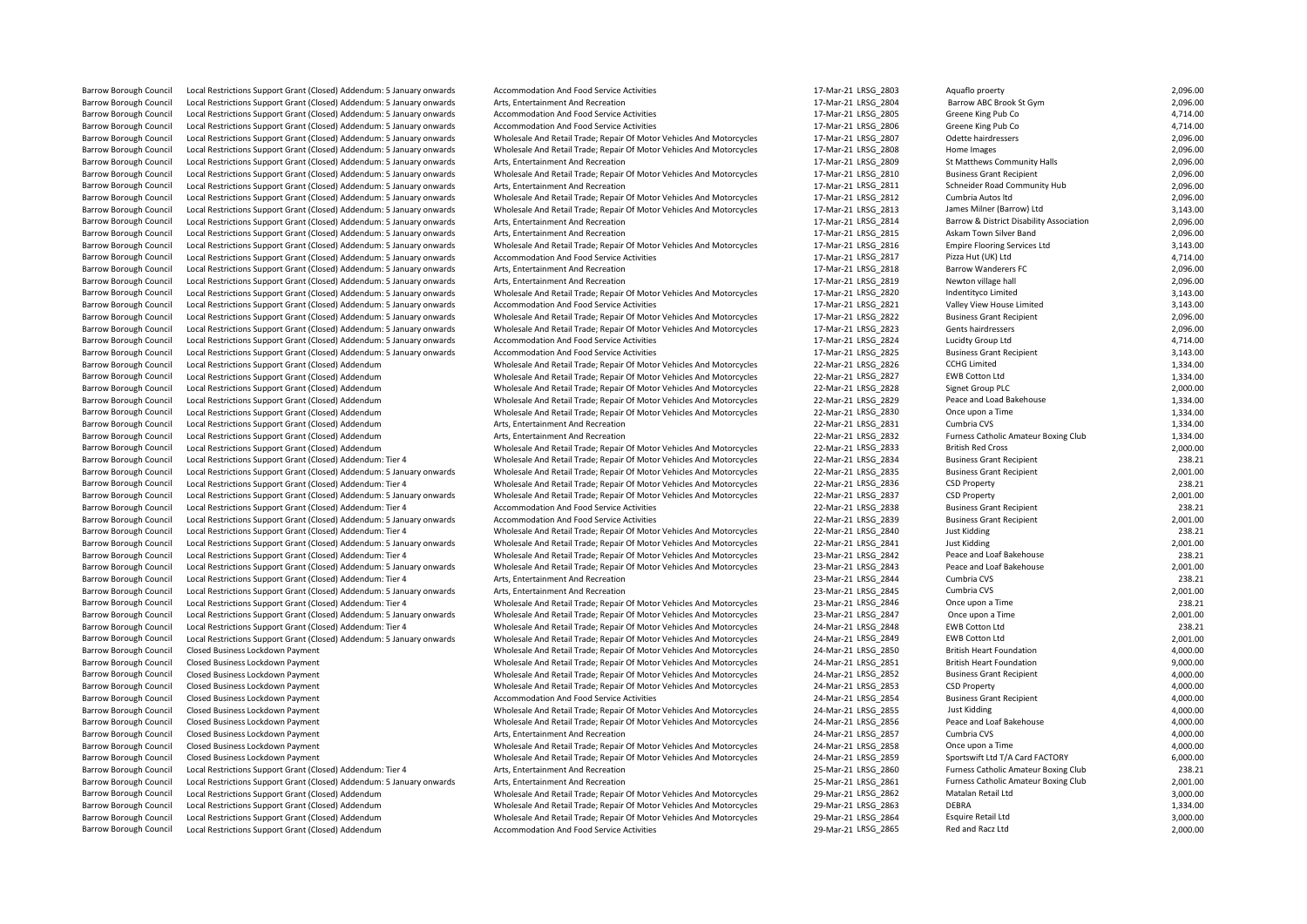|                               |                                                                       |                                                                                 |                     |                                          | 2,096.00 |
|-------------------------------|-----------------------------------------------------------------------|---------------------------------------------------------------------------------|---------------------|------------------------------------------|----------|
| <b>Barrow Borough Council</b> | Local Restrictions Support Grant (Closed) Addendum: 5 January onwards | Accommodation And Food Service Activities                                       | 17-Mar-21 LRSG 2803 | Aquaflo proerty                          |          |
| <b>Barrow Borough Council</b> | Local Restrictions Support Grant (Closed) Addendum: 5 January onwards | Arts, Entertainment And Recreation                                              | 17-Mar-21 LRSG 2804 | Barrow ABC Brook St Gym                  | 2,096.00 |
| <b>Barrow Borough Council</b> | Local Restrictions Support Grant (Closed) Addendum: 5 January onwards | <b>Accommodation And Food Service Activities</b>                                | 17-Mar-21 LRSG 2805 | Greene King Pub Co                       | 4,714.00 |
| <b>Barrow Borough Council</b> | Local Restrictions Support Grant (Closed) Addendum: 5 January onwards | Accommodation And Food Service Activities                                       | 17-Mar-21 LRSG 2806 | Greene King Pub Co                       | 4,714.00 |
| <b>Barrow Borough Council</b> | Local Restrictions Support Grant (Closed) Addendum: 5 January onwards | Wholesale And Retail Trade; Repair Of Motor Vehicles And Motorcycles            | 17-Mar-21 LRSG 2807 | Odette hairdressers                      | 2,096.00 |
| <b>Barrow Borough Council</b> | Local Restrictions Support Grant (Closed) Addendum: 5 January onwards | Wholesale And Retail Trade; Repair Of Motor Vehicles And Motorcycles            | 17-Mar-21 LRSG 2808 | Home Images                              | 2,096.00 |
| <b>Barrow Borough Council</b> | Local Restrictions Support Grant (Closed) Addendum: 5 January onwards | Arts, Entertainment And Recreation                                              | 17-Mar-21 LRSG 2809 | St Matthews Community Halls              | 2,096.00 |
| <b>Barrow Borough Council</b> | Local Restrictions Support Grant (Closed) Addendum: 5 January onwards | Wholesale And Retail Trade; Repair Of Motor Vehicles And Motorcycles            | 17-Mar-21 LRSG 2810 | <b>Business Grant Recipient</b>          | 2,096.00 |
| <b>Barrow Borough Council</b> | Local Restrictions Support Grant (Closed) Addendum: 5 January onwards | Arts, Entertainment And Recreation                                              | 17-Mar-21 LRSG 2811 | Schneider Road Community Hub             | 2,096.00 |
| <b>Barrow Borough Council</b> | Local Restrictions Support Grant (Closed) Addendum: 5 January onwards | Wholesale And Retail Trade; Repair Of Motor Vehicles And Motorcycles            | 17-Mar-21 LRSG 2812 | Cumbria Autos Itd                        | 2,096.00 |
| <b>Barrow Borough Council</b> | Local Restrictions Support Grant (Closed) Addendum: 5 January onwards | Wholesale And Retail Trade; Repair Of Motor Vehicles And Motorcycles            | 17-Mar-21 LRSG 2813 | James Milner (Barrow) Ltd                | 3,143.00 |
| <b>Barrow Borough Council</b> | Local Restrictions Support Grant (Closed) Addendum: 5 January onwards | Arts, Entertainment And Recreation                                              | 17-Mar-21 LRSG 2814 | Barrow & District Disability Association | 2,096.00 |
| <b>Barrow Borough Council</b> | Local Restrictions Support Grant (Closed) Addendum: 5 January onwards | Arts, Entertainment And Recreation                                              | 17-Mar-21 LRSG 2815 | Askam Town Silver Band                   | 2,096.00 |
| <b>Barrow Borough Council</b> | Local Restrictions Support Grant (Closed) Addendum: 5 January onwards | Wholesale And Retail Trade; Repair Of Motor Vehicles And Motorcycles            | 17-Mar-21 LRSG 2816 | <b>Empire Flooring Services Ltd</b>      | 3,143.00 |
| <b>Barrow Borough Council</b> |                                                                       |                                                                                 | 17-Mar-21 LRSG 2817 | Pizza Hut (UK) Ltd                       | 4,714.00 |
|                               | Local Restrictions Support Grant (Closed) Addendum: 5 January onwards | Accommodation And Food Service Activities<br>Arts. Entertainment And Recreation |                     |                                          |          |
| <b>Barrow Borough Council</b> | Local Restrictions Support Grant (Closed) Addendum: 5 January onwards |                                                                                 | 17-Mar-21 LRSG 2818 | <b>Barrow Wanderers FC</b>               | 2,096.00 |
| <b>Barrow Borough Council</b> | Local Restrictions Support Grant (Closed) Addendum: 5 January onwards | Arts, Entertainment And Recreation                                              | 17-Mar-21 LRSG 2819 | Newton village hall                      | 2,096.00 |
| <b>Barrow Borough Council</b> | Local Restrictions Support Grant (Closed) Addendum: 5 January onwards | Wholesale And Retail Trade; Repair Of Motor Vehicles And Motorcycles            | 17-Mar-21 LRSG 2820 | Indentityco Limited                      | 3,143.00 |
| <b>Barrow Borough Council</b> | Local Restrictions Support Grant (Closed) Addendum: 5 January onwards | Accommodation And Food Service Activities                                       | 17-Mar-21 LRSG 2821 | Valley View House Limited                | 3,143.00 |
| <b>Barrow Borough Council</b> | Local Restrictions Support Grant (Closed) Addendum: 5 January onwards | Wholesale And Retail Trade; Repair Of Motor Vehicles And Motorcycles            | 17-Mar-21 LRSG 2822 | <b>Business Grant Recipient</b>          | 2,096.00 |
| <b>Barrow Borough Council</b> | Local Restrictions Support Grant (Closed) Addendum: 5 January onwards | Wholesale And Retail Trade; Repair Of Motor Vehicles And Motorcycles            | 17-Mar-21 LRSG 2823 | Gents hairdressers                       | 2,096.00 |
| <b>Barrow Borough Council</b> | Local Restrictions Support Grant (Closed) Addendum: 5 January onwards | Accommodation And Food Service Activities                                       | 17-Mar-21 LRSG 2824 | Lucidty Group Ltd                        | 4,714.00 |
| <b>Barrow Borough Council</b> | Local Restrictions Support Grant (Closed) Addendum: 5 January onwards | Accommodation And Food Service Activities                                       | 17-Mar-21 LRSG 2825 | <b>Business Grant Recipient</b>          | 3,143.00 |
| <b>Barrow Borough Council</b> | Local Restrictions Support Grant (Closed) Addendum                    | Wholesale And Retail Trade; Repair Of Motor Vehicles And Motorcycles            | 22-Mar-21 LRSG 2826 | <b>CCHG Limited</b>                      | 1,334.00 |
| <b>Barrow Borough Council</b> | Local Restrictions Support Grant (Closed) Addendum                    | Wholesale And Retail Trade; Repair Of Motor Vehicles And Motorcycles            | 22-Mar-21 LRSG 2827 | <b>EWB Cotton Ltd</b>                    | 1,334.00 |
| <b>Barrow Borough Council</b> | Local Restrictions Support Grant (Closed) Addendum                    | Wholesale And Retail Trade; Repair Of Motor Vehicles And Motorcycles            | 22-Mar-21 LRSG 2828 | Signet Group PLC                         | 2,000.00 |
| <b>Barrow Borough Council</b> | Local Restrictions Support Grant (Closed) Addendum                    | Wholesale And Retail Trade; Repair Of Motor Vehicles And Motorcycles            | 22-Mar-21 LRSG 2829 | Peace and Load Bakehouse                 | 1,334.00 |
| <b>Barrow Borough Council</b> | Local Restrictions Support Grant (Closed) Addendum                    | Wholesale And Retail Trade; Repair Of Motor Vehicles And Motorcycles            | 22-Mar-21 LRSG 2830 | Once upon a Time                         | 1,334.00 |
| <b>Barrow Borough Council</b> | Local Restrictions Support Grant (Closed) Addendum                    | Arts, Entertainment And Recreation                                              | 22-Mar-21 LRSG 2831 | Cumbria CVS                              | 1,334.00 |
| <b>Barrow Borough Council</b> | Local Restrictions Support Grant (Closed) Addendum                    | Arts, Entertainment And Recreation                                              | 22-Mar-21 LRSG 2832 | Furness Catholic Amateur Boxing Club     | 1,334.00 |
|                               |                                                                       |                                                                                 |                     |                                          |          |
| <b>Barrow Borough Council</b> | Local Restrictions Support Grant (Closed) Addendum                    | Wholesale And Retail Trade; Repair Of Motor Vehicles And Motorcycles            | 22-Mar-21 LRSG 2833 | <b>British Red Cross</b>                 | 2,000.00 |
| <b>Barrow Borough Council</b> | Local Restrictions Support Grant (Closed) Addendum: Tier 4            | Wholesale And Retail Trade; Repair Of Motor Vehicles And Motorcycles            | 22-Mar-21 LRSG 2834 | <b>Business Grant Recipient</b>          | 238.21   |
| <b>Barrow Borough Council</b> | Local Restrictions Support Grant (Closed) Addendum: 5 January onwards | Wholesale And Retail Trade; Repair Of Motor Vehicles And Motorcycles            | 22-Mar-21 LRSG_2835 | <b>Business Grant Recipient</b>          | 2,001.00 |
| <b>Barrow Borough Council</b> | Local Restrictions Support Grant (Closed) Addendum: Tier 4            | Wholesale And Retail Trade; Repair Of Motor Vehicles And Motorcycles            | 22-Mar-21 LRSG 2836 | <b>CSD Property</b>                      | 238.21   |
| <b>Barrow Borough Council</b> | Local Restrictions Support Grant (Closed) Addendum: 5 January onwards | Wholesale And Retail Trade; Repair Of Motor Vehicles And Motorcycles            | 22-Mar-21 LRSG 2837 | <b>CSD Property</b>                      | 2,001.00 |
| <b>Barrow Borough Council</b> | Local Restrictions Support Grant (Closed) Addendum: Tier 4            | Accommodation And Food Service Activities                                       | 22-Mar-21 LRSG 2838 | <b>Business Grant Recipient</b>          | 238.21   |
| <b>Barrow Borough Council</b> | Local Restrictions Support Grant (Closed) Addendum: 5 January onwards | Accommodation And Food Service Activities                                       | 22-Mar-21 LRSG 2839 | <b>Business Grant Recipient</b>          | 2,001.00 |
| <b>Barrow Borough Council</b> | Local Restrictions Support Grant (Closed) Addendum: Tier 4            | Wholesale And Retail Trade; Repair Of Motor Vehicles And Motorcycles            | 22-Mar-21 LRSG 2840 | <b>Just Kidding</b>                      | 238.21   |
| <b>Barrow Borough Council</b> | Local Restrictions Support Grant (Closed) Addendum: 5 January onwards | Wholesale And Retail Trade; Repair Of Motor Vehicles And Motorcycles            | 22-Mar-21 LRSG 2841 | <b>Just Kidding</b>                      | 2,001.00 |
| <b>Barrow Borough Council</b> | Local Restrictions Support Grant (Closed) Addendum: Tier 4            | Wholesale And Retail Trade; Repair Of Motor Vehicles And Motorcycles            | 23-Mar-21 LRSG 2842 | Peace and Loaf Bakehouse                 | 238.21   |
| <b>Barrow Borough Council</b> | Local Restrictions Support Grant (Closed) Addendum: 5 January onwards | Wholesale And Retail Trade; Repair Of Motor Vehicles And Motorcycles            | 23-Mar-21 LRSG_2843 | Peace and Loaf Bakehouse                 | 2,001.00 |
| <b>Barrow Borough Council</b> | Local Restrictions Support Grant (Closed) Addendum: Tier 4            | Arts, Entertainment And Recreation                                              | 23-Mar-21 LRSG 2844 | Cumbria CVS                              | 238.21   |
| <b>Barrow Borough Council</b> | Local Restrictions Support Grant (Closed) Addendum: 5 January onwards | Arts, Entertainment And Recreation                                              | 23-Mar-21 LRSG 2845 | Cumbria CVS                              | 2,001.00 |
| <b>Barrow Borough Council</b> | Local Restrictions Support Grant (Closed) Addendum: Tier 4            | Wholesale And Retail Trade; Repair Of Motor Vehicles And Motorcycles            | 23-Mar-21 LRSG 2846 | Once upon a Time                         | 238.21   |
| <b>Barrow Borough Council</b> | Local Restrictions Support Grant (Closed) Addendum: 5 January onwards | Wholesale And Retail Trade; Repair Of Motor Vehicles And Motorcycles            | 23-Mar-21 LRSG 2847 | Once upon a Time                         | 2,001.00 |
| <b>Barrow Borough Council</b> | Local Restrictions Support Grant (Closed) Addendum: Tier 4            | Wholesale And Retail Trade; Repair Of Motor Vehicles And Motorcycles            | 24-Mar-21 LRSG 2848 | <b>EWB Cotton Ltd</b>                    | 238.21   |
| <b>Barrow Borough Council</b> | Local Restrictions Support Grant (Closed) Addendum: 5 January onwards | Wholesale And Retail Trade; Repair Of Motor Vehicles And Motorcycles            | 24-Mar-21 LRSG_2849 | <b>EWB Cotton Ltd</b>                    | 2,001.00 |
|                               |                                                                       |                                                                                 | 24-Mar-21 LRSG 2850 | <b>British Heart Foundation</b>          | 4,000.00 |
| <b>Barrow Borough Council</b> | Closed Business Lockdown Payment                                      | Wholesale And Retail Trade; Repair Of Motor Vehicles And Motorcycles            |                     |                                          |          |
| <b>Barrow Borough Council</b> | Closed Business Lockdown Payment                                      | Wholesale And Retail Trade; Repair Of Motor Vehicles And Motorcycles            | 24-Mar-21 LRSG 2851 | <b>British Heart Foundation</b>          | 9,000.00 |
| <b>Barrow Borough Council</b> | Closed Business Lockdown Payment                                      | Wholesale And Retail Trade; Repair Of Motor Vehicles And Motorcycles            | 24-Mar-21 LRSG 2852 | <b>Business Grant Recipient</b>          | 4,000.00 |
| <b>Barrow Borough Council</b> | Closed Business Lockdown Payment                                      | Wholesale And Retail Trade; Repair Of Motor Vehicles And Motorcycles            | 24-Mar-21 LRSG 2853 | <b>CSD Property</b>                      | 4,000.00 |
| <b>Barrow Borough Council</b> | Closed Business Lockdown Payment                                      | Accommodation And Food Service Activities                                       | 24-Mar-21 LRSG 2854 | <b>Business Grant Recipient</b>          | 4,000.00 |
| <b>Barrow Borough Council</b> | Closed Business Lockdown Payment                                      | Wholesale And Retail Trade; Repair Of Motor Vehicles And Motorcycles            | 24-Mar-21 LRSG 2855 | Just Kidding                             | 4,000.00 |
| <b>Barrow Borough Council</b> | Closed Business Lockdown Payment                                      | Wholesale And Retail Trade; Repair Of Motor Vehicles And Motorcycles            | 24-Mar-21 LRSG 2856 | Peace and Loaf Bakehouse                 | 4,000.00 |
| <b>Barrow Borough Council</b> | Closed Business Lockdown Payment                                      | Arts, Entertainment And Recreation                                              | 24-Mar-21 LRSG 2857 | Cumbria CVS                              | 4,000.00 |
| <b>Barrow Borough Council</b> | Closed Business Lockdown Payment                                      | Wholesale And Retail Trade; Repair Of Motor Vehicles And Motorcycles            | 24-Mar-21 LRSG 2858 | Once upon a Time                         | 4,000.00 |
| <b>Barrow Borough Council</b> | Closed Business Lockdown Payment                                      | Wholesale And Retail Trade; Repair Of Motor Vehicles And Motorcycles            | 24-Mar-21 LRSG 2859 | Sportswift Ltd T/A Card FACTORY          | 6,000.00 |
| <b>Barrow Borough Council</b> | Local Restrictions Support Grant (Closed) Addendum: Tier 4            | Arts, Entertainment And Recreation                                              | 25-Mar-21 LRSG 2860 | Furness Catholic Amateur Boxing Club     | 238.21   |
| <b>Barrow Borough Council</b> | Local Restrictions Support Grant (Closed) Addendum: 5 January onwards | Arts, Entertainment And Recreation                                              | 25-Mar-21 LRSG 2861 | Furness Catholic Amateur Boxing Club     | 2,001.00 |
| <b>Barrow Borough Council</b> | Local Restrictions Support Grant (Closed) Addendum                    | Wholesale And Retail Trade; Repair Of Motor Vehicles And Motorcycles            | 29-Mar-21 LRSG 2862 | Matalan Retail Ltd                       | 3,000.00 |
| <b>Barrow Borough Council</b> | Local Restrictions Support Grant (Closed) Addendum                    | Wholesale And Retail Trade; Repair Of Motor Vehicles And Motorcycles            | 29-Mar-21 LRSG 2863 | <b>DEBRA</b>                             | 1,334.00 |
| Barrow Borough Council        | Local Restrictions Support Grant (Closed) Addendum                    | Wholesale And Retail Trade; Repair Of Motor Vehicles And Motorcycles            | 29-Mar-21 LRSG 2864 | <b>Esquire Retail Ltd</b>                | 3,000.00 |
| Barrow Borough Council        | Local Restrictions Support Grant (Closed) Addendum                    | Accommodation And Eood Service Activities                                       | 29-Mar-21 LRSG 2865 | Red and Racz Ltd                         | 2,000,00 |
|                               |                                                                       |                                                                                 |                     |                                          |          |